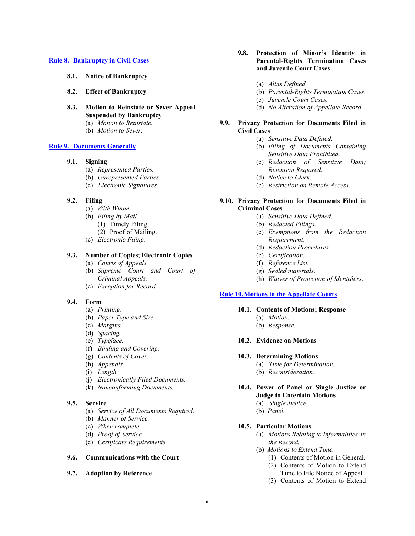## **Rule 8. [Bankruptcy in Civil Cases](#page-19-0)**

- **8.1. Notice of Bankruptcy**
- **8.2. Effect of Bankruptcy**
- **8.3. Motion to Reinstate or Sever Appeal Suspended by Bankruptcy**
	- (a) *Motion to Reinstate.*
	- (b) *Motion to Sever.*

# **Rule 9. [Documents Generally](#page-20-0)**

# **9.1. Signing**

- (a) *Represented Parties.*
- (b) *Unrepresented Parties.*
- (c) *Electronic Signatures.*

# **9.2. Filing**

- (a) *With Whom.*
- (b) *Filing by Mail.*
	- (1) Timely Filing.
	- (2) Proof of Mailing.
- (c) *Electronic Filing.*

# **9.3. Number of Copies**; **Electronic Copies**

- (a) *Courts of Appeals.*
- (b) *Supreme Court and Court of Criminal Appeals.*
- (c) *Exception for Record.*

# **9.4. Form**

- (a) *Printing.*
- (b) *Paper Type and Size.*
- (c) *Margins.*
- (d) *Spacing.*
- (e) *Typeface.*
- (f) *Binding and Covering.*
- (g) *Contents of Cover.*
- (h) *Appendix.*
- (i) *Length.*
- (j) *Electronically Filed Documents.*
- (k) *Nonconforming Documents.*

# **9.5. Service**

- (a) *Service of All Documents Required.*
- (b) *Manner of Service.*
- (c) *When complete.*
- (d) *Proof of Service.*
- (e) *Certificate Requirements.*

## **9.6. Communications with the Court**

**9.7. Adoption by Reference**

# **9.8. Protection of Minor's Identity in Parental-Rights Termination Cases and Juvenile Court Cases**

- (a) *Alias Defined.*
- (b) *Parental-Rights Termination Cases.*
- (c) *Juvenile Court Cases.*
- (d) *No Alteration of Appellate Record.*

## **9.9. Privacy Protection for Documents Filed in Civil Cases**

- (a) *Sensitive Data Defined.*
- (b) *Filing of Documents Containing Sensitive Data Prohibited.*
- (c) *Redaction of Sensitive Data; Retention Required.*
- (d) *Notice to Clerk.*
- (e) *Restriction on Remote Access.*

# **9.10. Privacy Protection for Documents Filed in Criminal Cases**

- (a) *Sensitive Data Defined.*
- (b) *Redacted Filings.*
- (c) *Exemptions from the Redaction Requirement.*
- (d) *Redaction Procedures.*
- (e) *Certification.*
- (f) *Reference List.*
- (g) *Sealed materials*.
- (h) *Waiver of Protection of Identifiers*.

# **[Rule 10.Motions in the Appellate Courts](#page-27-0)**

# **10.1. Contents of Motions; Response**

- (a) *Motion.*
- (b) *Response.*

## **10.2. Evidence on Motions**

## **10.3. Determining Motions**

- (a) *Time for Determination.*
- (b) *Reconsideration.*

# **10.4. Power of Panel or Single Justice or Judge to Entertain Motions**

- (a) *Single Justice.*
- (b) *Panel.*

## **10.5. Particular Motions**

- (a) *Motions Relating to Informalities in the Record.*
- (b) *Motions to Extend Time.*
	- (1) Contents of Motion in General.
	- (2) Contents of Motion to Extend Time to File Notice of Appeal.
	- (3) Contents of Motion to Extend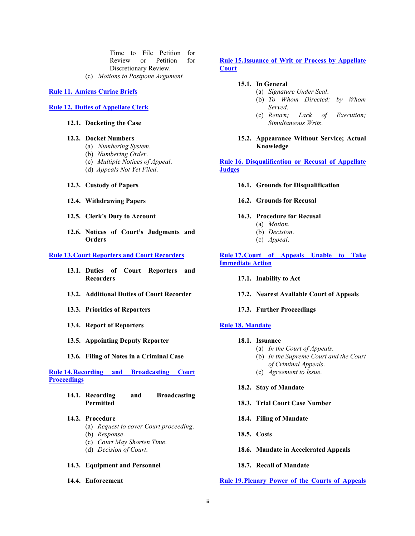Time to File Petition for Review or Petition for Discretionary Review.

(c) *Motions to Postpone Argument.*

#### **Rule 11. [Amicus Curiae Briefs](#page-29-0)**

# **Rule 12. [Duties of Appellate Clerk](#page-29-1)**

#### **12.1. Docketing the Case**

# **12.2. Docket Numbers**

- (a) *Numbering System*.
- (b) *Numbering Order*.
- (c) *Multiple Notices of Appeal*.
- (d) *Appeals Not Yet Filed*.
- **12.3. Custody of Papers**
- **12.4. Withdrawing Papers**
- **12.5. Clerk's Duty to Account**
- **12.6. Notices of Court's Judgments and Orders**

#### **[Rule 13.Court Reporters and Court Recorders](#page-30-0)**

- **13.1. Duties of Court Reporters and Recorders**
- **13.2. Additional Duties of Court Recorder**
- **13.3. Priorities of Reporters**
- **13.4. Report of Reporters**
- **13.5. Appointing Deputy Reporter**
- **13.6. Filing of Notes in a Criminal Case**

**[Rule 14.Recording and Broadcasting Court](#page-32-0)  [Proceedings](#page-32-0)**

## **14.1. Recording and Broadcasting Permitted**

- **14.2. Procedure**
	- (a) *Request to cover Court proceeding*.
	- (b) *Response*.
	- (c) *Court May Shorten Time*.
	- (d) *Decision of Court*.

# **14.3. Equipment and Personnel**

**14.4. Enforcement**

# **[Rule 15.Issuance of Writ or Process by Appellate](#page-33-0)  [Court](#page-33-0)**

#### **15.1. In General**

- (a) *Signature Under Seal*.
- (b) *To Whom Directed; by Whom Served*.
- (c) *Return; Lack of Execution; Simultaneous Writs*.

## **15.2. Appearance Without Service; Actual Knowledge**

**Rule 16. [Disqualification or Recusal of Appellate](#page-33-1)  [Judges](#page-33-1)**

- **16.1. Grounds for Disqualification**
- **16.2. Grounds for Recusal**
- **16.3. Procedure for Recusal**
	- (a) *Motion*.
	- (b) *Decision*.
	- (c) *Appeal*.

**[Rule 17.Court of Appeals Unable to Take](#page-34-0) [Immediate Action](#page-34-0)**

- **17.1. Inability to Act**
- **17.2. Nearest Available Court of Appeals**
- **17.3. Further Proceedings**

#### **[Rule 18. Mandate](#page-34-1)**

- **18.1. Issuance**
	- (a) *In the Court of Appeals*.
	- (b) *In the Supreme Court and the Court of Criminal Appeals*.
	- (c) *Agreement to Issue*.
- **18.2. Stay of Mandate**
- **18.3. Trial Court Case Number**
- **18.4. Filing of Mandate**
- **18.5. Costs**
- **18.6. Mandate in Accelerated Appeals**
- **18.7. Recall of Mandate**

#### **[Rule 19.Plenary Power of the Courts of Appeals](#page-35-0)**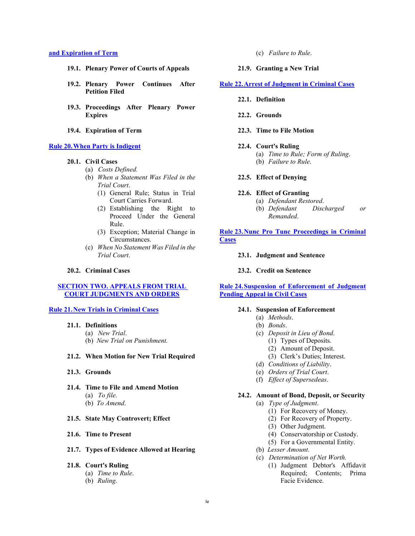#### **and [Expiration of Term](#page-35-0)**

- **19.1. Plenary Power of Courts of Appeals**
- **19.2. Plenary Power Continues After Petition Filed**
- **19.3. Proceedings After Plenary Power Expires**
- **19.4. Expiration of Term**

#### **[Rule 20.When Party is Indigent](#page-36-0)**

## **20.1. Civil Cases**

- (a) *Costs Defined.*
- (b) *When a Statement Was Filed in the Trial Court*.
	- (1) General Rule; Status in Trial Court Carries Forward.
	- (2) Establishing the Right to Proceed Under the General Rule.
	- (3) Exception; Material Change in Circumstances.
- (c) *When No Statement Was Filed in the Trial Court*.

#### **20.2. Criminal Cases**

# **[SECTION TWO. APPEALS FROM TRIAL](#page-37-0)  [COURT JUDGMENTS AND ORDERS](#page-37-0)**

## **[Rule 21.New Trials in Criminal Cases](#page-37-1)**

#### **21.1. Definitions**

- (a) *New Trial*.
- (b) *New Trial on Punishment.*
- **21.2. When Motion for New Trial Required**

# **21.3. Grounds**

- **21.4. Time to File and Amend Motion** (a) *To file*. (b) *To Amend*.
- **21.5. State May Controvert; Effect**
- **21.6. Time to Present**
- **21.7. Types of Evidence Allowed at Hearing**

# **21.8. Court's Ruling**

- (a) *Time to Rule*.
- (b) *Ruling*.

(c) *Failure to Rule*.

#### **21.9. Granting a New Trial**

#### **[Rule 22.Arrest of Judgment in Criminal Cases](#page-39-0)**

- **22.1. Definition**
- **22.2. Grounds**
- **22.3. Time to File Motion**
- **22.4. Court's Ruling**
	- (a) *Time to Rule; Form of Ruling*.
	- (b) *Failure to Rule*.
- **22.5. Effect of Denying**
- **22.6. Effect of Granting**
	- (a) *Defendant Restored*.
	- (b) *Defendant Discharged or Remanded*.

# **[Rule 23.Nunc Pro Tunc Proceedings in Criminal](#page-39-1)  [Cases](#page-39-1)**

**23.1. Judgment and Sentence**

#### **23.2. Credit on Sentence**

# **[Rule 24.Suspension of Enforcement](#page-40-0) of Judgment [Pending Appeal in Civil Cases](#page-40-0)**

## **24.1. Suspension of Enforcement**

- (a) *Methods*.
- (b) *Bonds*.
- (c) *Deposit in Lieu of Bond*.
	- (1) Types of Deposits.
	- (2) Amount of Deposit.
	- (3) Clerk's Duties; Interest.
- (d) *Conditions of Liability*.
- (e) *Orders of Trial Court*.
- (f) *Effect of Supersedeas*.

# **24.2. Amount of Bond, Deposit, or Security**

- (a) *Type of Judgment*.
	- (1) For Recovery of Money.
	- (2) For Recovery of Property.
	- (3) Other Judgment.
	- (4) Conservatorship or Custody.
	- (5) For a Governmental Entity.
- (b) *Lesser Amount*.
- (c) *Determination of Net Worth.*
	- (1) Judgment Debtor's Affidavit Required; Contents; Prima Facie Evidence.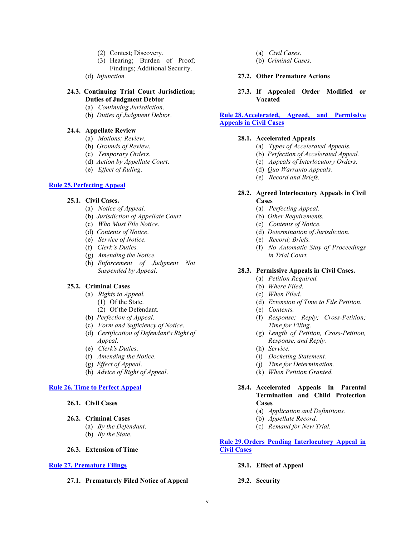- (2) Contest; Discovery.
- (3) Hearing; Burden of Proof; Findings; Additional Security.
- (d) *Injunction.*

## **24.3. Continuing Trial Court Jurisdiction; Duties of Judgment Debtor**

- (a) *Continuing Jurisdiction*.
- (b) *Duties of Judgment Debtor*.

# **24.4. Appellate Review**

- (a) *Motions; Review*.
- (b) *Grounds of Review*.
- (c) *Temporary Orders*.
- (d) *Action by Appellate Court*.
- (e) *Effect of Ruling*.

## **[Rule 25.Perfecting Appeal](#page-43-0)**

# **25.1. Civil Cases.**

- (a) *Notice of Appeal*.
- (b) *Jurisdiction of Appellate Court*.
- (c) *Who Must File Notice*.
- (d) *Contents of Notice*.
- (e) *Service of Notice.*
- (f) *Clerk's Duties.*
- (g) *Amending the Notice.*
- (h) *Enforcement of Judgment Not Suspended by Appeal*.

# **25.2. Criminal Cases**

- (a) *Rights to Appeal.*
	- (1) Of the State.
	- (2) Of the Defendant.
- (b) *Perfection of Appeal*.
- (c) *Form and Sufficiency of Notice*.
- (d) *Certification of Defendant's Right of Appeal.*
- (e) *Clerk's Duties*.
- (f) *Amending the Notice*.
- (g) *Effect of Appeal*.
- (h) *Advice of Right of Appeal*.

## **[Rule 26. Time to Perfect Appeal](#page-46-0)**

# **26.1. Civil Cases**

## **26.2. Criminal Cases**

- (a) *By the Defendant*.
- (b) *By the State*.

## **26.3. Extension of Time**

# **[Rule 27. Premature Filings](#page-47-0)**

**27.1. Prematurely Filed Notice of Appeal**

- (a) *Civil Cases*.
- (b) *Criminal Cases*.

## **27.2. Other Premature Actions**

**27.3. If Appealed Order Modified or Vacated**

# **[Rule 28.Accelerated, Agreed, and Permissive](#page-47-1)  Appeals in [Civil Cases](#page-47-1)**

## **28.1. Accelerated Appeals**

- (a) *Types of Accelerated Appeals.*
- (b) *Perfection of Accelerated Appeal.*
- (c) *Appeals of Interlocutory Orders.*
- (d) *Quo Warranto Appeals.*
- (e) *Record and Briefs.*

## **28.2. Agreed Interlocutory Appeals in Civil Cases**

- (a) *Perfecting Appeal.*
- (b) *Other Requirements.*
- (c) *Contents of Notice.*
- (d) *Determination of Jurisdiction.*
- (e) *Record; Briefs.*
- (f) *No Automatic Stay of Proceedings in Trial Court.*

## **28.3. Permissive Appeals in Civil Cases.**

- (a) *Petition Required.*
- (b) *Where Filed.*
- (c) *When Filed.*
- (d) *Extension of Time to File Petition.*
- (e) *Contents.*
- (f) *Response; Reply; Cross-Petition; Time for Filing.*
- (g) *Length of Petition, Cross-Petition, Response, and Reply.*
- (h) *Service.*
- (i) *Docketing Statement.*
- (j) *Time for Determination.*
- (k) *When Petition Granted.*

## **28.4. Accelerated Appeals in Parental Termination and Child Protection Cases**

- (a) *Application and Definitions.*
- (b) *Appellate Record.*
- (c) *Remand for New Trial.*

## **[Rule 29.Orders Pending Interlocutory](#page-50-0) Appeal in [Civil Cases](#page-50-0)**

**29.1. Effect of Appeal**

## **29.2. Security**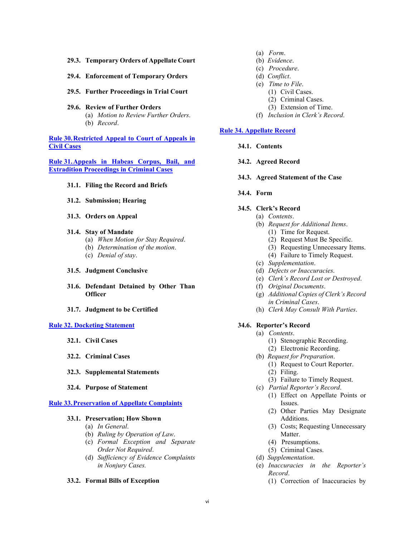- **29.3. Temporary Orders of Appellate Court**
- **29.4. Enforcement of Temporary Orders**
- **29.5. Further Proceedings in Trial Court**
- **29.6. Review of Further Orders**
	- (a) *Motion to Review Further Orders*.
	- (b) *Record*.

**[Rule 30.Restricted Appeal to Court of Appeals in](#page-51-0) [Civil Cases](#page-51-0)**

**[Rule 31.Appeals in Habeas Corpus,](#page-51-1) Bail, and [Extradition Proceedings in Criminal Cases](#page-51-1)**

- **31.1. Filing the Record and Briefs**
- **31.2. Submission; Hearing**
- **31.3. Orders on Appeal**
- **31.4. Stay of Mandate**
	- (a) *When Motion for Stay Required*.
	- (b) *Determination of the motion*.
	- (c) *Denial of stay*.
- **31.5. Judgment Conclusive**
- **31.6. Defendant Detained by Other Than Officer**
- **31.7. Judgment to be Certified**

#### **[Rule 32. Docketing Statement](#page-53-0)**

- **32.1. Civil Cases**
- **32.2. Criminal Cases**
- **32.3. Supplemental Statements**
- **32.4. Purpose of Statement**

# **[Rule 33.Preservation of Appellate Complaints](#page-55-0)**

## **33.1. Preservation; How Shown**

- (a) *In General*.
- (b) *Ruling by Operation of Law*.
- (c) *Formal Exception and Separate Order Not Required*.
- (d) *Sufficiency of Evidence Complaints in Nonjury Cases.*

# **33.2. Formal Bills of Exception**

- (a) *Form*.
- (b) *Evidence*.
- (c) *Procedure*.
- (d) *Conflict*.
- (e) *Time to File*.
	- (1) Civil Cases.
	- (2) Criminal Cases.
	- (3) Extension of Time.
- (f) *Inclusion in Clerk's Record*.

# **[Rule 34. Appellate Record](#page-56-0)**

- **34.1. Contents**
- **34.2. Agreed Record**
- **34.3. Agreed Statement of the Case**
- **34.4. Form**

## **34.5. Clerk's Record**

- (a) *Contents*.
- (b) *Request for Additional Items*. (1) Time for Request.
	- (2) Request Must Be Specific.
	- (3) Requesting Unnecessary Items.
	- (4) Failure to Timely Request.
- (c) *Supplementation*.
- (d) *Defects or Inaccuracies*.
- (e) *Clerk's Record Lost or Destroyed*.
- (f) *Original Documents*.
- (g) *Additional Copies of Clerk's Record in Criminal Cases*.
- (h) *Clerk May Consult With Parties*.

## **34.6. Reporter's Record**

- (a) *Contents*.
	- (1) Stenographic Recording.
	- (2) Electronic Recording.
- (b) *Request for Preparation*.
	- (1) Request to Court Reporter.
	- (2) Filing.
- (3) Failure to Timely Request.
- (c) *Partial Reporter's Record*.
	- (1) Effect on Appellate Points or Issues.
	- (2) Other Parties May Designate Additions.
	- (3) Costs; Requesting Unnecessary Matter.
	- (4) Presumptions.
	- (5) Criminal Cases.
- (d) *Supplementation*.
- (e) *Inaccuracies in the Reporter's Record*.
	- (1) Correction of Inaccuracies by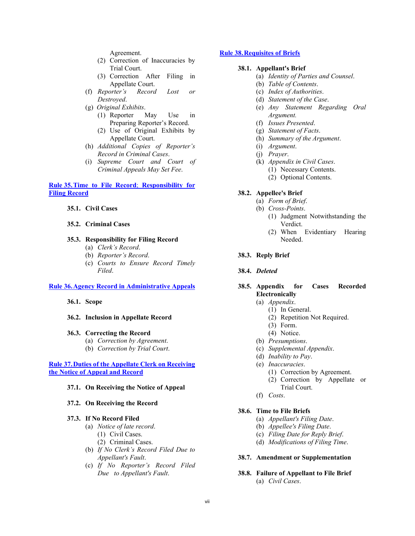Agreement.

- (2) Correction of Inaccuracies by Trial Court.
- (3) Correction After Filing in Appellate Court.
- (f) *Reporter's Record Lost or Destroyed*.
- (g) *Original Exhibits*.
	- (1) Reporter May Use in Preparing Reporter's Record.
	- (2) Use of Original Exhibits by Appellate Court.
- (h) *Additional Copies of Reporter's Record in Criminal Cases*.
- (i) *Supreme Court and Court of Criminal Appeals May Set Fee*.

# **[Rule 35.Time to File Record](#page-60-0)**; **Responsibility for Filing [Record](#page-60-0)**

**35.1. Civil Cases**

# **35.2. Criminal Cases**

#### **35.3. Responsibility for Filing Record**

- (a) *Clerk's Record*.
- (b) *Reporter's Record*.
- (c) *Courts to Ensure Record Timely [Filed](#page-61-0)*.

## **[Rule 36.Agency Record in Administrative Appeals](#page-61-0)**

- **36.1. Scope**
- **36.2. Inclusion in Appellate Record**

#### **36.3. Correcting the Record**

- (a) *Correction by Agreement*.
- (b) *Correction by Trial Court*.

## **[Rule 37.Duties of the Appellate Clerk on Receiving](#page-62-0)  the [Notice of Appeal and Record](#page-62-0)**

#### **37.1. On Receiving the Notice of Appeal**

# **37.2. On Receiving the Record**

## **37.3. If No Record Filed**

- (a) *Notice of late record*.
	- (1) Civil Cases.
	- (2) Criminal Cases.
- (b) *If No Clerk's Record Filed Due to Appellant's Fault*.
- (c) *If No Reporter's Record Filed Due to Appellant's Fault*.

#### **[Rule 38.Requisites of Briefs](#page-63-0)**

#### **38.1. Appellant's Brief**

- (a) *Identity of Parties and Counsel*.
- (b) *Table of Contents*.
- (c) *Index of Authorities*.
- (d) *Statement of the Case*.
- (e) *Any Statement Regarding Oral Argument.*
- (f) *Issues Presented*.
- (g) *Statement of Facts*.
- (h) *Summary of the Argument*.
- (i) *Argument*.
- (j) *Prayer*.
- (k) *Appendix in Civil Cases*.
	- (1) Necessary Contents.
	- (2) Optional Contents.

## **38.2. Appellee's Brief**

- (a) *Form of Brief*.
- (b) *Cross-Points*.
	- (1) Judgment Notwithstanding the Verdict.
	- (2) When Evidentiary Hearing Needed.

#### **38.3. Reply Brief**

#### **38.4.** *Deleted*

# **38.5. Appendix for Cases Recorded Electronically**

- (a) *Appendix*.
	- (1) In General.
	- (2) Repetition Not Required.
	- (3) Form.
	- (4) Notice.
- (b) *Presumptions*.
- (c) *Supplemental Appendix*.
- (d) *Inability to Pay*.
- (e) *Inaccuracies*.
	- (1) Correction by Agreement.
	- (2) Correction by Appellate or Trial Court.
- (f) *Costs*.

#### **38.6. Time to File Briefs**

- (a) *Appellant's Filing Date*.
- (b) *Appellee's Filing Date*.
- (c) *Filing Date for Reply Brief*.
- (d) *Modifications of Filing Time*.

## **38.7. Amendment or Supplementation**

**38.8. Failure of Appellant to File Brief** (a) *Civil Cases*.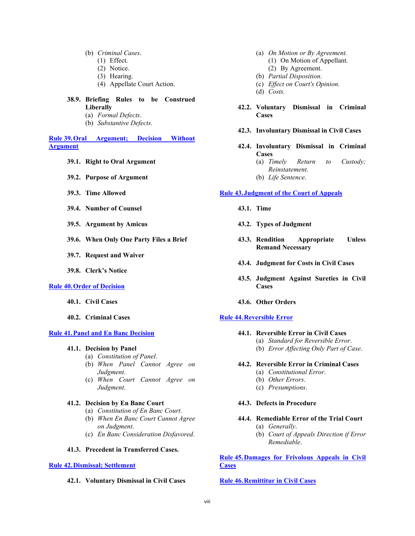- (b) *Criminal Cases*.
	- (1) Effect.
	- (2) Notice.
	- (3) Hearing.
	- (4) Appellate Court Action.
- **38.9. Briefing Rules to be Construed Liberally**
	- (a) *Formal Defects*.
	- (b) *Substantive Defects.*

**[Rule 39.Oral Argument; Decision Without](#page-67-0)  [Argument](#page-67-0)**

- **39.1. Right to Oral Argument**
- **39.2. Purpose of Argument**
- **39.3. Time Allowed**
- **39.4. Number of Counsel**
- **39.5. Argument by Amicus**
- **39.6. When Only One Party Files a Brief**
- **39.7. Request and Waiver**
- **39.8. Clerk's Notice**

# **[Rule 40.Order of Decision](#page-68-0)**

- **40.1. Civil Cases**
- **40.2. Criminal Cases**

#### **[Rule 41.Panel and En Banc Decision](#page-68-1)**

- **41.1. Decision by Panel**
	- (a) *Constitution of Panel*.
		- (b) *When Panel Cannot Agree on Judgment*.
		- (c) *When Court Cannot Agree on Judgment*.

# **41.2. Decision by En Banc Court**

- (a) *Constitution of En Banc Court.*
- (b) *When En Banc Court Cannot Agree on Judgment*.
- (c) *En Banc Consideration Disfavored*.

#### **41.3. Precedent in Transferred Cases.**

## **[Rule 42.Dismissal; Settlement](#page-69-0)**

**42.1. Voluntary Dismissal in Civil Cases**

- (a) *On Motion or By Agreement.* 
	- (1) On Motion of Appellant. (2) By Agreement.
- (b) *Partial Disposition.*
- (c) *Effect on Court's Opinion.*
- (d) *Costs.*
- **42.2. Voluntary Dismissal in Criminal Cases**
- **42.3. Involuntary Dismissal in Civil Cases**
- **42.4. Involuntary Dismissal in Criminal Cases**
	- (a) *Timely Return to Custody; Reinstatement*.
	- (b) *Life Sentence*.

#### **[Rule 43.Judgment of the Court of Appeals](#page-71-0)**

- **43.1. Time**
- **43.2. Types of Judgment**
- **43.3. Rendition Appropriate Unless Remand Necessary**
- **43.4. Judgment for Costs in Civil Cases**
- **43.5. Judgment Against Sureties in Civil Cases**
- **43.6. Other Orders**

## **[Rule 44.Reversible Error](#page-71-1)**

## **44.1. Reversible Error in Civil Cases**

- (a) *Standard for Reversible Error*.
- (b) *Error Affecting Only Part of Case*.

#### **44.2. Reversible Error in Criminal Cases**

- (a) *Constitutional Error*.
- (b) *Other Errors*.
- (c) *Presumptions*.

# **44.3. Defects in Procedure**

# **44.4. Remediable Error of the Trial Court**

- (a) *Generally*.
- (b) *Court of Appeals Direction if Error Remediable*.

# **[Rule 45.Damages for Frivolous Appeals in Civil](#page-72-0)  [Cases](#page-72-0)**

# **[Rule 46.Remittitur in Civil Cases](#page-72-1)**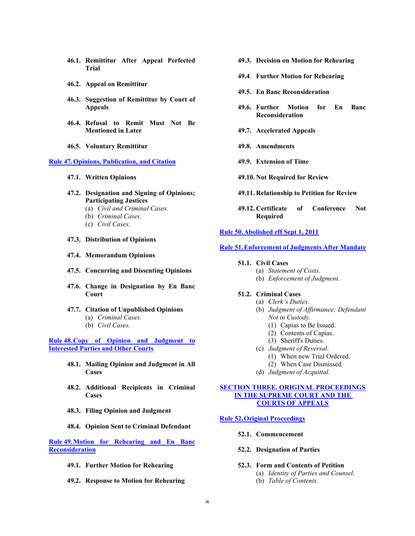- **46.1. Remittitur After Appeal Perfected Trial**
- **46.2. Appeal on Remittitur**
- **46.3. Suggestion of Remittitur by Court of Appeals**
- **46.4. Refusal to Remit Must Not Be Mentioned in Later**
- **46.5. Voluntary Remittitur**

## **[Rule 47.Opinions, Publication, and Citation](#page-73-0)**

- **47.1. Written Opinions**
- **47.2. Designation and Signing of Opinions; Participating Justices**  (a) *Civil and Criminal Cases.*
	- (b) *Criminal Cases.*
	- (c) *Civil Cases.*
- **47.3. Distribution of Opinions**
- **47.4. Memorandum Opinions**
- **47.5. Concurring and Dissenting Opinions**
- **47.6. Change in Designation by En Banc Court**
- **47.7. Citation of Unpublished Opinions** (a) *Criminal Cases.*
	- (b) *Civil Cases.*

**[Rule 48.Copy of Opinion and](#page-75-0) Judgment to [Interested Parties and Other Courts](#page-75-0)**

- **48.1. Mailing Opinion and Judgment in All Cases**
- **48.2. Additional Recipients in Criminal Cases**
- **48.3. Filing Opinion and Judgment**
- **48.4. Opinion Sent to Criminal Defendant**

**[Rule 49.Motion for Rehearing and](#page-75-1) En Banc [Reconsideration](#page-75-1)**

- **49.1. Further Motion for Rehearing**
- **49.2. Response to Motion for Rehearing**
- **49.3. Decision on Motion for Rehearing**
- **49.4**. **Further Motion for Rehearing**
- **49.5. En Banc Reconsideration**
- **49.6. Further Motion for En Banc Reconsideration**
- **49.7. Accelerated Appeals**
- **49.8. Amendments**
- **49.9. Extension of Time**
- **49.10. Not Required for Review**
- **49.11. Relationship to Petition for Review**
- **49.12. Certificate of Conference Not Required**

# **[Rule 50.Abolished eff Sept 1, 2011](#page-77-0)**

## **[Rule 51.Enforcement of Judgments](#page-77-1) After Mandate**

- **51.1. Civil Cases**
	- (a) *Statement of Costs*.
	- (b) *Enforcement of Judgment*.

## **51.2. Criminal Cases**

- (a) *Clerk's Duties*.
- (b) *Judgment of Affirmance; Defendant Not in Custody*.
	- (1) Capias to Be Issued.
	- (2) Contents of Capias.
	- (3) Sheriff's Duties.
- (c) *Judgment of Reversal*.
	- (1) When new Trial Ordered.
	- (2) When Case Dismissed.
- (d) *Judgment of Acquittal*.

# **[SECTION THREE. ORIGINAL PROCEEDINGS](#page-78-0)  [IN THE SUPREME COURT AND THE](#page-78-0)  [COURTS OF APPEALS](#page-78-0)**

# **[Rule 52.Original Proceedings](#page-78-1)**

#### **52.1. Commencement**

- **52.2. Designation of Parties**
- **52.3. Form and Contents of Petition**
	- (a) *Identity of Parties and Counsel*.
	- (b) *Table of Contents*.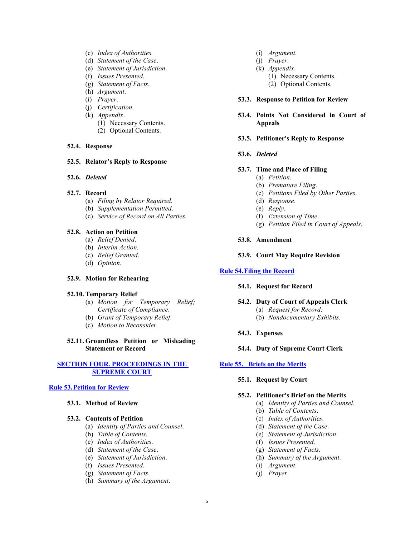- (c) *Index of Authorities.*
- (d) *Statement of the Case*.
- (e) *Statement of Jurisdiction*.
- (f) *Issues Presented*.
- (g) *Statement of Facts*.
- (h) *Argument*.
- (i) *Prayer*.
- (j) *Certification.*
- (k) *Appendix*.
	- (1) Necessary Contents.
	- (2) Optional Contents.

## **52.4. Response**

## **52.5. Relator's Reply to Response**

**52.6.** *Deleted*

## **52.7. Record**

- (a) *Filing by Relator Required*.
- (b) *Supplementation Permitted*.
- (c) *Service of Record on All Parties.*

# **52.8. Action on Petition**

- (a) *Relief Denied*.
- (b) *Interim Action*.
- (c) *Relief Granted*.
- (d) *Opinion*.

# **52.9. Motion for Rehearing**

## **52.10. Temporary Relief**

- (a) *Motion for Temporary Relief; Certificate of Compliance*.
- (b) *Grant of Temporary Relief*.
- (c) *Motion to Reconsider*.

#### **52.11. Groundless Petition or Misleading Statement or Record**

# **[SECTION FOUR. PROCEEDINGS IN THE](#page-81-0)  [SUPREME COURT](#page-81-0)**

#### **[Rule 53.Petition for Review](#page-81-1)**

# **53.1. Method of Review**

# **53.2. Contents of Petition**

- (a) *Identity of Parties and Counsel*.
- (b) *Table of Contents*.
- (c) *Index of Authorities*.
- (d) *Statement of the Case*.
- (e) *Statement of Jurisdiction*.
- (f) *Issues Presented*.
- (g) *Statement of Facts*.
- (h) *Summary of the Argument*.
- (i) *Argument*.
- (j) *Prayer*.
- (k) *Appendix*.
	- (1) Necessary Contents.
	- (2) Optional Contents.

#### **53.3. Response to Petition for Review**

- **53.4. Points Not Considered in Court of Appeals**
- **53.5. Petitioner's Reply to Response**

#### **53.6.** *Deleted*

#### **53.7. Time and Place of Filing**

- (a) *Petition*.
- (b) *Premature Filing*.
- (c) *Petitions Filed by Other Parties*.
- (d) *Response*.
- (e) *Reply*.
- (f) *Extension of Time*.
- (g) *Petition Filed in Court of Appeals*.

#### **53.8. Amendment**

#### **53.9. Court May Require Revision**

## **[Rule 54.Filing the Record](#page-85-0)**

## **54.1. Request for Record**

#### **54.2. Duty of Court of Appeals Clerk**

- (a) *Request for Record*.
- (b) *Nondocumentary Exhibits*.

#### **54.3. Expenses**

#### **54.4. Duty of Supreme Court Clerk**

# **[Rule 55. Briefs on the Merits](#page-85-1)**

#### **55.1. Request by Court**

# **55.2. Petitioner's Brief on the Merits**

- (a) *Identity of Parties and Counsel*.
- (b) *Table of Contents*.
- (c) *Index of Authorities*.
- (d) *Statement of the Case*.
- (e) *Statement of Jurisdiction*.
- (f) *Issues Presented*.
- (g) *Statement of Facts*.
- (h) *Summary of the Argument*.
- (i) *Argument*.
- (j) *Prayer*.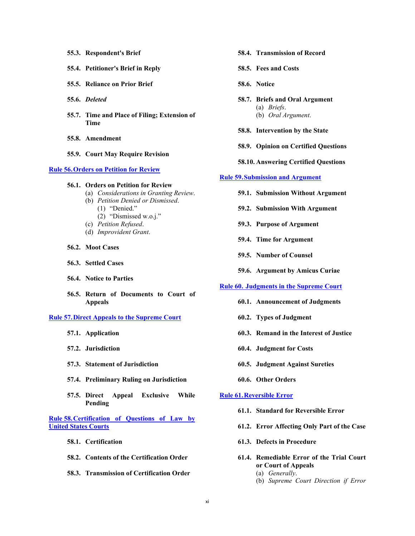- **55.3. Respondent's Brief**
- **55.4. Petitioner's Brief in Reply**
- **55.5. Reliance on Prior Brief**
- **55.6.** *Deleted*
- **55.7. Time and Place of Filing; Extension of Time**
- **55.8. Amendment**
- **55.9. Court May Require Revision**

#### **[Rule 56.Orders on Petition for Review](#page-87-0)**

#### **56.1. Orders on Petition for Review**

- (a) *Considerations in Granting Review*.
- (b) *Petition Denied or Dismissed*. (1) "Denied."
	- (2) "Dismissed w.o.j."
- (c) *Petition Refused*.
- (d) *Improvident Grant*.
- **56.2. Moot Cases**
- **56.3. Settled Cases**
- **56.4. Notice to Parties**
- **56.5. Return of Documents to Court of Appeals**

#### **[Rule 57.Direct Appeals to the Supreme Court](#page-88-0)**

- **57.1. Application**
- **57.2. Jurisdiction**
- **57.3. Statement of Jurisdiction**
- **57.4. Preliminary Ruling on Jurisdiction**
- **57.5. Direct Appeal Exclusive While Pending**

**[Rule 58.Certification of Questions](#page-90-0) of Law by [United States Courts](#page-90-0)**

- **58.1. Certification**
- **58.2. Contents of the Certification Order**
- **58.3. Transmission of Certification Order**
- **58.4. Transmission of Record**
- **58.5. Fees and Costs**
- **58.6. Notice**
- **58.7. Briefs and Oral Argument** (a) *Briefs*. (b) *Oral Argument*.
- **58.8. Intervention by the State**
- **58.9. Opinion on Certified Questions**
- **58.10. Answering Certified Questions**

#### **[Rule 59.Submission and Argument](#page-91-0)**

- **59.1. Submission Without Argument**
- **59.2. Submission With Argument**
- **59.3. Purpose of Argument**
- **59.4. Time for Argument**
- **59.5. Number of Counsel**
- **59.6. Argument by Amicus Curiae**

#### **Rule 60. [Judgments in the Supreme Court](#page-91-1)**

- **60.1. Announcement of Judgments**
- **60.2. Types of Judgment**
- **60.3. Remand in the Interest of Justice**
- **60.4. Judgment for Costs**
- **60.5. Judgment Against Sureties**
- **60.6. Other Orders**

#### **[Rule 61.Reversible Error](#page-92-0)**

- **61.1. Standard for Reversible Error**
- **61.2. Error Affecting Only Part of the Case**
- **61.3. Defects in Procedure**
- **61.4. Remediable Error of the Trial Court or Court of Appeals**
	- (a) *Generally*.
	- (b) *Supreme Court Direction if Error*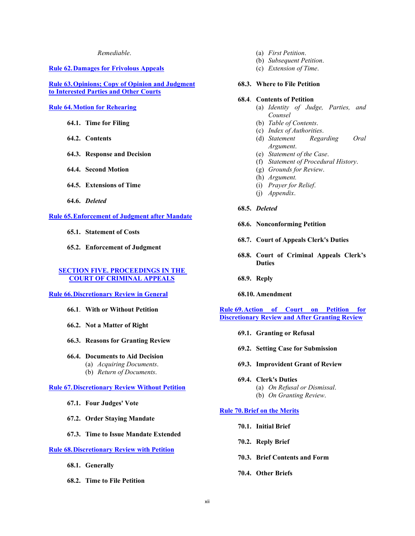# *Remediable*.

## **[Rule 62.Damages for Frivolous Appeals](#page-92-1)**

**Rule 63.Opinions; Copy [of Opinion and Judgment](#page-93-0)  to [Interested Parties and Other Courts](#page-93-0)**

# **[Rule 64.Motion for Rehearing](#page-93-1)**

- **64.1. Time for Filing**
- **64.2. Contents**
- **64.3. Response and Decision**
- **64.4. Second Motion**
- **64.5. Extensions of Time**
- **64.6.** *Deleted*

#### **[Rule 65.Enforcement of Judgment after Mandate](#page-93-2)**

- **65.1. Statement of Costs**
- **65.2. Enforcement of Judgment**

#### **[SECTION FIVE. PROCEEDINGS IN THE](#page-94-0) [COURT OF CRIMINAL APPEALS](#page-94-0)**

#### **[Rule 66.Discretionary Review in General](#page-94-1)**

- **66.1**. **With or Without Petition**
- **66.2. Not a Matter of Right**
- **66.3. Reasons for Granting Review**
- **66.4. Documents to Aid Decision** 
	- (a) *Acquiring Documents*.
	- (b) *Return of Documents*.

#### **[Rule 67.Discretionary Review Without Petition](#page-94-2)**

- **67.1. Four Judges' Vote**
- **67.2. Order Staying Mandate**
- **67.3. Time to Issue Mandate Extended**

## **[Rule 68.Discretionary Review with Petition](#page-95-0)**

- **68.1. Generally**
- **68.2. Time to File Petition**
- (a) *First Petition*.
- (b) *Subsequent Petition*.
- (c) *Extension of Time*.

#### **68.3. Where to File Petition**

# **68.4**. **Contents of Petition**

- (a) *Identity of Judge, Parties, and Counsel*
- (b) *Table of Contents*.
- (c) *Index of Authorities*.
- (d) *Statement Regarding Oral Argument*.
- (e) *Statement of the Case*.
- (f) *Statement of Procedural History*.
- (g) *Grounds for Review*.
- (h) *Argument.*
- (i) *Prayer for Relief*.
- (j) *Appendix*.
- **68.5.** *Deleted*
- **68.6. Nonconforming Petition**
- **68.7. Court of Appeals Clerk's Duties**
- **68.8. Court of Criminal Appeals Clerk's Duties**
- **68.9. Reply**
- **68.10. Amendment**

**[Rule 69.Action of Court on Petition for](#page-97-0)  Discretionary [Review and After Granting Review](#page-97-0)**

- **69.1. Granting or Refusal**
- **69.2. Setting Case for Submission**

## **69.3. Improvident Grant of Review**

- **69.4. Clerk's Duties**
	- (a) *On Refusal or Dismissal*.
	- (b) *On Granting Review*.

#### **[Rule 70.Brief on the Merits](#page-97-1)**

- **70.1. Initial Brief**
- **70.2. Reply Brief**
- **70.3. Brief Contents and Form**
- **70.4. Other Briefs**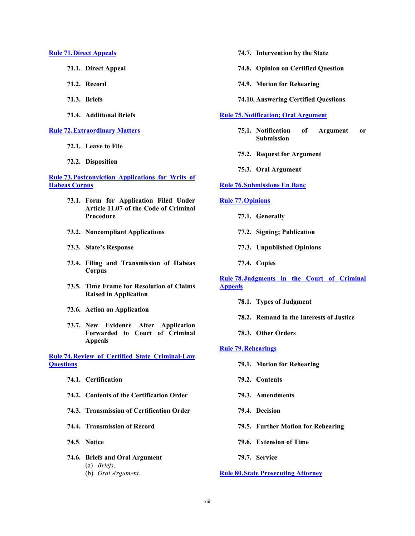## **[Rule 71.Direct Appeals](#page-98-0)**

- **71.1. Direct Appeal**
- **71.2. Record**
- **71.3. Briefs**
- **71.4. Additional Briefs**

# **[Rule 72.Extraordinary Matters](#page-98-1)**

- **72.1. Leave to File**
- **72.2. Disposition**

**[Rule 73.Postconviction Applications for](#page-98-2) Writs of [Habeas Corpus](#page-98-2)**

- **73.1. Form for Application Filed Under Article 11.07 of the Code of Criminal Procedure**
- **73.2. Noncompliant Applications**
- **73.3. State's Response**
- **73.4. Filing and Transmission of Habeas Corpus**
- **73.5. Time Frame for Resolution of Claims Raised in Application**
- **73.6. Action on Application**
- **73.7. New Evidence After Application Forwarded to Court of Criminal Appeals**

**[Rule 74.Review of Certified](#page-102-0) State Criminal-Law [Questions](#page-102-0)**

- **74.1. Certification**
- **74.2. Contents of the Certification Order**
- **74.3. Transmission of Certification Order**
- **74.4. Transmission of Record**
- **74.5**. **Notice**
- **74.6. Briefs and Oral Argument** (a) *Briefs*.
	- (b) *Oral Argument*.
- **74.7. Intervention by the State**
- **74.8. Opinion on Certified Question**
- **74.9. Motion for Rehearing**
- **74.10. Answering Certified Questions**

# **[Rule 75.Notification; Oral Argument](#page-103-0)**

- **75.1. Notification of Argument or Submission**
- **75.2. Request for Argument**
- **75.3. [Oral Argument](#page-103-1)**

## **[Rule 76.Submissions En Banc](#page-103-1)**

#### **[Rule 77.Opinions](#page-103-2)**

- **77.1. Generally**
- **77.2. Signing; Publication**
- **77.3. Unpublished Opinions**
- **77.4. Copies**

# **[Rule 78.Judgments in the Court of Criminal](#page-104-0)  [Appeals](#page-104-0)**

- **78.1. Types of Judgment**
- **78.2. Remand in the Interests of Justice**
- **78.3. Other Orders**

#### **[Rule 79.Rehearings](#page-104-1)**

- **79.1. Motion for Rehearing**
- **79.2. Contents**
- **79.3. Amendments**
- **79.4. Decision**
- **79.5. Further Motion for Rehearing**
- **79.6. Extension of Time**
- **79.7. Service**

# **[Rule 80.State Prosecuting Attorney](#page-105-0)**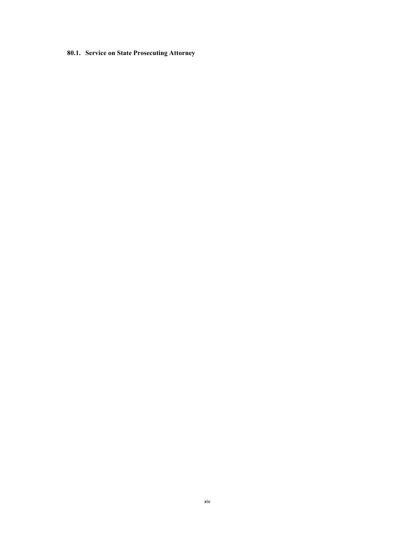**80.1. Service on State Prosecuting Attorney**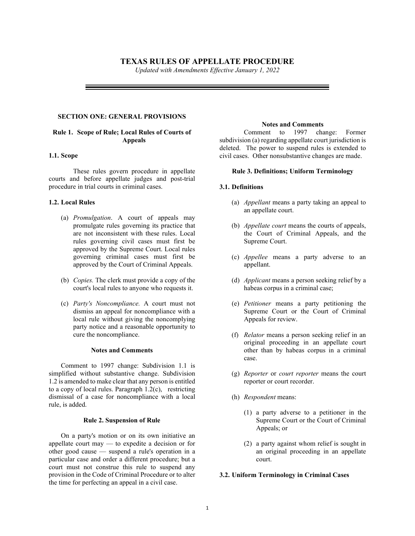# **TEXAS RULES OF APPELLATE PROCEDURE**

*Updated with Amendments Effective January 1, 2022*

#### **SECTION ONE: GENERAL PROVISIONS**

## **Rule 1. Scope of Rule; Local Rules of Courts of Appeals**

# **1.1. Scope**

These rules govern procedure in appellate courts and before appellate judges and post-trial procedure in trial courts in criminal cases.

## **1.2. Local Rules**

- (a) *Promulgation*. A court of appeals may promulgate rules governing its practice that are not inconsistent with these rules. Local rules governing civil cases must first be approved by the Supreme Court. Local rules governing criminal cases must first be approved by the Court of Criminal Appeals.
- (b) *Copies.* The clerk must provide a copy of the court's local rules to anyone who requests it.
- (c) *Party's Noncompliance.* A court must not dismiss an appeal for noncompliance with a local rule without giving the noncomplying party notice and a reasonable opportunity to cure the noncompliance.

## **Notes and Comments**

Comment to 1997 change: Subdivision 1.1 is simplified without substantive change. Subdivision 1.2 is amended to make clear that any person is entitled to a copy of local rules. Paragraph 1.2(c), restricting dismissal of a case for noncompliance with a local rule, is added.

#### **Rule 2. Suspension of Rule**

On a party's motion or on its own initiative an appellate court may — to expedite a decision or for other good cause — suspend a rule's operation in a particular case and order a different procedure; but a court must not construe this rule to suspend any provision in the Code of Criminal Procedure or to alter the time for perfecting an appeal in a civil case.

#### **Notes and Comments**

Comment to 1997 change: Former subdivision (a) regarding appellate court jurisdiction is deleted. The power to suspend rules is extended to civil cases. Other nonsubstantive changes are made.

# **Rule 3. Definitions; Uniform Terminology**

## **3.1. Definitions**

- (a) *Appellant* means a party taking an appeal to an appellate court.
- (b) *Appellate court* means the courts of appeals, the Court of Criminal Appeals, and the Supreme Court.
- (c) *Appellee* means a party adverse to an appellant.
- (d) *Applicant* means a person seeking relief by a habeas corpus in a criminal case;
- (e) *Petitioner* means a party petitioning the Supreme Court or the Court of Criminal Appeals for review.
- (f) *Relator* means a person seeking relief in an original proceeding in an appellate court other than by habeas corpus in a criminal case.
- (g) *Reporter* or *court reporter* means the court reporter or court recorder.
- (h) *Respondent* means:
	- (1) a party adverse to a petitioner in the Supreme Court or the Court of Criminal Appeals; or
	- (2) a party against whom relief is sought in an original proceeding in an appellate court.

#### **3.2. Uniform Terminology in Criminal Cases**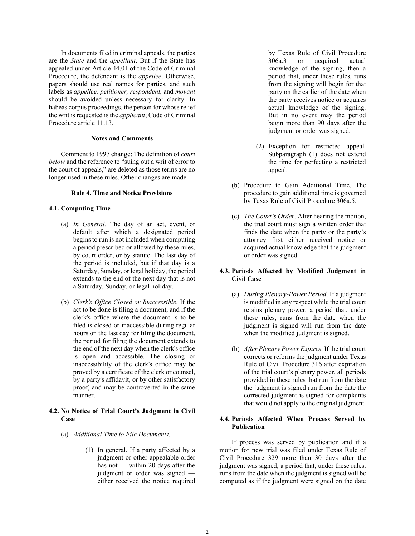In documents filed in criminal appeals, the parties are the *State* and the *appellant*. But if the State has appealed under Article 44.01 of the Code of Criminal Procedure, the defendant is the *appellee*. Otherwise, papers should use real names for parties, and such labels as *appellee, petitioner, respondent,* and *movant*  should be avoided unless necessary for clarity. In habeas corpus proceedings, the person for whose relief the writ is requested is the *applicant*; Code of Criminal Procedure article 11.13.

## **Notes and Comments**

Comment to 1997 change: The definition of *court below* and the reference to "suing out a writ of error to the court of appeals," are deleted as those terms are no longer used in these rules. Other changes are made.

# **Rule 4. Time and Notice Provisions**

# **4.1. Computing Time**

- (a) *In General.* The day of an act, event, or default after which a designated period begins to run is not included when computing a period prescribed or allowed by these rules, by court order, or by statute. The last day of the period is included, but if that day is a Saturday, Sunday, or legal holiday, the period extends to the end of the next day that is not a Saturday, Sunday, or legal holiday.
- (b) *Clerk's Office Closed or Inaccessible*. If the act to be done is filing a document, and if the clerk's office where the document is to be filed is closed or inaccessible during regular hours on the last day for filing the document, the period for filing the document extends to the end of the next day when the clerk's office is open and accessible. The closing or inaccessibility of the clerk's office may be proved by a certificate of the clerk or counsel, by a party's affidavit, or by other satisfactory proof, and may be controverted in the same manner.

# **4.2. No Notice of Trial Court's Judgment in Civil Case**

- (a) *Additional Time to File Documents*.
	- (1) In general. If a party affected by a judgment or other appealable order has not — within 20 days after the judgment or order was signed either received the notice required

by Texas Rule of Civil Procedure 306a.3 or acquired actual knowledge of the signing, then a period that, under these rules, runs from the signing will begin for that party on the earlier of the date when the party receives notice or acquires actual knowledge of the signing. But in no event may the period begin more than 90 days after the judgment or order was signed.

- (2) Exception for restricted appeal. Subparagraph (1) does not extend the time for perfecting a restricted appeal.
- (b) Procedure to Gain Additional Time. The procedure to gain additional time is governed by Texas Rule of Civil Procedure 306a.5.
- (c) *The Court's Order*. After hearing the motion, the trial court must sign a written order that finds the date when the party or the party's attorney first either received notice or acquired actual knowledge that the judgment or order was signed.

# **4.3. Periods Affected by Modified Judgment in Civil Case**

- (a) *During Plenary-Power Period*. If a judgment is modified in any respect while the trial court retains plenary power, a period that, under these rules, runs from the date when the judgment is signed will run from the date when the modified judgment is signed.
- (b) *After Plenary Power Expires*. If the trial court corrects or reforms the judgment under Texas Rule of Civil Procedure 316 after expiration of the trial court's plenary power, all periods provided in these rules that run from the date the judgment is signed run from the date the corrected judgment is signed for complaints that would not apply to the original judgment.

# **4.4. Periods Affected When Process Served by Publication**

If process was served by publication and if a motion for new trial was filed under Texas Rule of Civil Procedure 329 more than 30 days after the judgment was signed, a period that, under these rules, runs from the date when the judgment is signed will be computed as if the judgment were signed on the date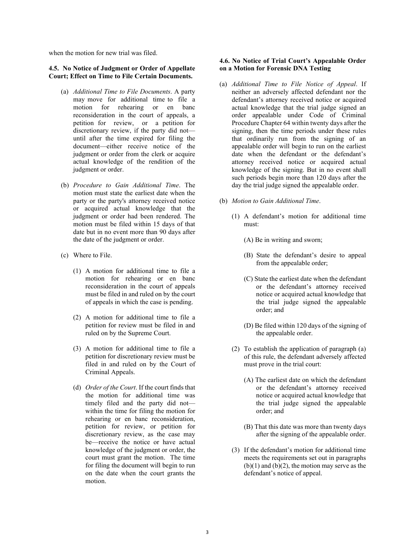when the motion for new trial was filed.

## **4.5. No Notice of Judgment or Order of Appellate Court; Effect on Time to File Certain Documents.**

- (a) *Additional Time to File Documents*. A party may move for additional time to file a motion for rehearing or en banc reconsideration in the court of appeals, a petition for review, or a petition for discretionary review, if the party did not until after the time expired for filing the document—either receive notice of the judgment or order from the clerk or acquire actual knowledge of the rendition of the judgment or order.
- (b) *Procedure to Gain Additional Time*. The motion must state the earliest date when the party or the party's attorney received notice or acquired actual knowledge that the judgment or order had been rendered. The motion must be filed within 15 days of that date but in no event more than 90 days after the date of the judgment or order.
- (c) Where to File.
	- (1) A motion for additional time to file a motion for rehearing or en banc reconsideration in the court of appeals must be filed in and ruled on by the court of appeals in which the case is pending.
	- (2) A motion for additional time to file a petition for review must be filed in and ruled on by the Supreme Court.
	- (3) A motion for additional time to file a petition for discretionary review must be filed in and ruled on by the Court of Criminal Appeals.
	- (d) *Order of the Court*. If the court finds that the motion for additional time was timely filed and the party did not within the time for filing the motion for rehearing or en banc reconsideration, petition for review, or petition for discretionary review, as the case may be—receive the notice or have actual knowledge of the judgment or order, the court must grant the motion. The time for filing the document will begin to run on the date when the court grants the motion.

## **4.6. No Notice of Trial Court's Appealable Order on a Motion for Forensic DNA Testing**

- (a) *Additional Time to File Notice of Appeal*. If neither an adversely affected defendant nor the defendant's attorney received notice or acquired actual knowledge that the trial judge signed an order appealable under Code of Criminal Procedure Chapter 64 within twenty days after the signing, then the time periods under these rules that ordinarily run from the signing of an appealable order will begin to run on the earliest date when the defendant or the defendant's attorney received notice or acquired actual knowledge of the signing. But in no event shall such periods begin more than 120 days after the day the trial judge signed the appealable order.
- (b) *Motion to Gain Additional Time*.
	- (1) A defendant's motion for additional time must:
		- (A) Be in writing and sworn;
		- (B) State the defendant's desire to appeal from the appealable order;
		- (C) State the earliest date when the defendant or the defendant's attorney received notice or acquired actual knowledge that the trial judge signed the appealable order; and
		- (D) Be filed within 120 days of the signing of the appealable order.
	- (2) To establish the application of paragraph (a) of this rule, the defendant adversely affected must prove in the trial court:
		- (A) The earliest date on which the defendant or the defendant's attorney received notice or acquired actual knowledge that the trial judge signed the appealable order; and
		- (B) That this date was more than twenty days after the signing of the appealable order.
	- (3) If the defendant's motion for additional time meets the requirements set out in paragraphs  $(b)(1)$  and  $(b)(2)$ , the motion may serve as the defendant's notice of appeal.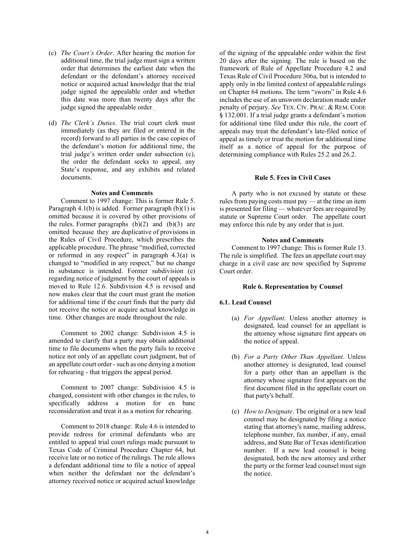- (c) *The Court's Order*. After hearing the motion for additional time, the trial judge must sign a written order that determines the earliest date when the defendant or the defendant's attorney received notice or acquired actual knowledge that the trial judge signed the appealable order and whether this date was more than twenty days after the judge signed the appealable order.
- (d) *The Clerk's Duties*. The trial court clerk must immediately (as they are filed or entered in the record) forward to all parties in the case copies of the defendant's motion for additional time, the trial judge's written order under subsection (c), the order the defendant seeks to appeal, any State's response, and any exhibits and related documents.

#### **Notes and Comments**

Comment to 1997 change: This is former Rule 5. Paragraph  $4.1(b)$  is added. Former paragraph  $(b)(1)$  is omitted because it is covered by other provisions of the rules. Former paragraphs  $(b)(2)$  and  $(b)(3)$  are omitted because they are duplicative of provisions in the Rules of Civil Procedure, which prescribes the applicable procedure. The phrase "modified, corrected or reformed in any respect" in paragraph 4.3(a) is changed to "modified in any respect," but no change in substance is intended. Former subdivision (e) regarding notice of judgment by the court of appeals is moved to Rule 12.6. Subdivision 4.5 is revised and now makes clear that the court must grant the motion for additional time if the court finds that the party did not receive the notice or acquire actual knowledge in time. Other changes are made throughout the rule.

Comment to 2002 change: Subdivision 4.5 is amended to clarify that a party may obtain additional time to file documents when the party fails to receive notice not only of an appellate court judgment, but of an appellate court order - such as one denying a motion for rehearing - that triggers the appeal period.

Comment to 2007 change: Subdivision 4.5 is changed, consistent with other changes in the rules, to specifically address a motion for en banc reconsideration and treat it as a motion for rehearing.

Comment to 2018 change: Rule 4.6 is intended to provide redress for criminal defendants who are entitled to appeal trial court rulings made pursuant to Texas Code of Criminal Procedure Chapter 64, but receive late or no notice of the rulings. The rule allows a defendant additional time to file a notice of appeal when neither the defendant nor the defendant's attorney received notice or acquired actual knowledge

of the signing of the appealable order within the first 20 days after the signing. The rule is based on the framework of Rule of Appellate Procedure 4.2 and Texas Rule of Civil Procedure 306a, but is intended to apply only in the limited context of appealable rulings on Chapter 64 motions. The term "sworn" in Rule 4.6 includes the use of an unsworn declaration made under penalty of perjury. *See* TEX. CIV. PRAC. & REM. CODE § 132.001. If a trial judge grants a defendant's motion for additional time filed under this rule, the court of appeals may treat the defendant's late-filed notice of appeal as timely or treat the motion for additional time itself as a notice of appeal for the purpose of determining compliance with Rules 25.2 and 26.2.

## **Rule 5. Fees in Civil Cases**

A party who is not excused by statute or these rules from paying costs must pay — at the time an item is presented for filing — whatever fees are required by statute or Supreme Court order. The appellate court may enforce this rule by any order that is just.

# **Notes and Comments**

Comment to 1997 change: This is former Rule 13. The rule is simplified. The fees an appellate court may charge in a civil case are now specified by Supreme Court order.

# **Rule 6. Representation by Counsel**

## **6.1. Lead Counsel**

- (a) *For Appellant*. Unless another attorney is designated, lead counsel for an appellant is the attorney whose signature first appears on the notice of appeal.
- (b) *For a Party Other Than Appellant*. Unless another attorney is designated, lead counsel for a party other than an appellant is the attorney whose signature first appears on the first document filed in the appellate court on that party's behalf.
- (c) *How to Designate*. The original or a new lead counsel may be designated by filing a notice stating that attorney's name, mailing address, telephone number, fax number, if any, email address, and State Bar of Texas identification number. If a new lead counsel is being designated, both the new attorney and either the party or the former lead counsel must sign the notice.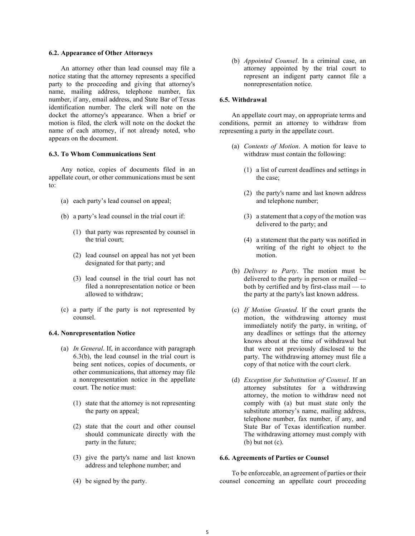#### **6.2. Appearance of Other Attorneys**

An attorney other than lead counsel may file a notice stating that the attorney represents a specified party to the proceeding and giving that attorney's name, mailing address, telephone number, fax number, if any, email address, and State Bar of Texas identification number. The clerk will note on the docket the attorney's appearance. When a brief or motion is filed, the clerk will note on the docket the name of each attorney, if not already noted, who appears on the document.

## **6.3. To Whom Communications Sent**

Any notice, copies of documents filed in an appellate court, or other communications must be sent to:

- (a) each party's lead counsel on appeal;
- (b) a party's lead counsel in the trial court if:
	- (1) that party was represented by counsel in the trial court;
	- (2) lead counsel on appeal has not yet been designated for that party; and
	- (3) lead counsel in the trial court has not filed a nonrepresentation notice or been allowed to withdraw;
- (c) a party if the party is not represented by counsel.

#### **6.4. Nonrepresentation Notice**

- (a) *In General*. If, in accordance with paragraph 6.3(b), the lead counsel in the trial court is being sent notices, copies of documents, or other communications, that attorney may file a nonrepresentation notice in the appellate court. The notice must:
	- (1) state that the attorney is not representing the party on appeal;
	- (2) state that the court and other counsel should communicate directly with the party in the future;
	- (3) give the party's name and last known address and telephone number; and
	- (4) be signed by the party.

(b) *Appointed Counsel*. In a criminal case, an attorney appointed by the trial court to represent an indigent party cannot file a nonrepresentation notice.

## **6.5. Withdrawal**

An appellate court may, on appropriate terms and conditions, permit an attorney to withdraw from representing a party in the appellate court.

- (a) *Contents of Motion*. A motion for leave to withdraw must contain the following:
	- (1) a list of current deadlines and settings in the case;
	- (2) the party's name and last known address and telephone number;
	- (3) a statement that a copy of the motion was delivered to the party; and
	- (4) a statement that the party was notified in writing of the right to object to the motion.
- (b) *Delivery to Party*. The motion must be delivered to the party in person or mailed both by certified and by first-class mail — to the party at the party's last known address.
- (c) *If Motion Granted*. If the court grants the motion, the withdrawing attorney must immediately notify the party, in writing, of any deadlines or settings that the attorney knows about at the time of withdrawal but that were not previously disclosed to the party. The withdrawing attorney must file a copy of that notice with the court clerk.
- (d) *Exception for Substitution of Counsel*. If an attorney substitutes for a withdrawing attorney, the motion to withdraw need not comply with (a) but must state only the substitute attorney's name, mailing address, telephone number, fax number, if any, and State Bar of Texas identification number. The withdrawing attorney must comply with (b) but not (c).

## **6.6. Agreements of Parties or Counsel**

To be enforceable, an agreement of parties or their counsel concerning an appellate court proceeding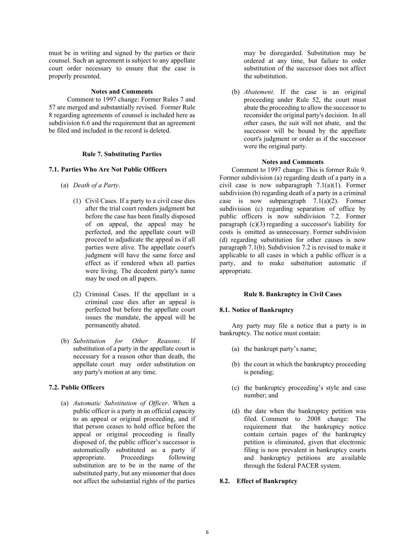must be in writing and signed by the parties or their counsel. Such an agreement is subject to any appellate court order necessary to ensure that the case is properly presented.

#### **Notes and Comments**

Comment to 1997 change: Former Rules 7 and 57 are merged and substantially revised. Former Rule 8 regarding agreements of counsel is included here as subdivision 6.6 and the requirement that an agreement be filed and included in the record is deleted.

## **Rule 7. Substituting Parties**

# **7.1. Parties Who Are Not Public Officers**

- (a) *Death of a Party*.
	- (1) Civil Cases. If a party to a civil case dies after the trial court renders judgment but before the case has been finally disposed of on appeal, the appeal may be perfected, and the appellate court will proceed to adjudicate the appeal as if all parties were alive. The appellate court's judgment will have the same force and effect as if rendered when all parties were living. The decedent party's name may be used on all papers.
	- (2) Criminal Cases. If the appellant in a criminal case dies after an appeal is perfected but before the appellate court issues the mandate, the appeal will be permanently abated.
- (b) *Substitution for Other Reasons*. If substitution of a party in the appellate court is necessary for a reason other than death, the appellate court may order substitution on any party's motion at any time.

## **7.2. Public Officers**

(a) *Automatic Substitution of Officer*. When a public officer is a party in an official capacity to an appeal or original proceeding, and if that person ceases to hold office before the appeal or original proceeding is finally disposed of, the public officer's successor is automatically substituted as a party if appropriate. Proceedings following substitution are to be in the name of the substituted party, but any misnomer that does not affect the substantial rights of the parties

may be disregarded. Substitution may be ordered at any time, but failure to order substitution of the successor does not affect the substitution.

(b) *Abatement*. If the case is an original proceeding under Rule 52, the court must abate the proceeding to allow the successor to reconsider the original party's decision. In all other cases, the suit will not abate, and the successor will be bound by the appellate court's judgment or order as if the successor were the original party.

## **Notes and Comments**

Comment to 1997 change: This is former Rule 9. Former subdivision (a) regarding death of a party in a civil case is now subparagraph 7.1(a)(1). Former subdivision (b) regarding death of a party in a criminal case is now subparagraph 7.1(a)(2). Former subdivision (c) regarding separation of office by public officers is now subdivision 7.2. Former paragraph (c)(3) regarding a successor's liability for costs is omitted as unnecessary. Former subdivision (d) regarding substitution for other causes is now paragraph 7.1(b). Subdivision 7.2 is revised to make it applicable to all cases in which a public officer is a party, and to make substitution automatic if appropriate.

## **Rule 8. Bankruptcy in Civil Cases**

## <span id="page-19-0"></span>**8.1. Notice of Bankruptcy**

Any party may file a notice that a party is in bankruptcy. The notice must contain:

- (a) the bankrupt party's name;
- (b) the court in which the bankruptcy proceeding is pending;
- (c) the bankruptcy proceeding's style and case number; and
- (d) the date when the bankruptcy petition was filed. Comment to 2008 change: The requirement that the bankruptcy notice contain certain pages of the bankruptcy petition is eliminated, given that electronic filing is now prevalent in bankruptcy courts and bankruptcy petitions are available through the federal PACER system.

# **8.2. Effect of Bankruptcy**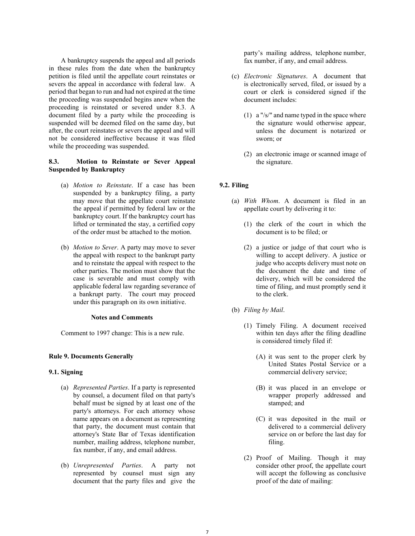A bankruptcy suspends the appeal and all periods in these rules from the date when the bankruptcy petition is filed until the appellate court reinstates or severs the appeal in accordance with federal law. A period that began to run and had not expired at the time the proceeding was suspended begins anew when the proceeding is reinstated or severed under 8.3. A document filed by a party while the proceeding is suspended will be deemed filed on the same day, but after, the court reinstates or severs the appeal and will not be considered ineffective because it was filed while the proceeding was suspended.

# **8.3. Motion to Reinstate or Sever Appeal Suspended by Bankruptcy**

- (a) *Motion to Reinstate*. If a case has been suspended by a bankruptcy filing, a party may move that the appellate court reinstate the appeal if permitted by federal law or the bankruptcy court. If the bankruptcy court has lifted or terminated the stay, a certified copy of the order must be attached to the motion.
- (b) *Motion to Sever*. A party may move to sever the appeal with respect to the bankrupt party and to reinstate the appeal with respect to the other parties. The motion must show that the case is severable and must comply with applicable federal law regarding severance of a bankrupt party. The court may proceed under this paragraph on its own initiative.

#### **Notes and Comments**

Comment to 1997 change: This is a new rule.

# <span id="page-20-0"></span>**Rule 9. Documents Generally**

# **9.1. Signing**

- (a) *Represented Parties*. If a party is represented by counsel, a document filed on that party's behalf must be signed by at least one of the party's attorneys. For each attorney whose name appears on a document as representing that party, the document must contain that attorney's State Bar of Texas identification number, mailing address, telephone number, fax number, if any, and email address.
- (b) *Unrepresented Parties*. A party not represented by counsel must sign any document that the party files and give the

party's mailing address, telephone number, fax number, if any, and email address.

- (c) *Electronic Signatures*. A document that is electronically served, filed, or issued by a court or clerk is considered signed if the document includes:
	- (1) a "/s/" and name typed in the space where the signature would otherwise appear, unless the document is notarized or sworn; or
	- (2) an electronic image or scanned image of the signature.

#### **9.2. Filing**

- (a) *With Whom*. A document is filed in an appellate court by delivering it to:
	- (1) the clerk of the court in which the document is to be filed; or
	- (2) a justice or judge of that court who is willing to accept delivery. A justice or judge who accepts delivery must note on the document the date and time of delivery, which will be considered the time of filing, and must promptly send it to the clerk.
- (b) *Filing by Mail*.
	- (1) Timely Filing. A document received within ten days after the filing deadline is considered timely filed if:
		- (A) it was sent to the proper clerk by United States Postal Service or a commercial delivery service;
		- (B) it was placed in an envelope or wrapper properly addressed and stamped; and
		- (C) it was deposited in the mail or delivered to a commercial delivery service on or before the last day for filing.
	- (2) Proof of Mailing. Though it may consider other proof, the appellate court will accept the following as conclusive proof of the date of mailing: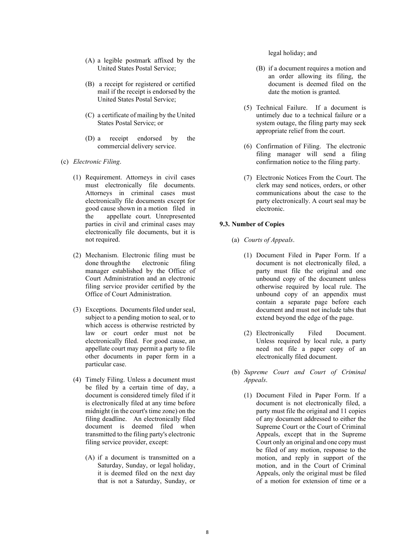- (A) a legible postmark affixed by the United States Postal Service;
- (B) a receipt for registered or certified mail if the receipt is endorsed by the United States Postal Service;
- (C) a certificate of mailing by the United States Postal Service; or
- (D) a receipt endorsed by the commercial delivery service.
- (c) *Electronic Filing*.
	- (1) Requirement. Attorneys in civil cases must electronically file documents. Attorneys in criminal cases must electronically file documents except for good cause shown in a motion filed in the appellate court. Unrepresented parties in civil and criminal cases may electronically file documents, but it is not required.
	- (2) Mechanism. Electronic filing must be done throughthe electronic filing manager established by the Office of Court Administration and an electronic filing service provider certified by the Office of Court Administration.
	- (3) Exceptions. Documents filed under seal, subject to a pending motion to seal, or to which access is otherwise restricted by law or court order must not be electronically filed. For good cause, an appellate court may permit a party to file other documents in paper form in a particular case.
	- (4) Timely Filing. Unless a document must be filed by a certain time of day, a document is considered timely filed if it is electronically filed at any time before midnight (in the court's time zone) on the filing deadline. An electronically filed document is deemed filed when transmitted to the filing party's electronic filing service provider, except:
		- (A) if a document is transmitted on a Saturday, Sunday, or legal holiday, it is deemed filed on the next day that is not a Saturday, Sunday, or

legal holiday; and

- (B) if a document requires a motion and an order allowing its filing, the document is deemed filed on the date the motion is granted.
- (5) Technical Failure. If a document is untimely due to a technical failure or a system outage, the filing party may seek appropriate relief from the court.
- (6) Confirmation of Filing. The electronic filing manager will send a filing confirmation notice to the filing party.
- (7) Electronic Notices From the Court. The clerk may send notices, orders, or other communications about the case to the party electronically. A court seal may be electronic.

# **9.3. Number of Copies**

- (a) *Courts of Appeals*.
	- (1) Document Filed in Paper Form. If a document is not electronically filed, a party must file the original and one unbound copy of the document unless otherwise required by local rule. The unbound copy of an appendix must contain a separate page before each document and must not include tabs that extend beyond the edge of the page.
	- (2) Electronically Filed Document. Unless required by local rule, a party need not file a paper copy of an electronically filed document.
- (b) *Supreme Court and Court of Criminal Appeals*.
	- (1) Document Filed in Paper Form. If a document is not electronically filed, a party must file the original and 11 copies of any document addressed to either the Supreme Court or the Court of Criminal Appeals, except that in the Supreme Court only an original and one copy must be filed of any motion, response to the motion, and reply in support of the motion, and in the Court of Criminal Appeals, only the original must be filed of a motion for extension of time or a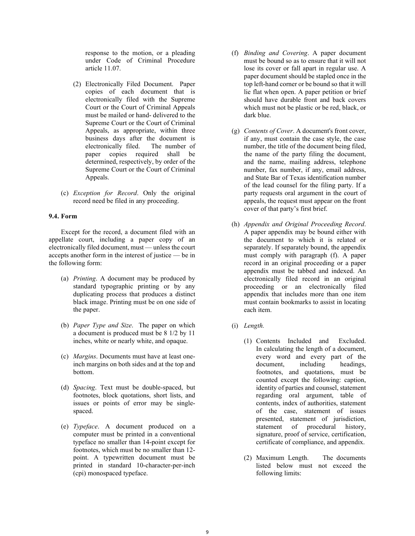response to the motion, or a pleading under Code of Criminal Procedure article 11.07.

- (2) Electronically Filed Document. Paper copies of each document that is electronically filed with the Supreme Court or the Court of Criminal Appeals must be mailed or hand- delivered to the Supreme Court or the Court of Criminal Appeals, as appropriate, within three business days after the document is electronically filed. The number of paper copies required shall be determined, respectively, by order of the Supreme Court or the Court of Criminal Appeals.
- (c) *Exception for Record*. Only the original record need be filed in any proceeding.

# **9.4. Form**

Except for the record, a document filed with an appellate court, including a paper copy of an electronically filed document, must — unless the court accepts another form in the interest of justice — be in the following form:

- (a) *Printing*. A document may be produced by standard typographic printing or by any duplicating process that produces a distinct black image. Printing must be on one side of the paper.
- (b) *Paper Type and Size*. The paper on which a document is produced must be 8 1/2 by 11 inches, white or nearly white, and opaque.
- (c) *Margins*. Documents must have at least oneinch margins on both sides and at the top and bottom.
- (d) *Spacing*. Text must be double-spaced, but footnotes, block quotations, short lists, and issues or points of error may be singlespaced.
- (e) *Typeface*. A document produced on a computer must be printed in a conventional typeface no smaller than 14-point except for footnotes, which must be no smaller than 12 point. A typewritten document must be printed in standard 10-character-per-inch (cpi) monospaced typeface.
- (f) *Binding and Covering*. A paper document must be bound so as to ensure that it will not lose its cover or fall apart in regular use. A paper document should be stapled once in the top left-hand corner or be bound so that it will lie flat when open. A paper petition or brief should have durable front and back covers which must not be plastic or be red, black, or dark blue.
- (g) *Contents of Cover*. A document's front cover, if any, must contain the case style, the case number, the title of the document being filed, the name of the party filing the document, and the name, mailing address, telephone number, fax number, if any, email address, and State Bar of Texas identification number of the lead counsel for the filing party. If a party requests oral argument in the court of appeals, the request must appear on the front cover of that party's first brief.
- (h) *Appendix and Original Proceeding Record*. A paper appendix may be bound either with the document to which it is related or separately. If separately bound, the appendix must comply with paragraph (f). A paper record in an original proceeding or a paper appendix must be tabbed and indexed. An electronically filed record in an original proceeding or an electronically filed appendix that includes more than one item must contain bookmarks to assist in locating each item.
- (i) *Length.*
	- (1) Contents Included and Excluded. In calculating the length of a document, every word and every part of the document, including headings, footnotes, and quotations, must be counted except the following: caption, identity of parties and counsel, statement regarding oral argument, table of contents, index of authorities, statement of the case, statement of issues presented, statement of jurisdiction, statement of procedural history, signature, proof of service, certification, certificate of compliance, and appendix.
	- (2) Maximum Length. The documents listed below must not exceed the following limits: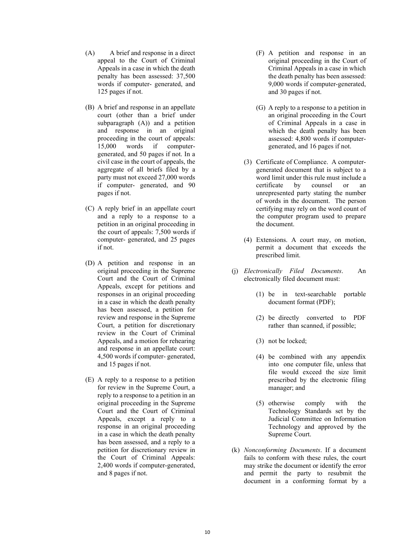- (A) A brief and response in a direct appeal to the Court of Criminal Appeals in a case in which the death penalty has been assessed: 37,500 words if computer- generated, and 125 pages if not.
- (B) A brief and response in an appellate court (other than a brief under subparagraph (A)) and a petition and response in an original proceeding in the court of appeals: 15,000 words if computergenerated, and 50 pages if not. In a civil case in the court of appeals, the aggregate of all briefs filed by a party must not exceed 27,000 words if computer- generated, and 90 pages if not.
- (C) A reply brief in an appellate court and a reply to a response to a petition in an original proceeding in the court of appeals: 7,500 words if computer- generated, and 25 pages if not.
- (D) A petition and response in an original proceeding in the Supreme Court and the Court of Criminal Appeals, except for petitions and responses in an original proceeding in a case in which the death penalty has been assessed, a petition for review and response in the Supreme Court, a petition for discretionary review in the Court of Criminal Appeals, and a motion for rehearing and response in an appellate court: 4,500 words if computer- generated, and 15 pages if not.
- (E) A reply to a response to a petition for review in the Supreme Court, a reply to a response to a petition in an original proceeding in the Supreme Court and the Court of Criminal Appeals, except a reply to a response in an original proceeding in a case in which the death penalty has been assessed, and a reply to a petition for discretionary review in the Court of Criminal Appeals: 2,400 words if computer-generated, and 8 pages if not.
- (F) A petition and response in an original proceeding in the Court of Criminal Appeals in a case in which the death penalty has been assessed: 9,000 words if computer-generated, and 30 pages if not.
- (G) A reply to a response to a petition in an original proceeding in the Court of Criminal Appeals in a case in which the death penalty has been assessed: 4,800 words if computergenerated, and 16 pages if not.
- (3) Certificate of Compliance. A computergenerated document that is subject to a word limit under this rule must include a certificate by counsel or an unrepresented party stating the number of words in the document. The person certifying may rely on the word count of the computer program used to prepare the document.
- (4) Extensions. A court may, on motion, permit a document that exceeds the prescribed limit.
- (j) *Electronically Filed Documents*. An electronically filed document must:
	- (1) be in text-searchable portable document format (PDF);
	- (2) be directly converted to PDF rather than scanned, if possible;
	- (3) not be locked;
	- (4) be combined with any appendix into one computer file, unless that file would exceed the size limit prescribed by the electronic filing manager; and
	- (5) otherwise comply with the Technology Standards set by the Judicial Committee on Information Technology and approved by the Supreme Court.
- (k) *Nonconforming Documents*. If a document fails to conform with these rules, the court may strike the document or identify the error and permit the party to resubmit the document in a conforming format by a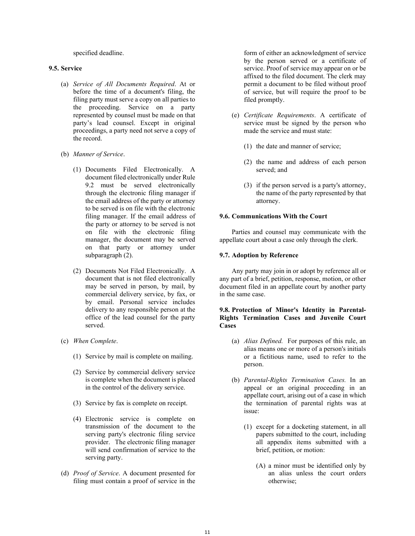specified deadline.

## **9.5. Service**

- (a) *Service of All Documents Required*. At or before the time of a document's filing, the filing party must serve a copy on all parties to the proceeding. Service on a party represented by counsel must be made on that party's lead counsel. Except in original proceedings, a party need not serve a copy of the record.
- (b) *Manner of Service*.
	- (1) Documents Filed Electronically. A document filed electronically under Rule 9.2 must be served electronically through the electronic filing manager if the email address of the party or attorney to be served is on file with the electronic filing manager. If the email address of the party or attorney to be served is not on file with the electronic filing manager, the document may be served on that party or attorney under subparagraph (2).
	- (2) Documents Not Filed Electronically. A document that is not filed electronically may be served in person, by mail, by commercial delivery service, by fax, or by email. Personal service includes delivery to any responsible person at the office of the lead counsel for the party served.
- (c) *When Complete*.
	- (1) Service by mail is complete on mailing.
	- (2) Service by commercial delivery service is complete when the document is placed in the control of the delivery service.
	- (3) Service by fax is complete on receipt.
	- (4) Electronic service is complete on transmission of the document to the serving party's electronic filing service provider. The electronic filing manager will send confirmation of service to the serving party.
- (d) *Proof of Service*. A document presented for filing must contain a proof of service in the

form of either an acknowledgment of service by the person served or a certificate of service. Proof of service may appear on or be affixed to the filed document. The clerk may permit a document to be filed without proof of service, but will require the proof to be filed promptly.

- (e) *Certificate Requirements*. A certificate of service must be signed by the person who made the service and must state:
	- (1) the date and manner of service;
	- (2) the name and address of each person served; and
	- (3) if the person served is a party's attorney, the name of the party represented by that attorney.

## **9.6. Communications With the Court**

Parties and counsel may communicate with the appellate court about a case only through the clerk.

# **9.7. Adoption by Reference**

Any party may join in or adopt by reference all or any part of a brief, petition, response, motion, or other document filed in an appellate court by another party in the same case.

# **9.8. Protection of Minor's Identity in Parental-Rights Termination Cases and Juvenile Court Cases**

- (a) *Alias Defined.* For purposes of this rule, an alias means one or more of a person's initials or a fictitious name, used to refer to the person.
- (b) *Parental-Rights Termination Cases.* In an appeal or an original proceeding in an appellate court, arising out of a case in which the termination of parental rights was at issue:
	- (1) except for a docketing statement, in all papers submitted to the court, including all appendix items submitted with a brief, petition, or motion:
		- (A) a minor must be identified only by an alias unless the court orders otherwise;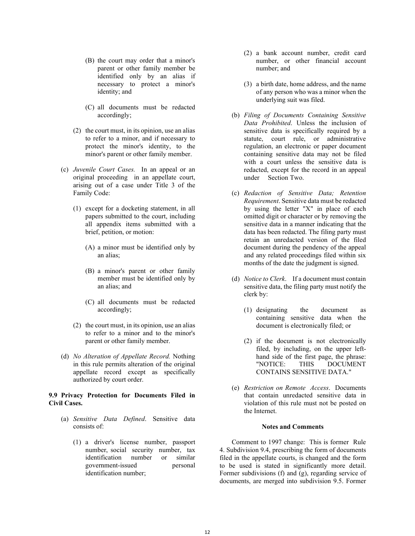- (B) the court may order that a minor's parent or other family member be identified only by an alias if necessary to protect a minor's identity; and
- (C) all documents must be redacted accordingly;
- (2) the court must, in its opinion, use an alias to refer to a minor, and if necessary to protect the minor's identity, to the minor's parent or other family member.
- (c) *Juvenile Court Cases.* In an appeal or an original proceeding in an appellate court, arising out of a case under Title 3 of the Family Code:
	- (1) except for a docketing statement, in all papers submitted to the court, including all appendix items submitted with a brief, petition, or motion:
		- (A) a minor must be identified only by an alias;
		- (B) a minor's parent or other family member must be identified only by an alias; and
		- (C) all documents must be redacted accordingly;
	- (2) the court must, in its opinion, use an alias to refer to a minor and to the minor's parent or other family member.
- (d) *No Alteration of Appellate Record.* Nothing in this rule permits alteration of the original appellate record except as specifically authorized by court order.

# **9.9 Privacy Protection for Documents Filed in Civil Cases.**

- (a) *Sensitive Data Defined*. Sensitive data consists of:
	- (1) a driver's license number, passport number, social security number, tax identification number or similar<br>government-issued personal government-issued identification number;
- (2) a bank account number, credit card number, or other financial account number; and
- (3) a birth date, home address, and the name of any person who was a minor when the underlying suit was filed.
- (b) *Filing of Documents Containing Sensitive Data Prohibited*. Unless the inclusion of sensitive data is specifically required by a statute, court rule, or administrative regulation, an electronic or paper document containing sensitive data may not be filed with a court unless the sensitive data is redacted, except for the record in an appeal under Section Two.
- (c) *Redaction of Sensitive Data; Retention Requirement*. Sensitive data must be redacted by using the letter "X" in place of each omitted digit or character or by removing the sensitive data in a manner indicating that the data has been redacted. The filing party must retain an unredacted version of the filed document during the pendency of the appeal and any related proceedings filed within six months of the date the judgment is signed.
- (d) *Notice to Clerk*. If a document must contain sensitive data, the filing party must notify the clerk by:
	- (1) designating the document as containing sensitive data when the document is electronically filed; or
	- (2) if the document is not electronically filed, by including, on the upper lefthand side of the first page, the phrase: "NOTICE: THIS DOCUMENT CONTAINS SENSITIVE DATA."
- (e) *Restriction on Remote Access*. Documents that contain unredacted sensitive data in violation of this rule must not be posted on the Internet.

#### **Notes and Comments**

Comment to 1997 change: This is former Rule 4. Subdivision 9.4, prescribing the form of documents filed in the appellate courts, is changed and the form to be used is stated in significantly more detail. Former subdivisions (f) and (g), regarding service of documents, are merged into subdivision 9.5. Former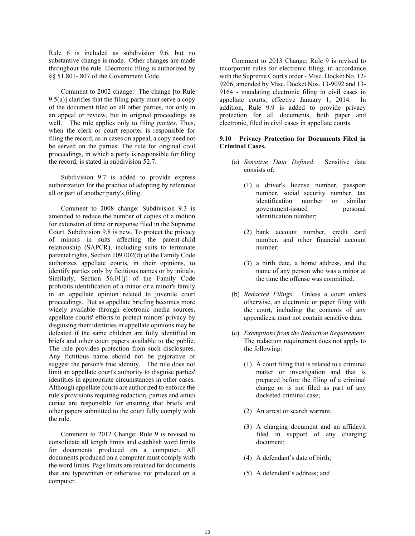Rule 6 is included as subdivision 9.6, but no substantive change is made. Other changes are made throughout the rule. Electronic filing is authorized by §§ 51.801-.807 of the Government Code.

Comment to 2002 change: The change [to Rule  $9.5(a)$ ] clarifies that the filing party must serve a copy of the document filed on all other parties, not only in an appeal or review, but in original proceedings as well. The rule applies only to filing *parties*. Thus, when the clerk or court reporter is responsible for filing the record, as in cases on appeal, a copy need not be served on the parties. The rule for original civil proceedings, in which a party is responsible for filing the record, is stated in subdivision 52.7.

Subdivision 9.7 is added to provide express authorization for the practice of adopting by reference all or part of another party's filing.

Comment to 2008 change: Subdivision 9.3 is amended to reduce the number of copies of a motion for extension of time or response filed in the Supreme Court. Subdivision 9.8 is new. To protect the privacy of minors in suits affecting the parent-child relationship (SAPCR), including suits to terminate parental rights, Section 109.002(d) of the Family Code authorizes appellate courts, in their opinions, to identify parties only by fictitious names or by initials. Similarly, Section 56.01(j) of the Family Code prohibits identification of a minor or a minor's family in an appellate opinion related to juvenile court proceedings. But as appellate briefing becomes more widely available through electronic media sources, appellate courts' efforts to protect minors' privacy by disguising their identities in appellate opinions may be defeated if the same children are fully identified in briefs and other court papers available to the public. The rule provides protection from such disclosures. Any fictitious name should not be pejorative or suggest the person's true identity. The rule does not limit an appellate court's authority to disguise parties' identities in appropriate circumstances in other cases. Although appellate courts are authorized to enforce the rule's provisions requiring redaction, parties and amici curiae are responsible for ensuring that briefs and other papers submitted to the court fully comply with the rule.

Comment to 2012 Change: Rule 9 is revised to consolidate all length limits and establish word limits for documents produced on a computer. All documents produced on a computer must comply with the word limits. Page limits are retained for documents that are typewritten or otherwise not produced on a computer.

Comment to 2013 Change: Rule 9 is revised to incorporate rules for electronic filing, in accordance with the Supreme Court's order - Misc. Docket No. 12- 9206, amended by Misc. Docket Nos. 13-9092 and 13- 9164 - mandating electronic filing in civil cases in appellate courts, effective January 1, 2014. In addition, Rule 9.9 is added to provide privacy protection for all documents, both paper and electronic, filed in civil cases in appellate courts.

## **9.10 Privacy Protection for Documents Filed in Criminal Cases.**

- (a) *Sensitive Data Defined*. Sensitive data consists of:
	- (1) a driver's license number, passport number, social security number, tax identification number or similar government-issued personal identification number;
	- (2) bank account number, credit card number, and other financial account number;
	- (3) a birth date, a home address, and the name of any person who was a minor at the time the offense was committed.
- (b) *Redacted Filings*. Unless a court orders otherwise, an electronic or paper filing with the court, including the contents of any appendices, must not contain sensitive data.
- (c) *Exemptions from the Redaction Requirement.* The redaction requirement does not apply to the following:
	- (1) A court filing that is related to a criminal matter or investigation and that is prepared before the filing of a criminal charge or is not filed as part of any docketed criminal case;
	- (2) An arrest or search warrant;
	- (3) A charging document and an affidavit filed in support of any charging document;
	- (4) A defendant's date of birth;
	- (5) A defendant's address; and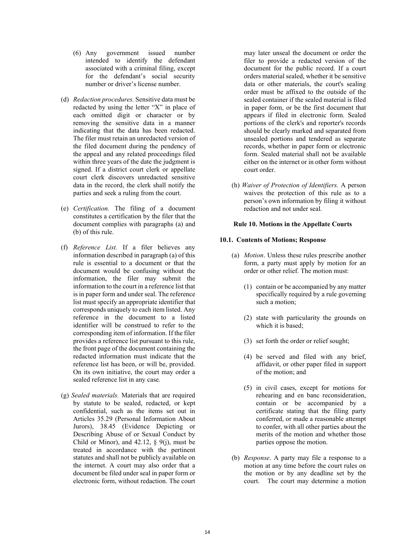- (6) Any government issued number intended to identify the defendant associated with a criminal filing, except for the defendant's social security number or driver's license number.
- (d) *Redaction procedures.* Sensitive data must be redacted by using the letter "X" in place of each omitted digit or character or by removing the sensitive data in a manner indicating that the data has been redacted. The filer must retain an unredacted version of the filed document during the pendency of the appeal and any related proceedings filed within three years of the date the judgment is signed. If a district court clerk or appellate court clerk discovers unredacted sensitive data in the record, the clerk shall notify the parties and seek a ruling from the court.
- (e) *Certification.* The filing of a document constitutes a certification by the filer that the document complies with paragraphs (a) and (b) of this rule.
- (f) *Reference List.* If a filer believes any information described in paragraph (a) of this rule is essential to a document or that the document would be confusing without the information, the filer may submit the information to the court in a reference list that is in paper form and under seal. The reference list must specify an appropriate identifier that corresponds uniquely to each item listed. Any reference in the document to a listed identifier will be construed to refer to the corresponding item of information. If the filer provides a reference list pursuant to this rule, the front page of the document containing the redacted information must indicate that the reference list has been, or will be, provided. On its own initiative, the court may order a sealed reference list in any case.
- (g) *Sealed materials.* Materials that are required by statute to be sealed, redacted, or kept confidential, such as the items set out in Articles 35.29 (Personal Information About Jurors), 38.45 (Evidence Depicting or Describing Abuse of or Sexual Conduct by Child or Minor), and  $42.12$ ,  $\S$   $9(i)$ , must be treated in accordance with the pertinent statutes and shall not be publicly available on the internet. A court may also order that a document be filed under seal in paper form or electronic form, without redaction. The court

may later unseal the document or order the filer to provide a redacted version of the document for the public record. If a court orders material sealed, whether it be sensitive data or other materials, the court's sealing order must be affixed to the outside of the sealed container if the sealed material is filed in paper form, or be the first document that appears if filed in electronic form. Sealed portions of the clerk's and reporter's records should be clearly marked and separated from unsealed portions and tendered as separate records, whether in paper form or electronic form. Sealed material shall not be available either on the internet or in other form without court order.

(h) *Waiver of Protection of Identifiers.* A person waives the protection of this rule as to a person's own information by filing it without redaction and not under seal.

#### <span id="page-27-0"></span>**Rule 10. Motions in the Appellate Courts**

#### **10.1. Contents of Motions; Response**

- (a) *Motion*. Unless these rules prescribe another form, a party must apply by motion for an order or other relief. The motion must:
	- (1) contain or be accompanied by any matter specifically required by a rule governing such a motion;
	- (2) state with particularity the grounds on which it is based;
	- (3) set forth the order or relief sought;
	- (4) be served and filed with any brief, affidavit, or other paper filed in support of the motion; and
	- (5) in civil cases, except for motions for rehearing and en banc reconsideration, contain or be accompanied by a certificate stating that the filing party conferred, or made a reasonable attempt to confer, with all other parties about the merits of the motion and whether those parties oppose the motion.
- (b) *Response*. A party may file a response to a motion at any time before the court rules on the motion or by any deadline set by the court. The court may determine a motion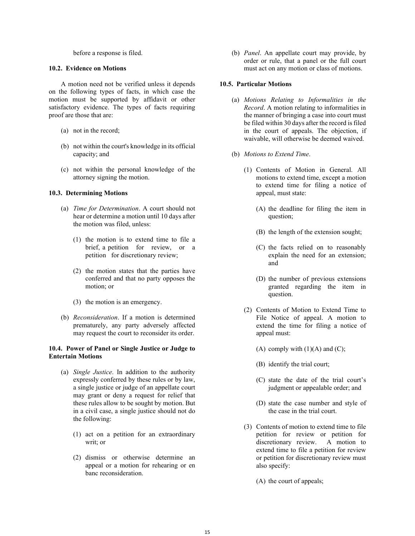#### before a response is filed.

## **10.2. Evidence on Motions**

A motion need not be verified unless it depends on the following types of facts, in which case the motion must be supported by affidavit or other satisfactory evidence. The types of facts requiring proof are those that are:

- (a) not in the record;
- (b) not within the court's knowledge in its official capacity; and
- (c) not within the personal knowledge of the attorney signing the motion.

## **10.3. Determining Motions**

- (a) *Time for Determination*. A court should not hear or determine a motion until 10 days after the motion was filed, unless:
	- (1) the motion is to extend time to file a brief, a petition for review, or a petition for discretionary review;
	- (2) the motion states that the parties have conferred and that no party opposes the motion; or
	- (3) the motion is an emergency.
- (b) *Reconsideration*. If a motion is determined prematurely, any party adversely affected may request the court to reconsider its order.

## **10.4. Power of Panel or Single Justice or Judge to Entertain Motions**

- (a) *Single Justice*. In addition to the authority expressly conferred by these rules or by law, a single justice or judge of an appellate court may grant or deny a request for relief that these rules allow to be sought by motion. But in a civil case, a single justice should not do the following:
	- (1) act on a petition for an extraordinary writ; or
	- (2) dismiss or otherwise determine an appeal or a motion for rehearing or en banc reconsideration.

(b) *Panel*. An appellate court may provide, by order or rule, that a panel or the full court must act on any motion or class of motions.

#### **10.5. Particular Motions**

- (a) *Motions Relating to Informalities in the Record*. A motion relating to informalities in the manner of bringing a case into court must be filed within 30 days after the record is filed in the court of appeals. The objection, if waivable, will otherwise be deemed waived.
- (b) *Motions to Extend Time*.
	- (1) Contents of Motion in General. All motions to extend time, except a motion to extend time for filing a notice of appeal, must state:
		- (A) the deadline for filing the item in question;
		- (B) the length of the extension sought;
		- (C) the facts relied on to reasonably explain the need for an extension; and
		- (D) the number of previous extensions granted regarding the item in question.
	- (2) Contents of Motion to Extend Time to File Notice of appeal. A motion to extend the time for filing a notice of appeal must:
		- (A) comply with  $(1)(A)$  and  $(C)$ ;
		- (B) identify the trial court;
		- (C) state the date of the trial court's judgment or appealable order; and
		- (D) state the case number and style of the case in the trial court.
	- (3) Contents of motion to extend time to file petition for review or petition for discretionary review. A motion to extend time to file a petition for review or petition for discretionary review must also specify:
		- (A) the court of appeals;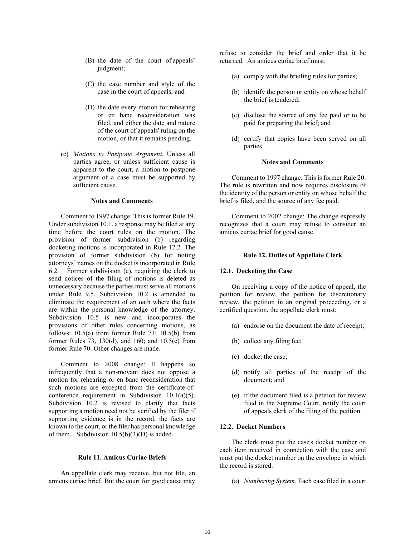- (B) the date of the court of appeals' judgment;
- (C) the case number and style of the case in the court of appeals; and
- (D) the date every motion for rehearing or en banc reconsideration was filed, and either the date and nature of the court of appeals' ruling on the motion, or that it remains pending.
- (c) *Motions to Postpone Argument*. Unless all parties agree, or unless sufficient cause is apparent to the court, a motion to postpone argument of a case must be supported by sufficient cause.

## **Notes and Comments**

Comment to 1997 change: This is former Rule 19. Under subdivision 10.1, a response may be filed at any time before the court rules on the motion. The provision of former subdivision (b) regarding docketing motions is incorporated in Rule 12.2. The provision of former subdivision (b) for noting attorneys' names on the docket is incorporated in Rule 6.2. Former subdivision (c), requiring the clerk to send notices of the filing of motions is deleted as unnecessary because the parties must serve all motions under Rule 9.5. Subdivision 10.2 is amended to eliminate the requirement of an oath where the facts are within the personal knowledge of the attorney. Subdivision 10.5 is new and incorporates the provisions of other rules concerning motions, as follows:  $10.5(a)$  from former Rule 71;  $10.5(b)$  from former Rules 73, 130(d), and 160; and 10.5(c) from former Rule 70. Other changes are made.

Comment to 2008 change: It happens so infrequently that a non-movant does not oppose a motion for rehearing or en banc reconsideration that such motions are excepted from the certificate-ofconference requirement in Subdivision 10.1(a)(5). Subdivision 10.2 is revised to clarify that facts supporting a motion need not be verified by the filer if supporting evidence is in the record, the facts are known to the court, or the filer has personal knowledge of them. Subdivision  $10.5(b)(3)(D)$  is added.

## **Rule 11. Amicus Curiae Briefs**

<span id="page-29-0"></span>An appellate clerk may receive, but not file, an amicus curiae brief. But the court for good cause may refuse to consider the brief and order that it be returned. An amicus curiae brief must:

- (a) comply with the briefing rules for parties;
- (b) identify the person or entity on whose behalf the brief is tendered;
- (c) disclose the source of any fee paid or to be paid for preparing the brief; and
- (d) certify that copies have been served on all parties.

#### **Notes and Comments**

Comment to 1997 change: This is former Rule 20. The rule is rewritten and now requires disclosure of the identity of the person or entity on whose behalf the brief is filed, and the source of any fee paid.

Comment to 2002 change: The change expressly recognizes that a court may refuse to consider an amicus curiae brief for good cause.

#### **Rule 12. Duties of Appellate Clerk**

#### <span id="page-29-1"></span>**12.1. Docketing the Case**

On receiving a copy of the notice of appeal, the petition for review, the petition for discretionary review, the petition in an original proceeding, or a certified question, the appellate clerk must:

- (a) endorse on the document the date of receipt;
- (b) collect any filing fee;
- (c) docket the case;
- (d) notify all parties of the receipt of the document; and
- (e) if the document filed is a petition for review filed in the Supreme Court, notify the court of appeals clerk of the filing of the petition.

#### **12.2. Docket Numbers**

The clerk must put the case's docket number on each item received in connection with the case and must put the docket number on the envelope in which the record is stored.

(a) *Numbering System.* Each case filed in a court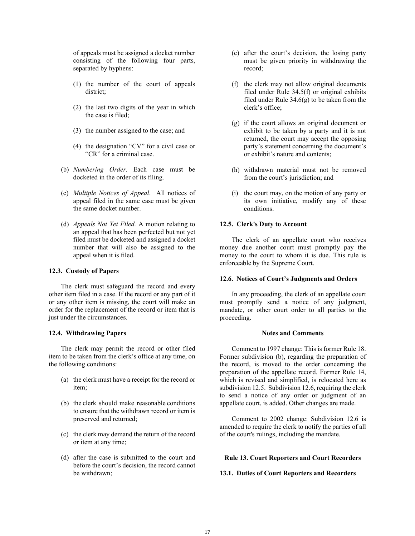of appeals must be assigned a docket number consisting of the following four parts, separated by hyphens:

- (1) the number of the court of appeals district;
- (2) the last two digits of the year in which the case is filed;
- (3) the number assigned to the case; and
- (4) the designation "CV" for a civil case or "CR" for a criminal case.
- (b) *Numbering Order.* Each case must be docketed in the order of its filing.
- (c) *Multiple Notices of Appeal*. All notices of appeal filed in the same case must be given the same docket number.
- (d) *Appeals Not Yet Filed.* A motion relating to an appeal that has been perfected but not yet filed must be docketed and assigned a docket number that will also be assigned to the appeal when it is filed.

## **12.3. Custody of Papers**

The clerk must safeguard the record and every other item filed in a case. If the record or any part of it or any other item is missing, the court will make an order for the replacement of the record or item that is just under the circumstances.

## **12.4. Withdrawing Papers**

The clerk may permit the record or other filed item to be taken from the clerk's office at any time, on the following conditions:

- (a) the clerk must have a receipt for the record or item;
- (b) the clerk should make reasonable conditions to ensure that the withdrawn record or item is preserved and returned;
- (c) the clerk may demand the return of the record or item at any time;
- (d) after the case is submitted to the court and before the court's decision, the record cannot be withdrawn;
- (e) after the court's decision, the losing party must be given priority in withdrawing the record;
- (f) the clerk may not allow original documents filed under Rule 34.5(f) or original exhibits filed under Rule  $34.6(g)$  to be taken from the clerk's office;
- (g) if the court allows an original document or exhibit to be taken by a party and it is not returned, the court may accept the opposing party's statement concerning the document's or exhibit's nature and contents;
- (h) withdrawn material must not be removed from the court's jurisdiction; and
- (i) the court may, on the motion of any party or its own initiative, modify any of these conditions.

# **12.5. Clerk's Duty to Account**

The clerk of an appellate court who receives money due another court must promptly pay the money to the court to whom it is due. This rule is enforceable by the Supreme Court.

# **12.6. Notices of Court's Judgments and Orders**

In any proceeding, the clerk of an appellate court must promptly send a notice of any judgment, mandate, or other court order to all parties to the proceeding.

## **Notes and Comments**

Comment to 1997 change: This is former Rule 18. Former subdivision (b), regarding the preparation of the record, is moved to the order concerning the preparation of the appellate record. Former Rule 14, which is revised and simplified, is relocated here as subdivision 12.5. Subdivision 12.6, requiring the clerk to send a notice of any order or judgment of an appellate court, is added. Other changes are made.

Comment to 2002 change: Subdivision 12.6 is amended to require the clerk to notify the parties of all of the court's rulings, including the mandate.

## <span id="page-30-0"></span>**Rule 13. Court Reporters and Court Recorders**

## **13.1. Duties of Court Reporters and Recorders**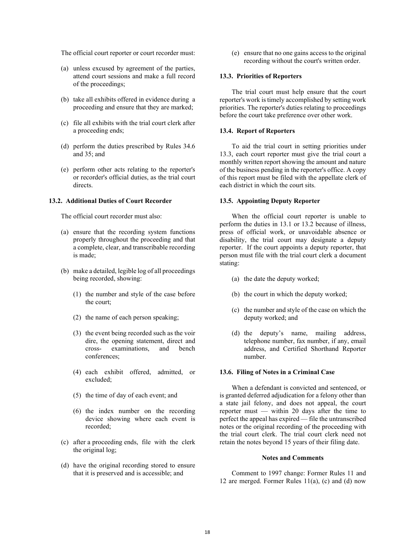The official court reporter or court recorder must:

- (a) unless excused by agreement of the parties, attend court sessions and make a full record of the proceedings;
- (b) take all exhibits offered in evidence during a proceeding and ensure that they are marked;
- (c) file all exhibits with the trial court clerk after a proceeding ends;
- (d) perform the duties prescribed by Rules 34.6 and 35; and
- (e) perform other acts relating to the reporter's or recorder's official duties, as the trial court directs.

## **13.2. Additional Duties of Court Recorder**

The official court recorder must also:

- (a) ensure that the recording system functions properly throughout the proceeding and that a complete, clear, and transcribable recording is made;
- (b) make a detailed, legible log of all proceedings being recorded, showing:
	- (1) the number and style of the case before the court;
	- (2) the name of each person speaking;
	- (3) the event being recorded such as the voir dire, the opening statement, direct and cross- examinations, and bench conferences;
	- (4) each exhibit offered, admitted, or excluded;
	- (5) the time of day of each event; and
	- (6) the index number on the recording device showing where each event is recorded;
- (c) after a proceeding ends, file with the clerk the original log;
- (d) have the original recording stored to ensure that it is preserved and is accessible; and

(e) ensure that no one gains access to the original recording without the court's written order.

#### **13.3. Priorities of Reporters**

The trial court must help ensure that the court reporter's work is timely accomplished by setting work priorities. The reporter's duties relating to proceedings before the court take preference over other work.

#### **13.4. Report of Reporters**

To aid the trial court in setting priorities under 13.3, each court reporter must give the trial court a monthly written report showing the amount and nature of the business pending in the reporter's office. A copy of this report must be filed with the appellate clerk of each district in which the court sits.

#### **13.5. Appointing Deputy Reporter**

When the official court reporter is unable to perform the duties in 13.1 or 13.2 because of illness, press of official work, or unavoidable absence or disability, the trial court may designate a deputy reporter. If the court appoints a deputy reporter, that person must file with the trial court clerk a document stating:

- (a) the date the deputy worked;
- (b) the court in which the deputy worked;
- (c) the number and style of the case on which the deputy worked; and
- (d) the deputy's name, mailing address, telephone number, fax number, if any, email address, and Certified Shorthand Reporter number.

# **13.6. Filing of Notes in a Criminal Case**

When a defendant is convicted and sentenced, or is granted deferred adjudication for a felony other than a state jail felony, and does not appeal, the court reporter must — within 20 days after the time to perfect the appeal has expired — file the untranscribed notes or the original recording of the proceeding with the trial court clerk. The trial court clerk need not retain the notes beyond 15 years of their filing date.

#### **Notes and Comments**

Comment to 1997 change: Former Rules 11 and 12 are merged. Former Rules 11(a), (c) and (d) now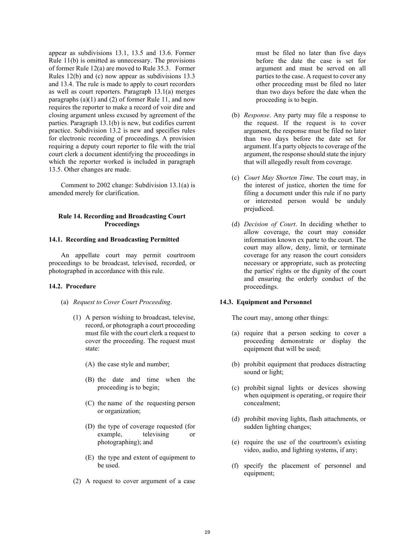appear as subdivisions 13.1, 13.5 and 13.6. Former Rule 11(b) is omitted as unnecessary. The provisions of former Rule 12(a) are moved to Rule 35.3. Former Rules 12(b) and (c) now appear as subdivisions 13.3 and 13.4. The rule is made to apply to court recorders as well as court reporters. Paragraph 13.1(a) merges paragraphs (a)(1) and (2) of former Rule 11, and now requires the reporter to make a record of voir dire and closing argument unless excused by agreement of the parties. Paragraph 13.1(b) is new, but codifies current practice. Subdivision 13.2 is new and specifies rules for electronic recording of proceedings. A provision requiring a deputy court reporter to file with the trial court clerk a document identifying the proceedings in which the reporter worked is included in paragraph 13.5. Other changes are made.

Comment to 2002 change: Subdivision 13.1(a) is amended merely for clarification.

## <span id="page-32-0"></span>**Rule 14. Recording and Broadcasting Court Proceedings**

#### **14.1. Recording and Broadcasting Permitted**

An appellate court may permit courtroom proceedings to be broadcast, televised, recorded, or photographed in accordance with this rule.

## **14.2. Procedure**

- (a) *Request to Cover Court Proceeding*.
	- (1) A person wishing to broadcast, televise, record, or photograph a court proceeding must file with the court clerk a request to cover the proceeding. The request must state:
		- (A) the case style and number;
		- (B) the date and time when the proceeding is to begin;
		- (C) the name of the requesting person or organization;
		- (D) the type of coverage requested (for example, televising or photographing); and
		- (E) the type and extent of equipment to be used.
	- (2) A request to cover argument of a case

must be filed no later than five days before the date the case is set for argument and must be served on all parties to the case. A request to cover any other proceeding must be filed no later than two days before the date when the proceeding is to begin.

- (b) *Response*. Any party may file a response to the request. If the request is to cover argument, the response must be filed no later than two days before the date set for argument. If a party objects to coverage of the argument, the response should state the injury that will allegedly result from coverage.
- (c) *Court May Shorten Time*. The court may, in the interest of justice, shorten the time for filing a document under this rule if no party or interested person would be unduly prejudiced.
- (d) *Decision of Court*. In deciding whether to allow coverage, the court may consider information known ex parte to the court. The court may allow, deny, limit, or terminate coverage for any reason the court considers necessary or appropriate, such as protecting the parties' rights or the dignity of the court and ensuring the orderly conduct of the proceedings.

#### **14.3. Equipment and Personnel**

The court may, among other things:

- (a) require that a person seeking to cover a proceeding demonstrate or display the equipment that will be used;
- (b) prohibit equipment that produces distracting sound or light;
- (c) prohibit signal lights or devices showing when equipment is operating, or require their concealment;
- (d) prohibit moving lights, flash attachments, or sudden lighting changes;
- (e) require the use of the courtroom's existing video, audio, and lighting systems, if any;
- (f) specify the placement of personnel and equipment;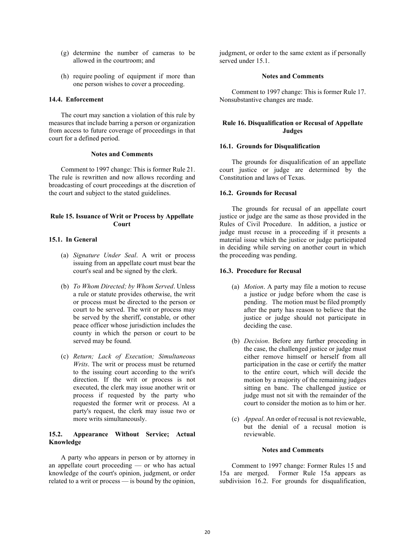- (g) determine the number of cameras to be allowed in the courtroom; and
- (h) require pooling of equipment if more than one person wishes to cover a proceeding.

## **14.4. Enforcement**

The court may sanction a violation of this rule by measures that include barring a person or organization from access to future coverage of proceedings in that court for a defined period.

## **Notes and Comments**

Comment to 1997 change: This is former Rule 21. The rule is rewritten and now allows recording and broadcasting of court proceedings at the discretion of the court and subject to the stated guidelines.

## <span id="page-33-0"></span>**Rule 15. Issuance of Writ or Process by Appellate Court**

# **15.1. In General**

- (a) *Signature Under Seal*. A writ or process issuing from an appellate court must bear the court's seal and be signed by the clerk.
- (b) *To Whom Directed; by Whom Served*. Unless a rule or statute provides otherwise, the writ or process must be directed to the person or court to be served. The writ or process may be served by the sheriff, constable, or other peace officer whose jurisdiction includes the county in which the person or court to be served may be found.
- (c) *Return; Lack of Execution; Simultaneous Writs*. The writ or process must be returned to the issuing court according to the writ's direction. If the writ or process is not executed, the clerk may issue another writ or process if requested by the party who requested the former writ or process. At a party's request, the clerk may issue two or more writs simultaneously.

## **15.2. Appearance Without Service; Actual Knowledge**

A party who appears in person or by attorney in an appellate court proceeding — or who has actual knowledge of the court's opinion, judgment, or order related to a writ or process — is bound by the opinion, judgment, or order to the same extent as if personally served under 15.1.

#### **Notes and Comments**

Comment to 1997 change: This is former Rule 17. Nonsubstantive changes are made.

#### <span id="page-33-1"></span>**Rule 16. Disqualification or Recusal of Appellate Judges**

#### **16.1. Grounds for Disqualification**

The grounds for disqualification of an appellate court justice or judge are determined by the Constitution and laws of Texas.

## **16.2. Grounds for Recusal**

The grounds for recusal of an appellate court justice or judge are the same as those provided in the Rules of Civil Procedure. In addition, a justice or judge must recuse in a proceeding if it presents a material issue which the justice or judge participated in deciding while serving on another court in which the proceeding was pending.

#### **16.3. Procedure for Recusal**

- (a) *Motion*. A party may file a motion to recuse a justice or judge before whom the case is pending. The motion must be filed promptly after the party has reason to believe that the justice or judge should not participate in deciding the case.
- (b) *Decision*. Before any further proceeding in the case, the challenged justice or judge must either remove himself or herself from all participation in the case or certify the matter to the entire court, which will decide the motion by a majority of the remaining judges sitting en banc. The challenged justice or judge must not sit with the remainder of the court to consider the motion as to him or her.
- (c) *Appeal*. An order of recusal is not reviewable, but the denial of a recusal motion is reviewable.

#### **Notes and Comments**

Comment to 1997 change: Former Rules 15 and 15a are merged. Former Rule 15a appears as subdivision 16.2. For grounds for disqualification,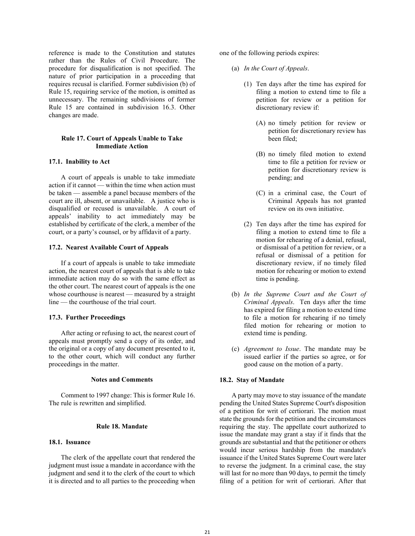reference is made to the Constitution and statutes rather than the Rules of Civil Procedure. The procedure for disqualification is not specified. The nature of prior participation in a proceeding that requires recusal is clarified. Former subdivision (b) of Rule 15, requiring service of the motion, is omitted as unnecessary. The remaining subdivisions of former Rule 15 are contained in subdivision 16.3. Other changes are made.

# <span id="page-34-0"></span>**Rule 17. Court of Appeals Unable to Take Immediate Action**

#### **17.1. Inability to Act**

A court of appeals is unable to take immediate action if it cannot — within the time when action must be taken — assemble a panel because members of the court are ill, absent, or unavailable. A justice who is disqualified or recused is unavailable. A court of appeals' inability to act immediately may be established by certificate of the clerk, a member of the court, or a party's counsel, or by affidavit of a party.

#### **17.2. Nearest Available Court of Appeals**

If a court of appeals is unable to take immediate action, the nearest court of appeals that is able to take immediate action may do so with the same effect as the other court. The nearest court of appeals is the one whose courthouse is nearest — measured by a straight line — the courthouse of the trial court.

## **17.3. Further Proceedings**

After acting or refusing to act, the nearest court of appeals must promptly send a copy of its order, and the original or a copy of any document presented to it, to the other court, which will conduct any further proceedings in the matter.

#### **Notes and Comments**

Comment to 1997 change: This is former Rule 16. The rule is rewritten and simplified.

#### **Rule 18. Mandate**

#### <span id="page-34-1"></span>**18.1. Issuance**

The clerk of the appellate court that rendered the judgment must issue a mandate in accordance with the judgment and send it to the clerk of the court to which it is directed and to all parties to the proceeding when one of the following periods expires:

- (a) *In the Court of Appeals*.
	- (1) Ten days after the time has expired for filing a motion to extend time to file a petition for review or a petition for discretionary review if:
		- (A) no timely petition for review or petition for discretionary review has been filed;
		- (B) no timely filed motion to extend time to file a petition for review or petition for discretionary review is pending; and
		- (C) in a criminal case, the Court of Criminal Appeals has not granted review on its own initiative.
	- (2) Ten days after the time has expired for filing a motion to extend time to file a motion for rehearing of a denial, refusal, or dismissal of a petition for review, or a refusal or dismissal of a petition for discretionary review, if no timely filed motion for rehearing or motion to extend time is pending.
- (b) *In the Supreme Court and the Court of Criminal Appeals*. Ten days after the time has expired for filing a motion to extend time to file a motion for rehearing if no timely filed motion for rehearing or motion to extend time is pending.
- (c) *Agreement to Issue*. The mandate may be issued earlier if the parties so agree, or for good cause on the motion of a party.

## **18.2. Stay of Mandate**

A party may move to stay issuance of the mandate pending the United States Supreme Court's disposition of a petition for writ of certiorari. The motion must state the grounds for the petition and the circumstances requiring the stay. The appellate court authorized to issue the mandate may grant a stay if it finds that the grounds are substantial and that the petitioner or others would incur serious hardship from the mandate's issuance if the United States Supreme Court were later to reverse the judgment. In a criminal case, the stay will last for no more than 90 days, to permit the timely filing of a petition for writ of certiorari. After that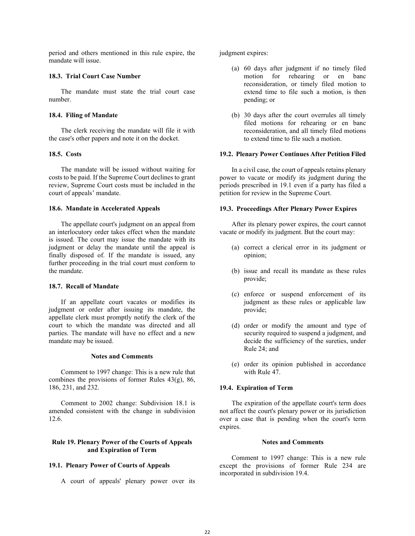period and others mentioned in this rule expire, the mandate will issue.

#### **18.3. Trial Court Case Number**

The mandate must state the trial court case number.

# **18.4. Filing of Mandate**

The clerk receiving the mandate will file it with the case's other papers and note it on the docket.

#### **18.5. Costs**

The mandate will be issued without waiting for costs to be paid. If the Supreme Court declines to grant review, Supreme Court costs must be included in the court of appeals' mandate.

#### **18.6. Mandate in Accelerated Appeals**

The appellate court's judgment on an appeal from an interlocutory order takes effect when the mandate is issued. The court may issue the mandate with its judgment or delay the mandate until the appeal is finally disposed of. If the mandate is issued, any further proceeding in the trial court must conform to the mandate.

# **18.7. Recall of Mandate**

If an appellate court vacates or modifies its judgment or order after issuing its mandate, the appellate clerk must promptly notify the clerk of the court to which the mandate was directed and all parties. The mandate will have no effect and a new mandate may be issued.

# **Notes and Comments**

Comment to 1997 change: This is a new rule that combines the provisions of former Rules 43(g), 86, 186, 231, and 232.

Comment to 2002 change: Subdivision 18.1 is amended consistent with the change in subdivision 12.6.

## <span id="page-35-0"></span>**Rule 19. Plenary Power of the Courts of Appeals and Expiration of Term**

# **19.1. Plenary Power of Courts of Appeals**

A court of appeals' plenary power over its

judgment expires:

- (a) 60 days after judgment if no timely filed motion for rehearing or en banc reconsideration, or timely filed motion to extend time to file such a motion, is then pending; or
- (b) 30 days after the court overrules all timely filed motions for rehearing or en banc reconsideration, and all timely filed motions to extend time to file such a motion.

#### **19.2. Plenary Power Continues After Petition Filed**

In a civil case, the court of appeals retains plenary power to vacate or modify its judgment during the periods prescribed in 19.1 even if a party has filed a petition for review in the Supreme Court.

#### **19.3. Proceedings After Plenary Power Expires**

After its plenary power expires, the court cannot vacate or modify its judgment. But the court may:

- (a) correct a clerical error in its judgment or opinion;
- (b) issue and recall its mandate as these rules provide;
- (c) enforce or suspend enforcement of its judgment as these rules or applicable law provide;
- (d) order or modify the amount and type of security required to suspend a judgment, and decide the sufficiency of the sureties, under Rule 24; and
- (e) order its opinion published in accordance with Rule 47.

#### **19.4. Expiration of Term**

The expiration of the appellate court's term does not affect the court's plenary power or its jurisdiction over a case that is pending when the court's term expires.

## **Notes and Comments**

Comment to 1997 change: This is a new rule except the provisions of former Rule 234 are incorporated in subdivision 19.4.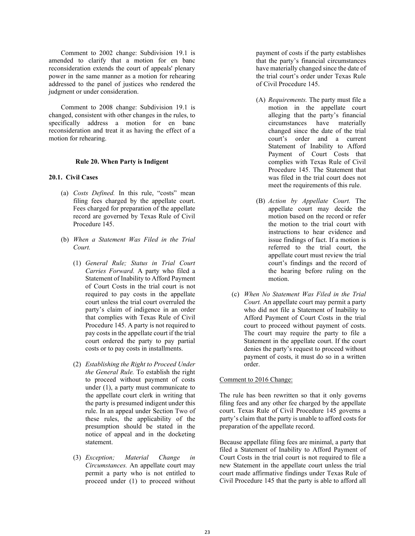Comment to 2002 change: Subdivision 19.1 is amended to clarify that a motion for en banc reconsideration extends the court of appeals' plenary power in the same manner as a motion for rehearing addressed to the panel of justices who rendered the judgment or under consideration.

Comment to 2008 change: Subdivision 19.1 is changed, consistent with other changes in the rules, to specifically address a motion for en banc reconsideration and treat it as having the effect of a motion for rehearing.

### **Rule 20. When Party is Indigent**

### **20.1. Civil Cases**

- (a) *Costs Defined.* In this rule, "costs" mean filing fees charged by the appellate court. Fees charged for preparation of the appellate record are governed by Texas Rule of Civil Procedure 145.
- (b) *When a Statement Was Filed in the Trial Court.*
	- (1) *General Rule; Status in Trial Court Carries Forward.* A party who filed a Statement of Inability to Afford Payment of Court Costs in the trial court is not required to pay costs in the appellate court unless the trial court overruled the party's claim of indigence in an order that complies with Texas Rule of Civil Procedure 145. A party is not required to pay costs in the appellate court if the trial court ordered the party to pay partial costs or to pay costs in installments.
	- (2) *Establishing the Right to Proceed Under the General Rule.* To establish the right to proceed without payment of costs under (1), a party must communicate to the appellate court clerk in writing that the party is presumed indigent under this rule. In an appeal under Section Two of these rules, the applicability of the presumption should be stated in the notice of appeal and in the docketing statement.
	- (3) *Exception; Material Change in Circumstances.* An appellate court may permit a party who is not entitled to proceed under (1) to proceed without

payment of costs if the party establishes that the party's financial circumstances have materially changed since the date of the trial court's order under Texas Rule of Civil Procedure 145.

- (A) *Requirements.* The party must file a motion in the appellate court alleging that the party's financial circumstances have materially changed since the date of the trial court's order and a current Statement of Inability to Afford Payment of Court Costs that complies with Texas Rule of Civil Procedure 145. The Statement that was filed in the trial court does not meet the requirements of this rule.
- (B) *Action by Appellate Court.* The appellate court may decide the motion based on the record or refer the motion to the trial court with instructions to hear evidence and issue findings of fact. If a motion is referred to the trial court, the appellate court must review the trial court's findings and the record of the hearing before ruling on the motion.
- (c) *When No Statement Was Filed in the Trial Court.* An appellate court may permit a party who did not file a Statement of Inability to Afford Payment of Court Costs in the trial court to proceed without payment of costs. The court may require the party to file a Statement in the appellate court. If the court denies the party's request to proceed without payment of costs, it must do so in a written order.

# Comment to 2016 Change:

The rule has been rewritten so that it only governs filing fees and any other fee charged by the appellate court. Texas Rule of Civil Procedure 145 governs a party's claim that the party is unable to afford costs for preparation of the appellate record.

Because appellate filing fees are minimal, a party that filed a Statement of Inability to Afford Payment of Court Costs in the trial court is not required to file a new Statement in the appellate court unless the trial court made affirmative findings under Texas Rule of Civil Procedure 145 that the party is able to afford all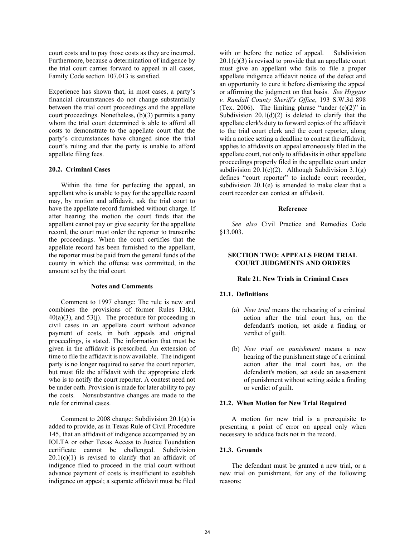court costs and to pay those costs as they are incurred. Furthermore, because a determination of indigence by the trial court carries forward to appeal in all cases, Family Code section 107.013 is satisfied.

Experience has shown that, in most cases, a party's financial circumstances do not change substantially between the trial court proceedings and the appellate court proceedings. Nonetheless, (b)(3) permits a party whom the trial court determined is able to afford all costs to demonstrate to the appellate court that the party's circumstances have changed since the trial court's ruling and that the party is unable to afford appellate filing fees.

#### **20.2. Criminal Cases**

Within the time for perfecting the appeal, an appellant who is unable to pay for the appellate record may, by motion and affidavit, ask the trial court to have the appellate record furnished without charge. If after hearing the motion the court finds that the appellant cannot pay or give security for the appellate record, the court must order the reporter to transcribe the proceedings. When the court certifies that the appellate record has been furnished to the appellant, the reporter must be paid from the general funds of the county in which the offense was committed, in the amount set by the trial court.

### **Notes and Comments**

Comment to 1997 change: The rule is new and combines the provisions of former Rules 13(k),  $40(a)(3)$ , and  $53(i)$ . The procedure for proceeding in civil cases in an appellate court without advance payment of costs, in both appeals and original proceedings, is stated. The information that must be given in the affidavit is prescribed. An extension of time to file the affidavit is now available. The indigent party is no longer required to serve the court reporter, but must file the affidavit with the appropriate clerk who is to notify the court reporter. A contest need not be under oath. Provision is made for later ability to pay the costs. Nonsubstantive changes are made to the rule for criminal cases.

Comment to 2008 change: Subdivision 20.1(a) is added to provide, as in Texas Rule of Civil Procedure 145, that an affidavit of indigence accompanied by an IOLTA or other Texas Access to Justice Foundation certificate cannot be challenged. Subdivision  $20.1(c)(1)$  is revised to clarify that an affidavit of indigence filed to proceed in the trial court without advance payment of costs is insufficient to establish indigence on appeal; a separate affidavit must be filed

with or before the notice of appeal. Subdivision  $20.1(c)(3)$  is revised to provide that an appellate court must give an appellant who fails to file a proper appellate indigence affidavit notice of the defect and an opportunity to cure it before dismissing the appeal or affirming the judgment on that basis. *See Higgins v. Randall County Sheriff's Office*, 193 S.W.3d 898 (Tex. 2006). The limiting phrase "under  $(c)(2)$ " in Subdivision  $20.1(d)(2)$  is deleted to clarify that the appellate clerk's duty to forward copies of the affidavit to the trial court clerk and the court reporter, along with a notice setting a deadline to contest the affidavit, applies to affidavits on appeal erroneously filed in the appellate court, not only to affidavits in other appellate proceedings properly filed in the appellate court under subdivision  $20.1(c)(2)$ . Although Subdivision  $3.1(g)$ defines "court reporter" to include court recorder, subdivision 20.1(e) is amended to make clear that a court recorder can contest an affidavit.

#### **Reference**

*See also* Civil Practice and Remedies Code §13.003.

# **SECTION TWO: APPEALS FROM TRIAL COURT JUDGMENTS AND ORDERS**

### **Rule 21. New Trials in Criminal Cases**

# **21.1. Definitions**

- (a) *New trial* means the rehearing of a criminal action after the trial court has, on the defendant's motion, set aside a finding or verdict of guilt.
- (b) *New trial on punishment* means a new hearing of the punishment stage of a criminal action after the trial court has, on the defendant's motion, set aside an assessment of punishment without setting aside a finding or verdict of guilt.

#### **21.2. When Motion for New Trial Required**

A motion for new trial is a prerequisite to presenting a point of error on appeal only when necessary to adduce facts not in the record.

#### **21.3. Grounds**

The defendant must be granted a new trial, or a new trial on punishment, for any of the following reasons: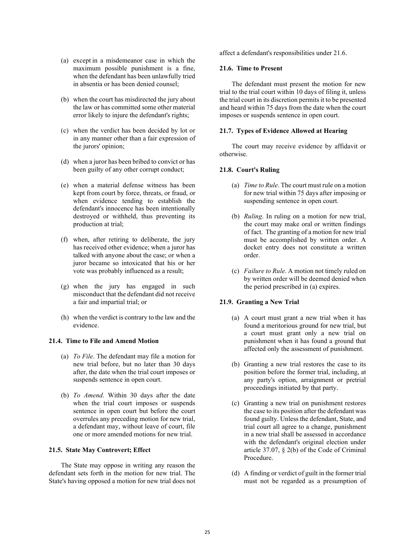- (a) except in a misdemeanor case in which the maximum possible punishment is a fine, when the defendant has been unlawfully tried in absentia or has been denied counsel;
- (b) when the court has misdirected the jury about the law or has committed some other material error likely to injure the defendant's rights;
- (c) when the verdict has been decided by lot or in any manner other than a fair expression of the jurors' opinion;
- (d) when a juror has been bribed to convict or has been guilty of any other corrupt conduct;
- (e) when a material defense witness has been kept from court by force, threats, or fraud, or when evidence tending to establish the defendant's innocence has been intentionally destroyed or withheld, thus preventing its production at trial;
- (f) when, after retiring to deliberate, the jury has received other evidence; when a juror has talked with anyone about the case; or when a juror became so intoxicated that his or her vote was probably influenced as a result;
- (g) when the jury has engaged in such misconduct that the defendant did not receive a fair and impartial trial; or
- (h) when the verdict is contrary to the law and the evidence.

# **21.4. Time to File and Amend Motion**

- (a) *To File*. The defendant may file a motion for new trial before, but no later than 30 days after, the date when the trial court imposes or suspends sentence in open court.
- (b) *To Amend*. Within 30 days after the date when the trial court imposes or suspends sentence in open court but before the court overrules any preceding motion for new trial, a defendant may, without leave of court, file one or more amended motions for new trial.

#### **21.5. State May Controvert; Effect**

The State may oppose in writing any reason the defendant sets forth in the motion for new trial. The State's having opposed a motion for new trial does not affect a defendant's responsibilities under 21.6.

#### **21.6. Time to Present**

The defendant must present the motion for new trial to the trial court within 10 days of filing it, unless the trial court in its discretion permits it to be presented and heard within 75 days from the date when the court imposes or suspends sentence in open court.

# **21.7. Types of Evidence Allowed at Hearing**

The court may receive evidence by affidavit or otherwise.

### **21.8. Court's Ruling**

- (a) *Time to Rule*. The court must rule on a motion for new trial within 75 days after imposing or suspending sentence in open court.
- (b) *Ruling*. In ruling on a motion for new trial, the court may make oral or written findings of fact. The granting of a motion for new trial must be accomplished by written order. A docket entry does not constitute a written order.
- (c) *Failure to Rule*. A motion not timely ruled on by written order will be deemed denied when the period prescribed in (a) expires.

### **21.9. Granting a New Trial**

- (a) A court must grant a new trial when it has found a meritorious ground for new trial, but a court must grant only a new trial on punishment when it has found a ground that affected only the assessment of punishment.
- (b) Granting a new trial restores the case to its position before the former trial, including, at any party's option, arraignment or pretrial proceedings initiated by that party.
- (c) Granting a new trial on punishment restores the case to its position after the defendant was found guilty. Unless the defendant, State, and trial court all agree to a change, punishment in a new trial shall be assessed in accordance with the defendant's original election under article 37.07, § 2(b) of the Code of Criminal Procedure.
- (d) A finding or verdict of guilt in the former trial must not be regarded as a presumption of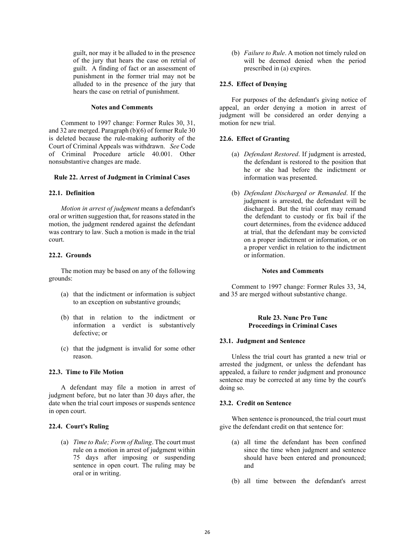guilt, nor may it be alluded to in the presence of the jury that hears the case on retrial of guilt. A finding of fact or an assessment of punishment in the former trial may not be alluded to in the presence of the jury that hears the case on retrial of punishment.

### **Notes and Comments**

Comment to 1997 change: Former Rules 30, 31, and 32 are merged. Paragraph (b)(6) of former Rule 30 is deleted because the rule-making authority of the Court of Criminal Appeals was withdrawn. *See* Code of Criminal Procedure article 40.001. Other nonsubstantive changes are made.

### **Rule 22. Arrest of Judgment in Criminal Cases**

# **22.1. Definition**

*Motion in arrest of judgment* means a defendant's oral or written suggestion that, for reasons stated in the motion, the judgment rendered against the defendant was contrary to law. Such a motion is made in the trial court.

### **22.2. Grounds**

The motion may be based on any of the following grounds:

- (a) that the indictment or information is subject to an exception on substantive grounds;
- (b) that in relation to the indictment or information a verdict is substantively defective; or
- (c) that the judgment is invalid for some other reason.

### **22.3. Time to File Motion**

A defendant may file a motion in arrest of judgment before, but no later than 30 days after, the date when the trial court imposes or suspends sentence in open court.

# **22.4. Court's Ruling**

(a) *Time to Rule; Form of Ruling*. The court must rule on a motion in arrest of judgment within 75 days after imposing or suspending sentence in open court. The ruling may be oral or in writing.

(b) *Failure to Rule*. A motion not timely ruled on will be deemed denied when the period prescribed in (a) expires.

#### **22.5. Effect of Denying**

For purposes of the defendant's giving notice of appeal, an order denying a motion in arrest of judgment will be considered an order denying a motion for new trial.

# **22.6. Effect of Granting**

- (a) *Defendant Restored*. If judgment is arrested, the defendant is restored to the position that he or she had before the indictment or information was presented.
- (b) *Defendant Discharged or Remanded*. If the judgment is arrested, the defendant will be discharged. But the trial court may remand the defendant to custody or fix bail if the court determines, from the evidence adduced at trial, that the defendant may be convicted on a proper indictment or information, or on a proper verdict in relation to the indictment or information.

### **Notes and Comments**

Comment to 1997 change: Former Rules 33, 34, and 35 are merged without substantive change.

### **Rule 23. Nunc Pro Tunc Proceedings in Criminal Cases**

#### **23.1. Judgment and Sentence**

Unless the trial court has granted a new trial or arrested the judgment, or unless the defendant has appealed, a failure to render judgment and pronounce sentence may be corrected at any time by the court's doing so.

#### **23.2. Credit on Sentence**

When sentence is pronounced, the trial court must give the defendant credit on that sentence for:

- (a) all time the defendant has been confined since the time when judgment and sentence should have been entered and pronounced; and
- (b) all time between the defendant's arrest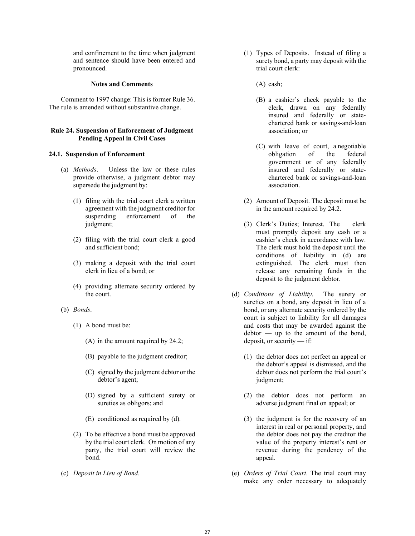and confinement to the time when judgment and sentence should have been entered and pronounced.

#### **Notes and Comments**

Comment to 1997 change: This is former Rule 36. The rule is amended without substantive change.

# **Rule 24. Suspension of Enforcement of Judgment Pending Appeal in Civil Cases**

### **24.1. Suspension of Enforcement**

- (a) *Methods*. Unless the law or these rules provide otherwise, a judgment debtor may supersede the judgment by:
	- (1) filing with the trial court clerk a written agreement with the judgment creditor for suspending enforcement of the judgment;
	- (2) filing with the trial court clerk a good and sufficient bond;
	- (3) making a deposit with the trial court clerk in lieu of a bond; or
	- (4) providing alternate security ordered by the court.
- (b) *Bonds*.
	- (1) A bond must be:
		- (A) in the amount required by 24.2;
		- (B) payable to the judgment creditor;
		- (C) signed by the judgment debtor or the debtor's agent;
		- (D) signed by a sufficient surety or sureties as obligors; and
		- (E) conditioned as required by (d).
	- (2) To be effective a bond must be approved by the trial court clerk. On motion of any party, the trial court will review the bond.
- (c) *Deposit in Lieu of Bond*.
- (1) Types of Deposits. Instead of filing a surety bond, a party may deposit with the trial court clerk:
	- (A) cash;
	- (B) a cashier's check payable to the clerk, drawn on any federally insured and federally or statechartered bank or savings-and-loan association; or
	- (C) with leave of court, a negotiable obligation of the federal government or of any federally insured and federally or statechartered bank or savings-and-loan association.
- (2) Amount of Deposit. The deposit must be in the amount required by 24.2.
- (3) Clerk's Duties; Interest. The clerk must promptly deposit any cash or a cashier's check in accordance with law. The clerk must hold the deposit until the conditions of liability in (d) are extinguished. The clerk must then release any remaining funds in the deposit to the judgment debtor.
- (d) *Conditions of Liability*. The surety or sureties on a bond, any deposit in lieu of a bond, or any alternate security ordered by the court is subject to liability for all damages and costs that may be awarded against the debtor — up to the amount of the bond, deposit, or security — if:
	- (1) the debtor does not perfect an appeal or the debtor's appeal is dismissed, and the debtor does not perform the trial court's judgment;
	- (2) the debtor does not perform an adverse judgment final on appeal; or
	- (3) the judgment is for the recovery of an interest in real or personal property, and the debtor does not pay the creditor the value of the property interest's rent or revenue during the pendency of the appeal.
- (e) *Orders of Trial Court*. The trial court may make any order necessary to adequately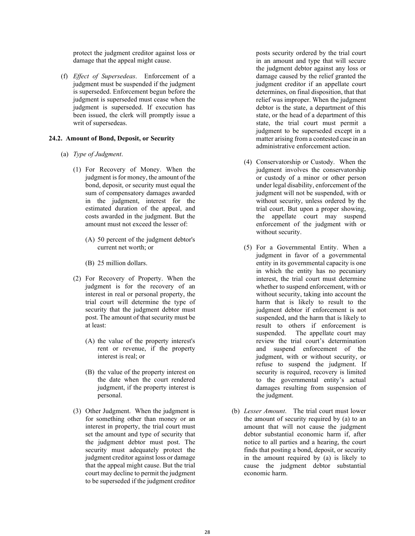protect the judgment creditor against loss or damage that the appeal might cause.

(f) *Effect of Supersedeas*. Enforcement of a judgment must be suspended if the judgment is superseded. Enforcement begun before the judgment is superseded must cease when the judgment is superseded. If execution has been issued, the clerk will promptly issue a writ of supersedeas.

# **24.2. Amount of Bond, Deposit, or Security**

- (a) *Type of Judgment*.
	- (1) For Recovery of Money. When the judgment is for money, the amount of the bond, deposit, or security must equal the sum of compensatory damages awarded in the judgment, interest for the estimated duration of the appeal, and costs awarded in the judgment. But the amount must not exceed the lesser of:
		- (A) 50 percent of the judgment debtor's current net worth; or
		- (B) 25 million dollars.
	- (2) For Recovery of Property. When the judgment is for the recovery of an interest in real or personal property, the trial court will determine the type of security that the judgment debtor must post. The amount of that security must be at least:
		- (A) the value of the property interest's rent or revenue, if the property interest is real; or
		- (B) the value of the property interest on the date when the court rendered judgment, if the property interest is personal.
	- (3) Other Judgment. When the judgment is for something other than money or an interest in property, the trial court must set the amount and type of security that the judgment debtor must post. The security must adequately protect the judgment creditor against loss or damage that the appeal might cause. But the trial court may decline to permit the judgment to be superseded if the judgment creditor

posts security ordered by the trial court in an amount and type that will secure the judgment debtor against any loss or damage caused by the relief granted the judgment creditor if an appellate court determines, on final disposition, that that relief was improper. When the judgment debtor is the state, a department of this state, or the head of a department of this state, the trial court must permit a judgment to be superseded except in a matter arising from a contested case in an administrative enforcement action.

- (4) Conservatorship or Custody. When the judgment involves the conservatorship or custody of a minor or other person under legal disability, enforcement of the judgment will not be suspended, with or without security, unless ordered by the trial court. But upon a proper showing, the appellate court may suspend enforcement of the judgment with or without security.
- (5) For a Governmental Entity. When a judgment in favor of a governmental entity in its governmental capacity is one in which the entity has no pecuniary interest, the trial court must determine whether to suspend enforcement, with or without security, taking into account the harm that is likely to result to the judgment debtor if enforcement is not suspended, and the harm that is likely to result to others if enforcement is suspended. The appellate court may review the trial court's determination and suspend enforcement of the judgment, with or without security, or refuse to suspend the judgment. If security is required, recovery is limited to the governmental entity's actual damages resulting from suspension of the judgment.
- (b) *Lesser Amount*. The trial court must lower the amount of security required by (a) to an amount that will not cause the judgment debtor substantial economic harm if, after notice to all parties and a hearing, the court finds that posting a bond, deposit, or security in the amount required by (a) is likely to cause the judgment debtor substantial economic harm.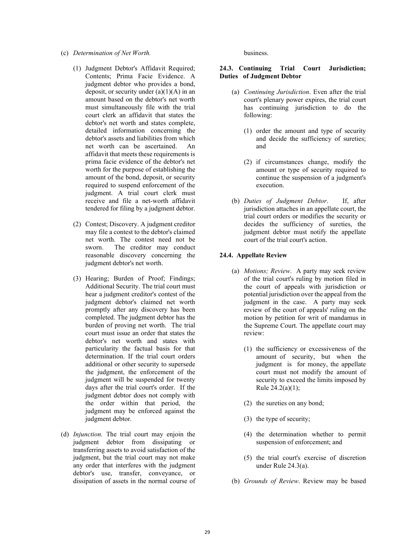- (c) *Determination of Net Worth.*
	- (1) Judgment Debtor's Affidavit Required; Contents; Prima Facie Evidence. A judgment debtor who provides a bond, deposit, or security under  $(a)(1)(A)$  in an amount based on the debtor's net worth must simultaneously file with the trial court clerk an affidavit that states the debtor's net worth and states complete, detailed information concerning the debtor's assets and liabilities from which net worth can be ascertained. An affidavit that meets these requirements is prima facie evidence of the debtor's net worth for the purpose of establishing the amount of the bond, deposit, or security required to suspend enforcement of the judgment. A trial court clerk must receive and file a net-worth affidavit tendered for filing by a judgment debtor.
	- (2) Contest; Discovery. A judgment creditor may file a contest to the debtor's claimed net worth. The contest need not be sworn. The creditor may conduct reasonable discovery concerning the judgment debtor's net worth.
	- (3) Hearing; Burden of Proof; Findings; Additional Security. The trial court must hear a judgment creditor's contest of the judgment debtor's claimed net worth promptly after any discovery has been completed. The judgment debtor has the burden of proving net worth. The trial court must issue an order that states the debtor's net worth and states with particularity the factual basis for that determination. If the trial court orders additional or other security to supersede the judgment, the enforcement of the judgment will be suspended for twenty days after the trial court's order. If the judgment debtor does not comply with the order within that period, the judgment may be enforced against the judgment debtor.
- (d) *Injunction.* The trial court may enjoin the judgment debtor from dissipating or transferring assets to avoid satisfaction of the judgment, but the trial court may not make any order that interferes with the judgment debtor's use, transfer, conveyance, or dissipation of assets in the normal course of

#### business.

## **24.3. Continuing Trial Court Jurisdiction; Duties of Judgment Debtor**

- (a) *Continuing Jurisdiction*. Even after the trial court's plenary power expires, the trial court has continuing jurisdiction to do the following:
	- (1) order the amount and type of security and decide the sufficiency of sureties; and
	- (2) if circumstances change, modify the amount or type of security required to continue the suspension of a judgment's execution.
- (b) *Duties of Judgment Debtor*. If, after jurisdiction attaches in an appellate court, the trial court orders or modifies the security or decides the sufficiency of sureties, the judgment debtor must notify the appellate court of the trial court's action.

### **24.4. Appellate Review**

- (a) *Motions; Review*. A party may seek review of the trial court's ruling by motion filed in the court of appeals with jurisdiction or potential jurisdiction over the appeal from the judgment in the case. A party may seek review of the court of appeals' ruling on the motion by petition for writ of mandamus in the Supreme Court. The appellate court may review:
	- (1) the sufficiency or excessiveness of the amount of security, but when the judgment is for money, the appellate court must not modify the amount of security to exceed the limits imposed by Rule 24.2(a)(1);
	- (2) the sureties on any bond;
	- (3) the type of security;
	- (4) the determination whether to permit suspension of enforcement; and
	- (5) the trial court's exercise of discretion under Rule 24.3(a).
- (b) *Grounds of Review*. Review may be based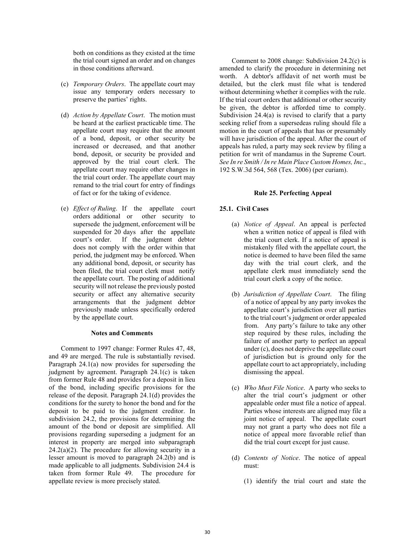both on conditions as they existed at the time the trial court signed an order and on changes in those conditions afterward.

- (c) *Temporary Orders*. The appellate court may issue any temporary orders necessary to preserve the parties' rights.
- (d) *Action by Appellate Court*. The motion must be heard at the earliest practicable time. The appellate court may require that the amount of a bond, deposit, or other security be increased or decreased, and that another bond, deposit, or security be provided and approved by the trial court clerk. The appellate court may require other changes in the trial court order. The appellate court may remand to the trial court for entry of findings of fact or for the taking of evidence.
- (e) *Effect of Ruling*. If the appellate court orders additional or other security to supersede the judgment, enforcement will be suspended for 20 days after the appellate court's order. If the judgment debtor does not comply with the order within that period, the judgment may be enforced. When any additional bond, deposit, or security has been filed, the trial court clerk must notify the appellate court. The posting of additional security will not release the previously posted security or affect any alternative security arrangements that the judgment debtor previously made unless specifically ordered by the appellate court.

#### **Notes and Comments**

Comment to 1997 change: Former Rules 47, 48, and 49 are merged. The rule is substantially revised. Paragraph 24.1(a) now provides for superseding the judgment by agreement. Paragraph 24.1(c) is taken from former Rule 48 and provides for a deposit in lieu of the bond, including specific provisions for the release of the deposit. Paragraph 24.1(d) provides the conditions for the surety to honor the bond and for the deposit to be paid to the judgment creditor. In subdivision 24.2, the provisions for determining the amount of the bond or deposit are simplified. All provisions regarding superseding a judgment for an interest in property are merged into subparagraph  $24.2(a)(2)$ . The procedure for allowing security in a lesser amount is moved to paragraph 24.2(b) and is made applicable to all judgments. Subdivision 24.4 is taken from former Rule 49. The procedure for appellate review is more precisely stated.

Comment to 2008 change: Subdivision 24.2(c) is amended to clarify the procedure in determining net worth. A debtor's affidavit of net worth must be detailed, but the clerk must file what is tendered without determining whether it complies with the rule. If the trial court orders that additional or other security be given, the debtor is afforded time to comply. Subdivision 24.4(a) is revised to clarify that a party seeking relief from a supersedeas ruling should file a motion in the court of appeals that has or presumably will have jurisdiction of the appeal. After the court of appeals has ruled, a party may seek review by filing a petition for writ of mandamus in the Supreme Court. *See In re Smith / In re Main Place Custom Homes, Inc.*, 192 S.W.3d 564, 568 (Tex. 2006) (per curiam).

# **Rule 25. Perfecting Appeal**

# **25.1. Civil Cases**

- (a) *Notice of Appeal*. An appeal is perfected when a written notice of appeal is filed with the trial court clerk. If a notice of appeal is mistakenly filed with the appellate court, the notice is deemed to have been filed the same day with the trial court clerk, and the appellate clerk must immediately send the trial court clerk a copy of the notice.
- (b) *Jurisdiction of Appellate Court*. The filing of a notice of appeal by any party invokes the appellate court's jurisdiction over all parties to the trial court's judgment or order appealed from. Any party's failure to take any other step required by these rules, including the failure of another party to perfect an appeal under (c), does not deprive the appellate court of jurisdiction but is ground only for the appellate court to act appropriately, including dismissing the appeal.
- (c) *Who Must File Notice*. A party who seeks to alter the trial court's judgment or other appealable order must file a notice of appeal. Parties whose interests are aligned may file a joint notice of appeal. The appellate court may not grant a party who does not file a notice of appeal more favorable relief than did the trial court except for just cause.
- (d) *Contents of Notice*. The notice of appeal must:
	- (1) identify the trial court and state the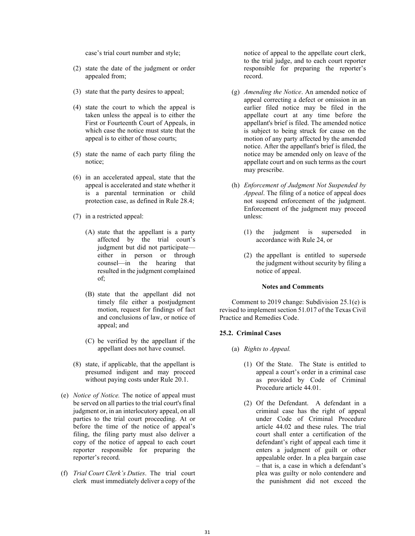case's trial court number and style;

- (2) state the date of the judgment or order appealed from;
- (3) state that the party desires to appeal;
- (4) state the court to which the appeal is taken unless the appeal is to either the First or Fourteenth Court of Appeals, in which case the notice must state that the appeal is to either of those courts;
- (5) state the name of each party filing the notice;
- (6) in an accelerated appeal, state that the appeal is accelerated and state whether it is a parental termination or child protection case, as defined in Rule 28.4;
- (7) in a restricted appeal:
	- (A) state that the appellant is a party affected by the trial court's judgment but did not participate either in person or through counsel—in the hearing that resulted in the judgment complained of;
	- (B) state that the appellant did not timely file either a postjudgment motion, request for findings of fact and conclusions of law, or notice of appeal; and
	- (C) be verified by the appellant if the appellant does not have counsel.
- (8) state, if applicable, that the appellant is presumed indigent and may proceed without paying costs under Rule 20.1.
- (e) *Notice of Notice.* The notice of appeal must be served on all parties to the trial court's final judgment or, in an interlocutory appeal, on all parties to the trial court proceeding. At or before the time of the notice of appeal's filing, the filing party must also deliver a copy of the notice of appeal to each court reporter responsible for preparing the reporter's record.
- (f) *Trial Court Clerk's Duties*. The trial court clerk must immediately deliver a copy of the

notice of appeal to the appellate court clerk, to the trial judge, and to each court reporter responsible for preparing the reporter's record.

- (g) *Amending the Notice*. An amended notice of appeal correcting a defect or omission in an earlier filed notice may be filed in the appellate court at any time before the appellant's brief is filed. The amended notice is subject to being struck for cause on the motion of any party affected by the amended notice. After the appellant's brief is filed, the notice may be amended only on leave of the appellate court and on such terms as the court may prescribe.
- (h) *Enforcement of Judgment Not Suspended by Appeal*. The filing of a notice of appeal does not suspend enforcement of the judgment. Enforcement of the judgment may proceed unless:
	- (1) the judgment is superseded in accordance with Rule 24, or
	- (2) the appellant is entitled to supersede the judgment without security by filing a notice of appeal.

### **Notes and Comments**

Comment to 2019 change: Subdivision 25.1(e) is revised to implement section 51.017 of the Texas Civil Practice and Remedies Code.

# **25.2. Criminal Cases**

- (a) *Rights to Appeal.*
	- (1) Of the State. The State is entitled to appeal a court's order in a criminal case as provided by Code of Criminal Procedure article 44.01.
	- (2) Of the Defendant. A defendant in a criminal case has the right of appeal under Code of Criminal Procedure article 44.02 and these rules. The trial court shall enter a certification of the defendant's right of appeal each time it enters a judgment of guilt or other appealable order. In a plea bargain case – that is, a case in which a defendant's plea was guilty or nolo contendere and the punishment did not exceed the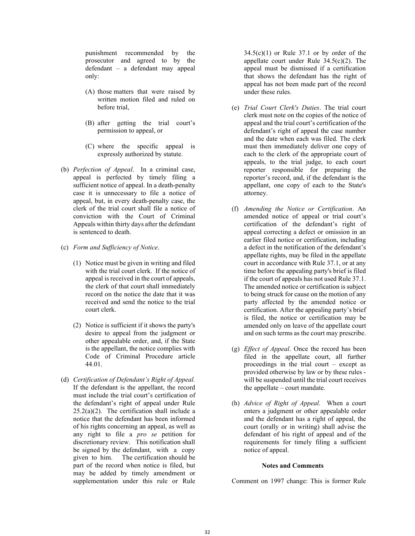punishment recommended by the prosecutor and agreed to by the defendant – a defendant may appeal only:

- (A) those matters that were raised by written motion filed and ruled on before trial,
- (B) after getting the trial court's permission to appeal, or
- (C) where the specific appeal is expressly authorized by statute.
- (b) *Perfection of Appeal*. In a criminal case, appeal is perfected by timely filing a sufficient notice of appeal. In a death-penalty case it is unnecessary to file a notice of appeal, but, in every death-penalty case, the clerk of the trial court shall file a notice of conviction with the Court of Criminal Appeals within thirty days after the defendant is sentenced to death.
- (c) *Form and Sufficiency of Notice*.
	- (1) Notice must be given in writing and filed with the trial court clerk. If the notice of appeal is received in the court of appeals, the clerk of that court shall immediately record on the notice the date that it was received and send the notice to the trial court clerk.
	- (2) Notice is sufficient if it shows the party's desire to appeal from the judgment or other appealable order, and, if the State is the appellant, the notice complies with Code of Criminal Procedure article 44.01.
- (d) *Certification of Defendant's Right of Appeal.*  If the defendant is the appellant, the record must include the trial court's certification of the defendant's right of appeal under Rule  $25.2(a)(2)$ . The certification shall include a notice that the defendant has been informed of his rights concerning an appeal, as well as any right to file a *pro se* petition for discretionary review. This notification shall be signed by the defendant, with a copy given to him. The certification should be part of the record when notice is filed, but may be added by timely amendment or supplementation under this rule or Rule

 $34.5(c)(1)$  or Rule 37.1 or by order of the appellate court under Rule 34.5(c)(2). The appeal must be dismissed if a certification that shows the defendant has the right of appeal has not been made part of the record under these rules.

- (e) *Trial Court Clerk's Duties*. The trial court clerk must note on the copies of the notice of appeal and the trial court's certification of the defendant's right of appeal the case number and the date when each was filed. The clerk must then immediately deliver one copy of each to the clerk of the appropriate court of appeals, to the trial judge, to each court reporter responsible for preparing the reporter's record, and, if the defendant is the appellant, one copy of each to the State's attorney.
- (f) *Amending the Notice or Certification*. An amended notice of appeal or trial court's certification of the defendant's right of appeal correcting a defect or omission in an earlier filed notice or certification, including a defect in the notification of the defendant's appellate rights, may be filed in the appellate court in accordance with Rule 37.1, or at any time before the appealing party's brief is filed if the court of appeals has not used Rule 37.1. The amended notice or certification is subject to being struck for cause on the motion of any party affected by the amended notice or certification. After the appealing party's brief is filed, the notice or certification may be amended only on leave of the appellate court and on such terms as the court may prescribe.
- (g) *Effect of Appeal*. Once the record has been filed in the appellate court, all further proceedings in the trial court – except as provided otherwise by law or by these rules will be suspended until the trial court receives the appellate – court mandate.
- (h) *Advice of Right of Appeal.* When a court enters a judgment or other appealable order and the defendant has a right of appeal, the court (orally or in writing) shall advise the defendant of his right of appeal and of the requirements for timely filing a sufficient notice of appeal.

### **Notes and Comments**

Comment on 1997 change: This is former Rule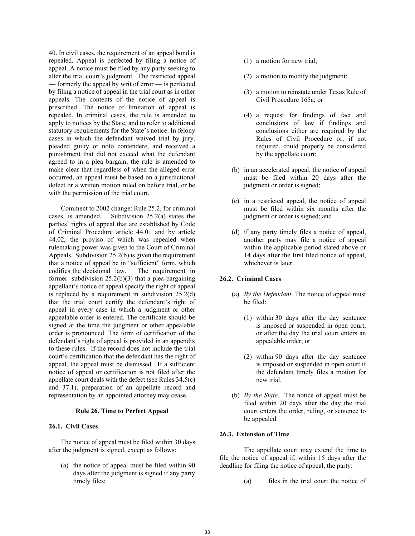40. In civil cases, the requirement of an appeal bond is repealed. Appeal is perfected by filing a notice of appeal. A notice must be filed by any party seeking to alter the trial court's judgment. The restricted appeal — formerly the appeal by writ of error — is perfected by filing a notice of appeal in the trial court as in other appeals. The contents of the notice of appeal is prescribed. The notice of limitation of appeal is repealed. In criminal cases, the rule is amended to apply to notices by the State, and to refer to additional statutory requirements for the State's notice. In felony cases in which the defendant waived trial by jury, pleaded guilty or nolo contendere, and received a punishment that did not exceed what the defendant agreed to in a plea bargain, the rule is amended to make clear that regardless of when the alleged error occurred, an appeal must be based on a jurisdictional defect or a written motion ruled on before trial, or be with the permission of the trial court.

Comment to 2002 change: Rule 25.2, for criminal cases, is amended. Subdivision 25.2(a) states the parties' rights of appeal that are established by Code of Criminal Procedure article 44.01 and by article 44.02, the proviso of which was repealed when rulemaking power was given to the Court of Criminal Appeals. Subdivision 25.2(b) is given the requirement that a notice of appeal be in "sufficient" form, which codifies the decisional law. The requirement in former subdivision 25.2(b)(3) that a plea-bargaining appellant's notice of appeal specify the right of appeal is replaced by a requirement in subdivision 25.2(d) that the trial court certify the defendant's right of appeal in every case in which a judgment or other appealable order is entered. The certificate should be signed at the time the judgment or other appealable order is pronounced. The form of certification of the defendant's right of appeal is provided in an appendix to these rules. If the record does not include the trial court's certification that the defendant has the right of appeal, the appeal must be dismissed. If a sufficient notice of appeal or certification is not filed after the appellate court deals with the defect (see Rules 34.5(c) and 37.1), preparation of an appellate record and representation by an appointed attorney may cease.

### **Rule 26. Time to Perfect Appeal**

#### **26.1. Civil Cases**

The notice of appeal must be filed within 30 days after the judgment is signed, except as follows:

(a) the notice of appeal must be filed within 90 days after the judgment is signed if any party timely files:

- (1) a motion for new trial;
- (2) a motion to modify the judgment;
- (3) a motion to reinstate under Texas Rule of Civil Procedure 165a; or
- (4) a request for findings of fact and conclusions of law if findings and conclusions either are required by the Rules of Civil Procedure or, if not required, could properly be considered by the appellate court;
- (b) in an accelerated appeal, the notice of appeal must be filed within 20 days after the judgment or order is signed;
- (c) in a restricted appeal, the notice of appeal must be filed within six months after the judgment or order is signed; and
- (d) if any party timely files a notice of appeal, another party may file a notice of appeal within the applicable period stated above or 14 days after the first filed notice of appeal, whichever is later.

### **26.2. Criminal Cases**

- (a) *By the Defendant*. The notice of appeal must be filed:
	- (1) within 30 days after the day sentence is imposed or suspended in open court, or after the day the trial court enters an appealable order; or
	- (2) within 90 days after the day sentence is imposed or suspended in open court if the defendant timely files a motion for new trial.
- (b) *By the State*. The notice of appeal must be filed within 20 days after the day the trial court enters the order, ruling, or sentence to be appealed.

### **26.3. Extension of Time**

The appellate court may extend the time to file the notice of appeal if, within 15 days after the deadline for filing the notice of appeal, the party:

(a) files in the trial court the notice of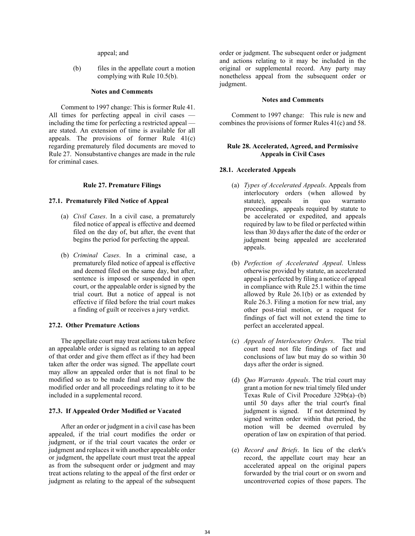appeal; and

(b) files in the appellate court a motion complying with Rule 10.5(b).

#### **Notes and Comments**

Comment to 1997 change: This is former Rule 41. All times for perfecting appeal in civil cases including the time for perfecting a restricted appeal are stated. An extension of time is available for all appeals. The provisions of former Rule 41(c) regarding prematurely filed documents are moved to Rule 27. Nonsubstantive changes are made in the rule for criminal cases.

### **Rule 27. Premature Filings**

# **27.1. Prematurely Filed Notice of Appeal**

- (a) *Civil Cases*. In a civil case, a prematurely filed notice of appeal is effective and deemed filed on the day of, but after, the event that begins the period for perfecting the appeal.
- (b) *Criminal Cases*. In a criminal case, a prematurely filed notice of appeal is effective and deemed filed on the same day, but after, sentence is imposed or suspended in open court, or the appealable order is signed by the trial court. But a notice of appeal is not effective if filed before the trial court makes a finding of guilt or receives a jury verdict.

### **27.2. Other Premature Actions**

The appellate court may treat actions taken before an appealable order is signed as relating to an appeal of that order and give them effect as if they had been taken after the order was signed. The appellate court may allow an appealed order that is not final to be modified so as to be made final and may allow the modified order and all proceedings relating to it to be included in a supplemental record.

### **27.3. If Appealed Order Modified or Vacated**

After an order or judgment in a civil case has been appealed, if the trial court modifies the order or judgment, or if the trial court vacates the order or judgment and replaces it with another appealable order or judgment, the appellate court must treat the appeal as from the subsequent order or judgment and may treat actions relating to the appeal of the first order or judgment as relating to the appeal of the subsequent

order or judgment. The subsequent order or judgment and actions relating to it may be included in the original or supplemental record. Any party may nonetheless appeal from the subsequent order or judgment.

### **Notes and Comments**

Comment to 1997 change: This rule is new and combines the provisions of former Rules 41(c) and 58.

### **Rule 28. Accelerated, Agreed, and Permissive Appeals in Civil Cases**

### **28.1. Accelerated Appeals**

- (a) *Types of Accelerated Appeals*. Appeals from interlocutory orders (when allowed by statute), appeals in quo warranto proceedings, appeals required by statute to be accelerated or expedited, and appeals required by law to be filed or perfected within less than 30 days after the date of the order or judgment being appealed are accelerated appeals.
- (b) *Perfection of Accelerated Appeal*. Unless otherwise provided by statute, an accelerated appeal is perfected by filing a notice of appeal in compliance with Rule 25.1 within the time allowed by Rule 26.1(b) or as extended by Rule 26.3. Filing a motion for new trial, any other post-trial motion, or a request for findings of fact will not extend the time to perfect an accelerated appeal.
- (c) *Appeals of Interlocutory Orders*. The trial court need not file findings of fact and conclusions of law but may do so within 30 days after the order is signed.
- (d) *Quo Warranto Appeals*. The trial court may grant a motion for new trial timely filed under Texas Rule of Civil Procedure 329b(a)–(b) until 50 days after the trial court's final judgment is signed. If not determined by signed written order within that period, the motion will be deemed overruled by operation of law on expiration of that period.
- (e) *Record and Briefs*. In lieu of the clerk's record, the appellate court may hear an accelerated appeal on the original papers forwarded by the trial court or on sworn and uncontroverted copies of those papers. The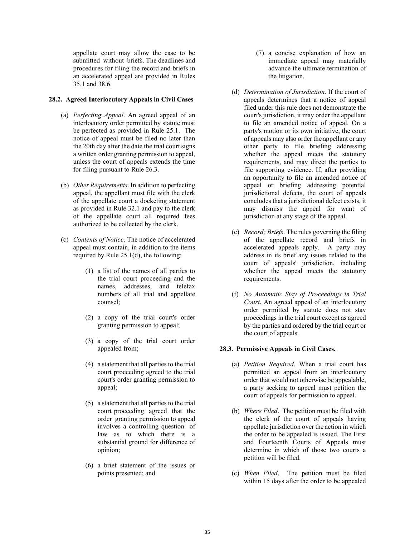appellate court may allow the case to be submitted without briefs. The deadlines and procedures for filing the record and briefs in an accelerated appeal are provided in Rules 35.1 and 38.6.

# **28.2. Agreed Interlocutory Appeals in Civil Cases**

- (a) *Perfecting Appeal*. An agreed appeal of an interlocutory order permitted by statute must be perfected as provided in Rule 25.1. The notice of appeal must be filed no later than the 20th day after the date the trial court signs a written order granting permission to appeal, unless the court of appeals extends the time for filing pursuant to Rule 26.3.
- (b) *Other Requirements*. In addition to perfecting appeal, the appellant must file with the clerk of the appellate court a docketing statement as provided in Rule 32.1 and pay to the clerk of the appellate court all required fees authorized to be collected by the clerk.
- (c) *Contents of Notice*. The notice of accelerated appeal must contain, in addition to the items required by Rule 25.1(d), the following:
	- (1) a list of the names of all parties to the trial court proceeding and the names, addresses, and telefax numbers of all trial and appellate counsel;
	- (2) a copy of the trial court's order granting permission to appeal;
	- (3) a copy of the trial court order appealed from;
	- (4) a statement that all parties to the trial court proceeding agreed to the trial court's order granting permission to appeal;
	- (5) a statement that all parties to the trial court proceeding agreed that the order granting permission to appeal involves a controlling question of law as to which there is a substantial ground for difference of opinion;
	- (6) a brief statement of the issues or points presented; and
- (7) a concise explanation of how an immediate appeal may materially advance the ultimate termination of the litigation.
- (d) *Determination of Jurisdiction*. If the court of appeals determines that a notice of appeal filed under this rule does not demonstrate the court's jurisdiction, it may order the appellant to file an amended notice of appeal. On a party's motion or its own initiative, the court of appeals may also order the appellant or any other party to file briefing addressing whether the appeal meets the statutory requirements, and may direct the parties to file supporting evidence. If, after providing an opportunity to file an amended notice of appeal or briefing addressing potential jurisdictional defects, the court of appeals concludes that a jurisdictional defect exists, it may dismiss the appeal for want of jurisdiction at any stage of the appeal.
- (e) *Record; Briefs*. The rules governing the filing of the appellate record and briefs in accelerated appeals apply. A party may address in its brief any issues related to the court of appeals' jurisdiction, including whether the appeal meets the statutory requirements.
- (f) *No Automatic Stay of Proceedings in Trial Court*. An agreed appeal of an interlocutory order permitted by statute does not stay proceedings in the trial court except as agreed by the parties and ordered by the trial court or the court of appeals.

# **28.3. Permissive Appeals in Civil Cases.**

- (a) *Petition Required*. When a trial court has permitted an appeal from an interlocutory order that would not otherwise be appealable, a party seeking to appeal must petition the court of appeals for permission to appeal.
- (b) *Where Filed*. The petition must be filed with the clerk of the court of appeals having appellate jurisdiction over the action in which the order to be appealed is issued. The First and Fourteenth Courts of Appeals must determine in which of those two courts a petition will be filed.
- (c) *When Filed*. The petition must be filed within 15 days after the order to be appealed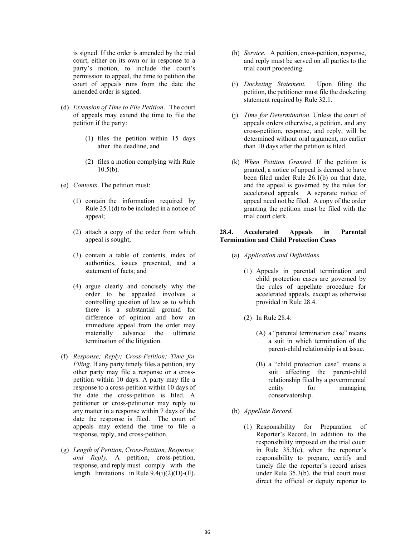is signed. If the order is amended by the trial court, either on its own or in response to a party's motion, to include the court's permission to appeal, the time to petition the court of appeals runs from the date the amended order is signed.

- (d) *Extension of Time to File Petition*. The court of appeals may extend the time to file the petition if the party:
	- (1) files the petition within 15 days after the deadline, and
	- (2) files a motion complying with Rule  $10.5(b)$ .
- (e) *Contents*. The petition must:
	- (1) contain the information required by Rule 25.1(d) to be included in a notice of appeal;
	- (2) attach a copy of the order from which appeal is sought;
	- (3) contain a table of contents, index of authorities, issues presented, and a statement of facts; and
	- (4) argue clearly and concisely why the order to be appealed involves a controlling question of law as to which there is a substantial ground for difference of opinion and how an immediate appeal from the order may materially advance the ultimate termination of the litigation.
- (f) *Response; Reply; Cross-Petition; Time for Filing.* If any party timely files a petition, any other party may file a response or a crosspetition within 10 days. A party may file a response to a cross-petition within 10 days of the date the cross-petition is filed. A petitioner or cross-petitioner may reply to any matter in a response within 7 days of the date the response is filed. The court of appeals may extend the time to file a response, reply, and cross-petition.
- (g) *Length of Petition, Cross-Petition, Response, and Reply.* A petition, cross-petition, response, and reply must comply with the length limitations in Rule  $9.4(i)(2)(D)$ -(E).
- (h) *Service*. A petition, cross-petition, response, and reply must be served on all parties to the trial court proceeding.
- (i) *Docketing Statement.* Upon filing the petition, the petitioner must file the docketing statement required by Rule 32.1.
- (j) *Time for Determination.* Unless the court of appeals orders otherwise, a petition, and any cross-petition, response, and reply, will be determined without oral argument, no earlier than 10 days after the petition is filed.
- (k) *When Petition Granted*. If the petition is granted, a notice of appeal is deemed to have been filed under Rule 26.1(b) on that date, and the appeal is governed by the rules for accelerated appeals. A separate notice of appeal need not be filed. A copy of the order granting the petition must be filed with the trial court clerk.

# **28.4. Accelerated Appeals in Parental Termination and Child Protection Cases**

- (a) *Application and Definitions.*
	- (1) Appeals in parental termination and child protection cases are governed by the rules of appellate procedure for accelerated appeals, except as otherwise provided in Rule 28.4.
	- (2) In Rule 28.4:
		- (A) a "parental termination case" means a suit in which termination of the parent-child relationship is at issue.
		- (B) a "child protection case" means a suit affecting the parent-child relationship filed by a governmental entity for managing conservatorship.
- (b) *Appellate Record.*
	- (1) Responsibility for Preparation of Reporter's Record. In addition to the responsibility imposed on the trial court in Rule 35.3(c), when the reporter's responsibility to prepare, certify and timely file the reporter's record arises under Rule 35.3(b), the trial court must direct the official or deputy reporter to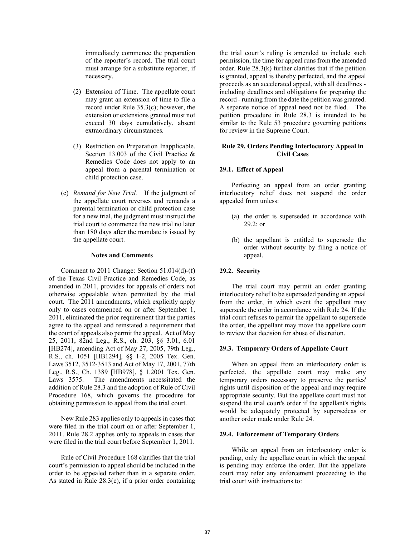immediately commence the preparation of the reporter's record. The trial court must arrange for a substitute reporter, if necessary.

- (2) Extension of Time. The appellate court may grant an extension of time to file a record under Rule 35.3(c); however, the extension or extensions granted must not exceed 30 days cumulatively, absent extraordinary circumstances.
- (3) Restriction on Preparation Inapplicable. Section 13.003 of the Civil Practice & Remedies Code does not apply to an appeal from a parental termination or child protection case.
- (c) *Remand for New Trial.* If the judgment of the appellate court reverses and remands a parental termination or child protection case for a new trial, the judgment must instruct the trial court to commence the new trial no later than 180 days after the mandate is issued by the appellate court.

### **Notes and Comments**

Comment to 2011 Change: Section 51.014(d)-(f) of the Texas Civil Practice and Remedies Code, as amended in 2011, provides for appeals of orders not otherwise appealable when permitted by the trial court. The 2011 amendments, which explicitly apply only to cases commenced on or after September 1, 2011, eliminated the prior requirement that the parties agree to the appeal and reinstated a requirement that the court of appeals also permit the appeal. Act of May 25, 2011, 82nd Leg., R.S., ch. 203, §§ 3.01, 6.01 [HB274], amending Act of May 27, 2005, 79th Leg., R.S., ch. 1051 [HB1294], §§ 1-2, 2005 Tex. Gen. Laws 3512, 3512-3513 and Act of May 17, 2001, 77th Leg., R.S., Ch. 1389 [HB978], § 1.2001 Tex. Gen.<br>Laws 3575. The amendments necessitated the The amendments necessitated the addition of Rule 28.3 and the adoption of Rule of Civil Procedure 168, which governs the procedure for obtaining permission to appeal from the trial court.

New Rule 283 applies only to appeals in cases that were filed in the trial court on or after September 1, 2011. Rule 28.2 applies only to appeals in cases that were filed in the trial court before September 1, 2011.

Rule of Civil Procedure 168 clarifies that the trial court's permission to appeal should be included in the order to be appealed rather than in a separate order. As stated in Rule 28.3(c), if a prior order containing

the trial court's ruling is amended to include such permission, the time for appeal runs from the amended order. Rule 28.3(k) further clarifies that if the petition is granted, appeal is thereby perfected, and the appeal proceeds as an accelerated appeal, with all deadlines including deadlines and obligations for preparing the record - running from the date the petition was granted. A separate notice of appeal need not be filed. The petition procedure in Rule 28.3 is intended to be similar to the Rule 53 procedure governing petitions for review in the Supreme Court.

### **Rule 29. Orders Pending Interlocutory Appeal in Civil Cases**

### **29.1. Effect of Appeal**

Perfecting an appeal from an order granting interlocutory relief does not suspend the order appealed from unless:

- (a) the order is superseded in accordance with 29.2; or
- (b) the appellant is entitled to supersede the order without security by filing a notice of appeal.

### **29.2. Security**

The trial court may permit an order granting interlocutory relief to be superseded pending an appeal from the order, in which event the appellant may supersede the order in accordance with Rule 24. If the trial court refuses to permit the appellant to supersede the order, the appellant may move the appellate court to review that decision for abuse of discretion.

### **29.3. Temporary Orders of Appellate Court**

When an appeal from an interlocutory order is perfected, the appellate court may make any temporary orders necessary to preserve the parties' rights until disposition of the appeal and may require appropriate security. But the appellate court must not suspend the trial court's order if the appellant's rights would be adequately protected by supersedeas or another order made under Rule 24.

### **29.4. Enforcement of Temporary Orders**

While an appeal from an interlocutory order is pending, only the appellate court in which the appeal is pending may enforce the order. But the appellate court may refer any enforcement proceeding to the trial court with instructions to: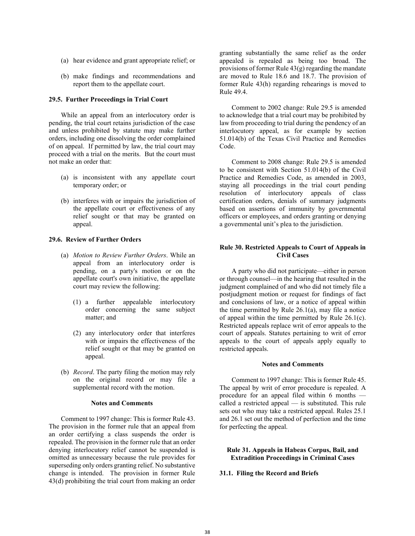- (a) hear evidence and grant appropriate relief; or
- (b) make findings and recommendations and report them to the appellate court.

# **29.5. Further Proceedings in Trial Court**

While an appeal from an interlocutory order is pending, the trial court retains jurisdiction of the case and unless prohibited by statute may make further orders, including one dissolving the order complained of on appeal. If permitted by law, the trial court may proceed with a trial on the merits. But the court must not make an order that:

- (a) is inconsistent with any appellate court temporary order; or
- (b) interferes with or impairs the jurisdiction of the appellate court or effectiveness of any relief sought or that may be granted on appeal.

# **29.6. Review of Further Orders**

- (a) *Motion to Review Further Orders*. While an appeal from an interlocutory order is pending, on a party's motion or on the appellate court's own initiative, the appellate court may review the following:
	- (1) a further appealable interlocutory order concerning the same subject matter; and
	- (2) any interlocutory order that interferes with or impairs the effectiveness of the relief sought or that may be granted on appeal.
- (b) *Record*. The party filing the motion may rely on the original record or may file a supplemental record with the motion.

#### **Notes and Comments**

Comment to 1997 change: This is former Rule 43. The provision in the former rule that an appeal from an order certifying a class suspends the order is repealed. The provision in the former rule that an order denying interlocutory relief cannot be suspended is omitted as unnecessary because the rule provides for superseding only orders granting relief. No substantive change is intended. The provision in former Rule 43(d) prohibiting the trial court from making an order

granting substantially the same relief as the order appealed is repealed as being too broad. The provisions of former Rule  $43(g)$  regarding the mandate are moved to Rule 18.6 and 18.7. The provision of former Rule 43(h) regarding rehearings is moved to  $Rule 49.4.$ 

Comment to 2002 change: Rule 29.5 is amended to acknowledge that a trial court may be prohibited by law from proceeding to trial during the pendency of an interlocutory appeal, as for example by section 51.014(b) of the Texas Civil Practice and Remedies Code.

Comment to 2008 change: Rule 29.5 is amended to be consistent with Section 51.014(b) of the Civil Practice and Remedies Code, as amended in 2003, staying all proceedings in the trial court pending resolution of interlocutory appeals of class certification orders, denials of summary judgments based on assertions of immunity by governmental officers or employees, and orders granting or denying a governmental unit's plea to the jurisdiction.

# **Rule 30. Restricted Appeals to Court of Appeals in Civil Cases**

A party who did not participate—either in person or through counsel—in the hearing that resulted in the judgment complained of and who did not timely file a postjudgment motion or request for findings of fact and conclusions of law, or a notice of appeal within the time permitted by Rule  $26.1(a)$ , may file a notice of appeal within the time permitted by Rule 26.1(c). Restricted appeals replace writ of error appeals to the court of appeals. Statutes pertaining to writ of error appeals to the court of appeals apply equally to restricted appeals.

### **Notes and Comments**

Comment to 1997 change: This is former Rule 45. The appeal by writ of error procedure is repealed. A procedure for an appeal filed within 6 months called a restricted appeal — is substituted. This rule sets out who may take a restricted appeal. Rules 25.1 and 26.1 set out the method of perfection and the time for perfecting the appeal.

## **Rule 31. Appeals in Habeas Corpus, Bail, and Extradition Proceedings in Criminal Cases**

## **31.1. Filing the Record and Briefs**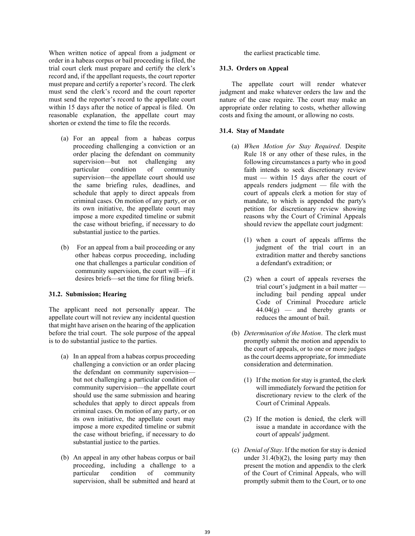When written notice of appeal from a judgment or order in a habeas corpus or bail proceeding is filed, the trial court clerk must prepare and certify the clerk's record and, if the appellant requests, the court reporter must prepare and certify a reporter's record. The clerk must send the clerk's record and the court reporter must send the reporter's record to the appellate court within 15 days after the notice of appeal is filed. On reasonable explanation, the appellate court may shorten or extend the time to file the records.

- (a) For an appeal from a habeas corpus proceeding challenging a conviction or an order placing the defendant on community supervision—but not challenging any particular condition of community supervision—the appellate court should use the same briefing rules, deadlines, and schedule that apply to direct appeals from criminal cases. On motion of any party, or on its own initiative, the appellate court may impose a more expedited timeline or submit the case without briefing, if necessary to do substantial justice to the parties.
- (b) For an appeal from a bail proceeding or any other habeas corpus proceeding, including one that challenges a particular condition of community supervision, the court will—if it desires briefs—set the time for filing briefs.

### **31.2. Submission; Hearing**

The applicant need not personally appear. The appellate court will not review any incidental question that might have arisen on the hearing of the application before the trial court. The sole purpose of the appeal is to do substantial justice to the parties.

- (a) In an appeal from a habeas corpus proceeding challenging a conviction or an order placing the defendant on community supervision but not challenging a particular condition of community supervision—the appellate court should use the same submission and hearing schedules that apply to direct appeals from criminal cases. On motion of any party, or on its own initiative, the appellate court may impose a more expedited timeline or submit the case without briefing, if necessary to do substantial justice to the parties.
- (b) An appeal in any other habeas corpus or bail proceeding, including a challenge to a particular condition of community supervision, shall be submitted and heard at

the earliest practicable time.

# **31.3. Orders on Appeal**

The appellate court will render whatever judgment and make whatever orders the law and the nature of the case require. The court may make an appropriate order relating to costs, whether allowing costs and fixing the amount, or allowing no costs.

# **31.4. Stay of Mandate**

- (a) *When Motion for Stay Required*. Despite Rule 18 or any other of these rules, in the following circumstances a party who in good faith intends to seek discretionary review must — within 15 days after the court of appeals renders judgment — file with the court of appeals clerk a motion for stay of mandate, to which is appended the party's petition for discretionary review showing reasons why the Court of Criminal Appeals should review the appellate court judgment:
	- (1) when a court of appeals affirms the judgment of the trial court in an extradition matter and thereby sanctions a defendant's extradition; or
	- (2) when a court of appeals reverses the trial court's judgment in a bail matter including bail pending appeal under Code of Criminal Procedure article  $44.04(g)$  — and thereby grants or reduces the amount of bail.
- (b) *Determination of the Motion*. The clerk must promptly submit the motion and appendix to the court of appeals, or to one or more judges as the court deems appropriate, for immediate consideration and determination.
	- (1) If the motion for stay is granted, the clerk will immediately forward the petition for discretionary review to the clerk of the Court of Criminal Appeals.
	- (2) If the motion is denied, the clerk will issue a mandate in accordance with the court of appeals' judgment.
- (c) *Denial of Stay*. If the motion for stay is denied under  $31.4(b)(2)$ , the losing party may then present the motion and appendix to the clerk of the Court of Criminal Appeals, who will promptly submit them to the Court, or to one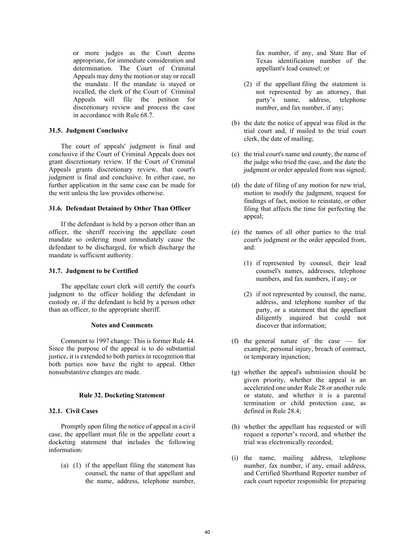or more judges as the Court deems appropriate, for immediate consideration and determination. The Court of Criminal Appeals may deny the motion or stay or recall the mandate. If the mandate is stayed or recalled, the clerk of the Court of Criminal Appeals will file the petition for discretionary review and process the case in accordance with Rule 68.7.

## **31.5. Judgment Conclusive**

The court of appeals' judgment is final and conclusive if the Court of Criminal Appeals does not grant discretionary review. If the Court of Criminal Appeals grants discretionary review, that court's judgment is final and conclusive. In either case, no further application in the same case can be made for the writ unless the law provides otherwise.

### **31.6. Defendant Detained by Other Than Officer**

If the defendant is held by a person other than an officer, the sheriff receiving the appellate court mandate so ordering must immediately cause the defendant to be discharged, for which discharge the mandate is sufficient authority.

# **31.7. Judgment to be Certified**

The appellate court clerk will certify the court's judgment to the officer holding the defendant in custody or, if the defendant is held by a person other than an officer, to the appropriate sheriff.

#### **Notes and Comments**

Comment to 1997 change: This is former Rule 44. Since the purpose of the appeal is to do substantial justice, it is extended to both parties in recognition that both parties now have the right to appeal. Other nonsubstantive changes are made.

### **Rule 32. Docketing Statement**

### **32.1. Civil Cases**

Promptly upon filing the notice of appeal in a civil case, the appellant must file in the appellate court a docketing statement that includes the following information:

(a) (1) if the appellant filing the statement has counsel, the name of that appellant and the name, address, telephone number, fax number, if any, and State Bar of Texas identification number of the appellant's lead counsel; or

- (2) if the appellant filing the statement is not represented by an attorney, that party's name, address, telephone number, and fax number, if any;
- (b) the date the notice of appeal was filed in the trial court and, if mailed to the trial court clerk, the date of mailing;
- (c) the trial court's name and county, the name of the judge who tried the case, and the date the judgment or order appealed from was signed;
- (d) the date of filing of any motion for new trial, motion to modify the judgment, request for findings of fact, motion to reinstate, or other filing that affects the time for perfecting the appeal;
- (e) the names of all other parties to the trial court's judgment or the order appealed from, and:
	- (1) if represented by counsel, their lead counsel's names, addresses, telephone numbers, and fax numbers, if any; or
	- (2) if not represented by counsel, the name, address, and telephone number of the party, or a statement that the appellant diligently inquired but could not discover that information;
- (f) the general nature of the case for example, personal injury, breach of contract, or temporary injunction;
- (g) whether the appeal's submission should be given priority, whether the appeal is an accelerated one under Rule 28 or another rule or statute, and whether it is a parental termination or child protection case, as defined in Rule 28.4;
- (h) whether the appellant has requested or will request a reporter's record, and whether the trial was electronically recorded;
- (i) the name, mailing address, telephone number, fax number, if any, email address, and Certified Shorthand Reporter number of each court reporter responsible for preparing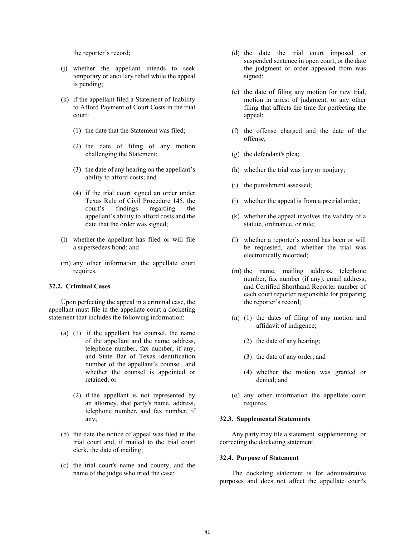the reporter's record;

- (j) whether the appellant intends to seek temporary or ancillary relief while the appeal is pending;
- (k) if the appellant filed a Statement of Inability to Afford Payment of Court Costs in the trial court:
	- (1) the date that the Statement was filed;
	- (2) the date of filing of any motion challenging the Statement;
	- (3) the date of any hearing on the appellant's ability to afford costs; and
	- (4) if the trial court signed an order under Texas Rule of Civil Procedure 145, the court's findings regarding the appellant's ability to afford costs and the date that the order was signed;
- (l) whether the appellant has filed or will file a supersedeas bond; and
- (m) any other information the appellate court requires.

# **32.2. Criminal Cases**

Upon perfecting the appeal in a criminal case, the appellant must file in the appellate court a docketing statement that includes the following information:

- (a) (1) if the appellant has counsel, the name of the appellant and the name, address, telephone number, fax number, if any, and State Bar of Texas identification number of the appellant's counsel, and whether the counsel is appointed or retained; or
	- (2) if the appellant is not represented by an attorney, that party's name, address, telephone number, and fax number, if any;
- (b) the date the notice of appeal was filed in the trial court and, if mailed to the trial court clerk, the date of mailing;
- (c) the trial court's name and county, and the name of the judge who tried the case;
- (d) the date the trial court imposed or suspended sentence in open court, or the date the judgment or order appealed from was signed;
- (e) the date of filing any motion for new trial, motion in arrest of judgment, or any other filing that affects the time for perfecting the appeal;
- (f) the offense charged and the date of the offense;
- (g) the defendant's plea;
- (h) whether the trial was jury or nonjury;
- (i) the punishment assessed;
- (j) whether the appeal is from a pretrial order;
- (k) whether the appeal involves the validity of a statute, ordinance, or rule;
- (l) whether a reporter's record has been or will be requested, and whether the trial was electronically recorded;
- (m) the name, mailing address, telephone number, fax number (if any), email address, and Certified Shorthand Reporter number of each court reporter responsible for preparing the reporter's record;
- (n) (1) the dates of filing of any motion and affidavit of indigence;
	- (2) the date of any hearing;
	- (3) the date of any order; and
	- (4) whether the motion was granted or denied; and
- (o) any other information the appellate court requires.

### **32.3. Supplemental Statements**

Any party may file a statement supplementing or correcting the docketing statement.

## **32.4. Purpose of Statement**

The docketing statement is for administrative purposes and does not affect the appellate court's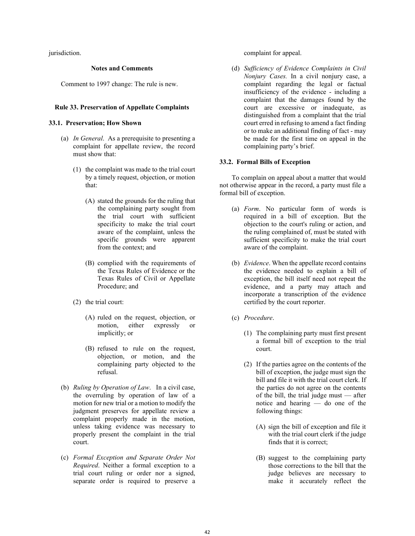jurisdiction.

### **Notes and Comments**

Comment to 1997 change: The rule is new.

# **Rule 33. Preservation of Appellate Complaints**

# **33.1. Preservation; How Shown**

- (a) *In General*. As a prerequisite to presenting a complaint for appellate review, the record must show that:
	- (1) the complaint was made to the trial court by a timely request, objection, or motion that:
		- (A) stated the grounds for the ruling that the complaining party sought from the trial court with sufficient specificity to make the trial court aware of the complaint, unless the specific grounds were apparent from the context; and
		- (B) complied with the requirements of the Texas Rules of Evidence or the Texas Rules of Civil or Appellate Procedure; and
	- (2) the trial court:
		- (A) ruled on the request, objection, or motion, either expressly or implicitly; or
		- (B) refused to rule on the request, objection, or motion, and the complaining party objected to the refusal.
- (b) *Ruling by Operation of Law*. In a civil case, the overruling by operation of law of a motion for new trial or a motion to modify the judgment preserves for appellate review a complaint properly made in the motion, unless taking evidence was necessary to properly present the complaint in the trial court.
- (c) *Formal Exception and Separate Order Not Required*. Neither a formal exception to a trial court ruling or order nor a signed, separate order is required to preserve a

complaint for appeal.

(d) *Sufficiency of Evidence Complaints in Civil Nonjury Cases.* In a civil nonjury case, a complaint regarding the legal or factual insufficiency of the evidence - including a complaint that the damages found by the court are excessive or inadequate, as distinguished from a complaint that the trial court erred in refusing to amend a fact finding or to make an additional finding of fact - may be made for the first time on appeal in the complaining party's brief.

# **33.2. Formal Bills of Exception**

To complain on appeal about a matter that would not otherwise appear in the record, a party must file a formal bill of exception.

- (a) *Form*. No particular form of words is required in a bill of exception. But the objection to the court's ruling or action, and the ruling complained of, must be stated with sufficient specificity to make the trial court aware of the complaint.
- (b) *Evidence*. When the appellate record contains the evidence needed to explain a bill of exception, the bill itself need not repeat the evidence, and a party may attach and incorporate a transcription of the evidence certified by the court reporter.
- (c) *Procedure*.
	- (1) The complaining party must first present a formal bill of exception to the trial court.
	- (2) If the parties agree on the contents of the bill of exception, the judge must sign the bill and file it with the trial court clerk. If the parties do not agree on the contents of the bill, the trial judge must — after notice and hearing — do one of the following things:
		- (A) sign the bill of exception and file it with the trial court clerk if the judge finds that it is correct;
		- (B) suggest to the complaining party those corrections to the bill that the judge believes are necessary to make it accurately reflect the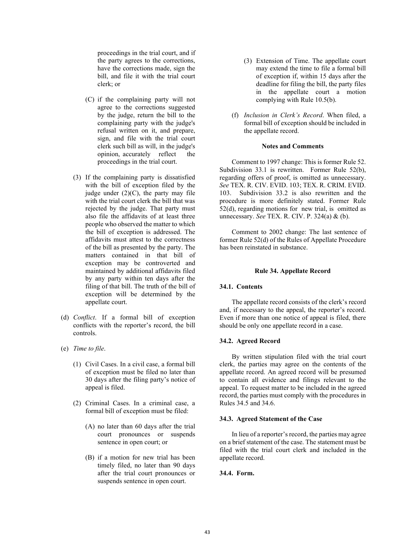proceedings in the trial court, and if the party agrees to the corrections, have the corrections made, sign the bill, and file it with the trial court clerk; or

- (C) if the complaining party will not agree to the corrections suggested by the judge, return the bill to the complaining party with the judge's refusal written on it, and prepare, sign, and file with the trial court clerk such bill as will, in the judge's opinion, accurately reflect the proceedings in the trial court.
- (3) If the complaining party is dissatisfied with the bill of exception filed by the judge under  $(2)(C)$ , the party may file with the trial court clerk the bill that was rejected by the judge. That party must also file the affidavits of at least three people who observed the matter to which the bill of exception is addressed. The affidavits must attest to the correctness of the bill as presented by the party. The matters contained in that bill of exception may be controverted and maintained by additional affidavits filed by any party within ten days after the filing of that bill. The truth of the bill of exception will be determined by the appellate court.
- (d) *Conflict*. If a formal bill of exception conflicts with the reporter's record, the bill controls.
- (e) *Time to file*.
	- (1) Civil Cases. In a civil case, a formal bill of exception must be filed no later than 30 days after the filing party's notice of appeal is filed.
	- (2) Criminal Cases. In a criminal case, a formal bill of exception must be filed:
		- (A) no later than 60 days after the trial court pronounces or suspends sentence in open court; or
		- (B) if a motion for new trial has been timely filed, no later than 90 days after the trial court pronounces or suspends sentence in open court.
- (3) Extension of Time. The appellate court may extend the time to file a formal bill of exception if, within 15 days after the deadline for filing the bill, the party files in the appellate court a motion complying with Rule 10.5(b).
- (f) *Inclusion in Clerk's Record*. When filed, a formal bill of exception should be included in the appellate record.

#### **Notes and Comments**

Comment to 1997 change: This is former Rule 52. Subdivision 33.1 is rewritten. Former Rule 52(b), regarding offers of proof, is omitted as unnecessary. *See* TEX. R. CIV. EVID. 103; TEX. R. CRIM. EVID. 103. Subdivision 33.2 is also rewritten and the procedure is more definitely stated. Former Rule 52(d), regarding motions for new trial, is omitted as unnecessary. *See* TEX. R. CIV. P. 324(a) & (b).

Comment to 2002 change: The last sentence of former Rule 52(d) of the Rules of Appellate Procedure has been reinstated in substance.

#### **Rule 34. Appellate Record**

### **34.1. Contents**

The appellate record consists of the clerk's record and, if necessary to the appeal, the reporter's record. Even if more than one notice of appeal is filed, there should be only one appellate record in a case.

### **34.2. Agreed Record**

By written stipulation filed with the trial court clerk, the parties may agree on the contents of the appellate record. An agreed record will be presumed to contain all evidence and filings relevant to the appeal. To request matter to be included in the agreed record, the parties must comply with the procedures in Rules 34.5 and 34.6.

#### **34.3. Agreed Statement of the Case**

In lieu of a reporter's record, the parties may agree on a brief statement of the case. The statement must be filed with the trial court clerk and included in the appellate record.

### **34.4. Form.**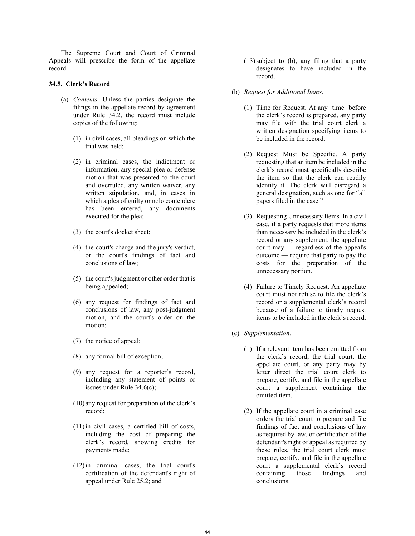The Supreme Court and Court of Criminal Appeals will prescribe the form of the appellate record.

#### **34.5. Clerk's Record**

- (a) *Contents*. Unless the parties designate the filings in the appellate record by agreement under Rule 34.2, the record must include copies of the following:
	- (1) in civil cases, all pleadings on which the trial was held;
	- (2) in criminal cases, the indictment or information, any special plea or defense motion that was presented to the court and overruled, any written waiver, any written stipulation, and, in cases in which a plea of guilty or nolo contendere has been entered, any documents executed for the plea;
	- (3) the court's docket sheet;
	- (4) the court's charge and the jury's verdict, or the court's findings of fact and conclusions of law;
	- (5) the court's judgment or other order that is being appealed;
	- (6) any request for findings of fact and conclusions of law, any post-judgment motion, and the court's order on the motion;
	- (7) the notice of appeal;
	- (8) any formal bill of exception;
	- (9) any request for a reporter's record, including any statement of points or issues under Rule 34.6(c);
	- (10) any request for preparation of the clerk's record;
	- (11)in civil cases, a certified bill of costs, including the cost of preparing the clerk's record, showing credits for payments made;
	- (12)in criminal cases, the trial court's certification of the defendant's right of appeal under Rule 25.2; and
- (13)subject to (b), any filing that a party designates to have included in the record.
- (b) *Request for Additional Items*.
	- (1) Time for Request. At any time before the clerk's record is prepared, any party may file with the trial court clerk a written designation specifying items to be included in the record.
	- (2) Request Must be Specific. A party requesting that an item be included in the clerk's record must specifically describe the item so that the clerk can readily identify it. The clerk will disregard a general designation, such as one for "all papers filed in the case."
	- (3) Requesting Unnecessary Items. In a civil case, if a party requests that more items than necessary be included in the clerk's record or any supplement, the appellate court may — regardless of the appeal's outcome — require that party to pay the costs for the preparation of the unnecessary portion.
	- (4) Failure to Timely Request. An appellate court must not refuse to file the clerk's record or a supplemental clerk's record because of a failure to timely request items to be included in the clerk's record.
- (c) *Supplementation*.
	- (1) If a relevant item has been omitted from the clerk's record, the trial court, the appellate court, or any party may by letter direct the trial court clerk to prepare, certify, and file in the appellate court a supplement containing the omitted item.
	- (2) If the appellate court in a criminal case orders the trial court to prepare and file findings of fact and conclusions of law as required by law, or certification of the defendant's right of appeal as required by these rules, the trial court clerk must prepare, certify, and file in the appellate court a supplemental clerk's record containing those findings and conclusions.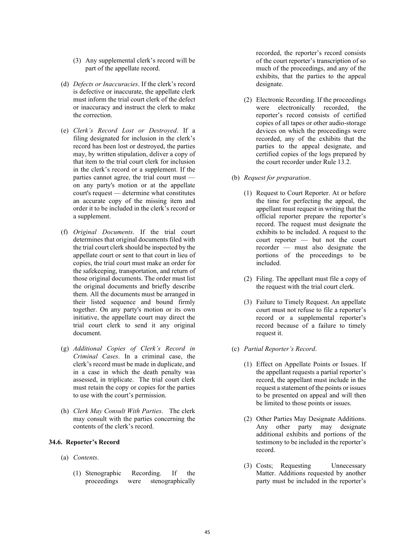- (3) Any supplemental clerk's record will be part of the appellate record.
- (d) *Defects or Inaccuracies*. If the clerk's record is defective or inaccurate, the appellate clerk must inform the trial court clerk of the defect or inaccuracy and instruct the clerk to make the correction.
- (e) *Clerk's Record Lost or Destroyed*. If a filing designated for inclusion in the clerk's record has been lost or destroyed, the parties may, by written stipulation, deliver a copy of that item to the trial court clerk for inclusion in the clerk's record or a supplement. If the parties cannot agree, the trial court must on any party's motion or at the appellate court's request — determine what constitutes an accurate copy of the missing item and order it to be included in the clerk's record or a supplement.
- (f) *Original Documents*. If the trial court determines that original documents filed with the trial court clerk should be inspected by the appellate court or sent to that court in lieu of copies, the trial court must make an order for the safekeeping, transportation, and return of those original documents. The order must list the original documents and briefly describe them. All the documents must be arranged in their listed sequence and bound firmly together. On any party's motion or its own initiative, the appellate court may direct the trial court clerk to send it any original document.
- (g) *Additional Copies of Clerk's Record in Criminal Cases*. In a criminal case, the clerk's record must be made in duplicate, and in a case in which the death penalty was assessed, in triplicate. The trial court clerk must retain the copy or copies for the parties to use with the court's permission.
- (h) *Clerk May Consult With Parties*. The clerk may consult with the parties concerning the contents of the clerk's record.

### **34.6. Reporter's Record**

- (a) *Contents*.
	- (1) Stenographic Recording. If the proceedings were stenographically were stenographically

recorded, the reporter's record consists of the court reporter's transcription of so much of the proceedings, and any of the exhibits, that the parties to the appeal designate.

- (2) Electronic Recording. If the proceedings were electronically recorded, the reporter's record consists of certified copies of all tapes or other audio-storage devices on which the proceedings were recorded, any of the exhibits that the parties to the appeal designate, and certified copies of the logs prepared by the court recorder under Rule 13.2.
- (b) *Request for preparation*.
	- (1) Request to Court Reporter. At or before the time for perfecting the appeal, the appellant must request in writing that the official reporter prepare the reporter's record. The request must designate the exhibits to be included. A request to the court reporter — but not the court recorder — must also designate the portions of the proceedings to be included.
	- (2) Filing. The appellant must file a copy of the request with the trial court clerk.
	- (3) Failure to Timely Request. An appellate court must not refuse to file a reporter's record or a supplemental reporter's record because of a failure to timely request it.
- (c) *Partial Reporter's Record*.
	- (1) Effect on Appellate Points or Issues. If the appellant requests a partial reporter's record, the appellant must include in the request a statement of the points or issues to be presented on appeal and will then be limited to those points or issues.
	- (2) Other Parties May Designate Additions. Any other party may designate additional exhibits and portions of the testimony to be included in the reporter's record.
	- (3) Costs; Requesting Unnecessary Matter. Additions requested by another party must be included in the reporter's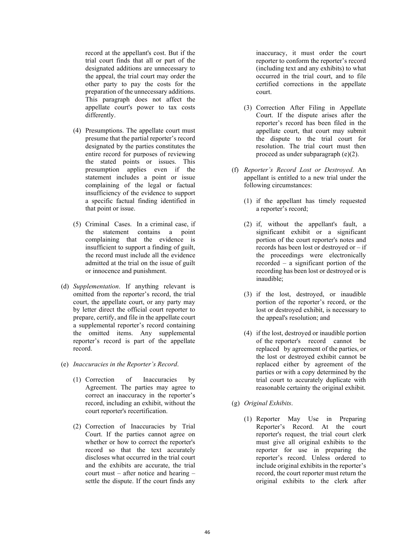record at the appellant's cost. But if the trial court finds that all or part of the designated additions are unnecessary to the appeal, the trial court may order the other party to pay the costs for the preparation of the unnecessary additions. This paragraph does not affect the appellate court's power to tax costs differently.

- (4) Presumptions. The appellate court must presume that the partial reporter's record designated by the parties constitutes the entire record for purposes of reviewing the stated points or issues. This presumption applies even if the statement includes a point or issue complaining of the legal or factual insufficiency of the evidence to support a specific factual finding identified in that point or issue.
- (5) Criminal Cases. In a criminal case, if the statement contains a point complaining that the evidence is insufficient to support a finding of guilt, the record must include all the evidence admitted at the trial on the issue of guilt or innocence and punishment.
- (d) *Supplementation*. If anything relevant is omitted from the reporter's record, the trial court, the appellate court, or any party may by letter direct the official court reporter to prepare, certify, and file in the appellate court a supplemental reporter's record containing the omitted items. Any supplemental reporter's record is part of the appellate record.
- (e) *Inaccuracies in the Reporter's Record*.
	- (1) Correction of Inaccuracies by Agreement. The parties may agree to correct an inaccuracy in the reporter's record, including an exhibit, without the court reporter's recertification.
	- (2) Correction of Inaccuracies by Trial Court. If the parties cannot agree on whether or how to correct the reporter's record so that the text accurately discloses what occurred in the trial court and the exhibits are accurate, the trial court must – after notice and hearing – settle the dispute. If the court finds any

inaccuracy, it must order the court reporter to conform the reporter's record (including text and any exhibits) to what occurred in the trial court, and to file certified corrections in the appellate court.

- (3) Correction After Filing in Appellate Court. If the dispute arises after the reporter's record has been filed in the appellate court, that court may submit the dispute to the trial court for resolution. The trial court must then proceed as under subparagraph (e)(2).
- (f) *Reporter's Record Lost or Destroyed*. An appellant is entitled to a new trial under the following circumstances:
	- (1) if the appellant has timely requested a reporter's record;
	- (2) if, without the appellant's fault, a significant exhibit or a significant portion of the court reporter's notes and records has been lost or destroyed or – if the proceedings were electronically recorded – a significant portion of the recording has been lost or destroyed or is inaudible;
	- (3) if the lost, destroyed, or inaudible portion of the reporter's record, or the lost or destroyed exhibit, is necessary to the appeal's resolution; and
	- (4) if the lost, destroyed or inaudible portion of the reporter's record cannot be replaced by agreement of the parties, or the lost or destroyed exhibit cannot be replaced either by agreement of the parties or with a copy determined by the trial court to accurately duplicate with reasonable certainty the original exhibit.
- (g) *Original Exhibits*.
	- (1) Reporter May Use in Preparing Reporter's Record. At the court reporter's request, the trial court clerk must give all original exhibits to the reporter for use in preparing the reporter's record. Unless ordered to include original exhibits in the reporter's record, the court reporter must return the original exhibits to the clerk after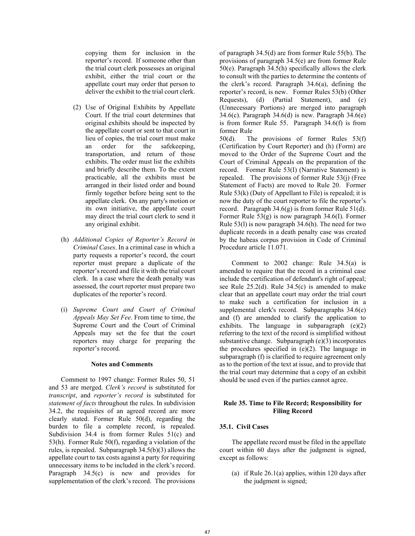copying them for inclusion in the reporter's record. If someone other than the trial court clerk possesses an original exhibit, either the trial court or the appellate court may order that person to deliver the exhibit to the trial court clerk.

- (2) Use of Original Exhibits by Appellate Court. If the trial court determines that original exhibits should be inspected by the appellate court or sent to that court in lieu of copies, the trial court must make an order for the safekeeping, transportation, and return of those exhibits. The order must list the exhibits and briefly describe them. To the extent practicable, all the exhibits must be arranged in their listed order and bound firmly together before being sent to the appellate clerk. On any party's motion or its own initiative, the appellate court may direct the trial court clerk to send it any original exhibit.
- (h) *Additional Copies of Reporter's Record in Criminal Cases*. In a criminal case in which a party requests a reporter's record, the court reporter must prepare a duplicate of the reporter's record and file it with the trial court clerk. In a case where the death penalty was assessed, the court reporter must prepare two duplicates of the reporter's record.
- (i) *Supreme Court and Court of Criminal Appeals May Set Fee*. From time to time, the Supreme Court and the Court of Criminal Appeals may set the fee that the court reporters may charge for preparing the reporter's record.

#### **Notes and Comments**

Comment to 1997 change: Former Rules 50, 51 and 53 are merged. *Clerk's record* is substituted for *transcript*, and *reporter's record* is substituted for *statement of facts* throughout the rules. In subdivision 34.2, the requisites of an agreed record are more clearly stated. Former Rule 50(d), regarding the burden to file a complete record, is repealed. Subdivision 34.4 is from former Rules 51(c) and 53(h). Former Rule 50(f), regarding a violation of the rules, is repealed. Subparagraph 34.5(b)(3) allows the appellate court to tax costs against a party for requiring unnecessary items to be included in the clerk's record. Paragraph 34.5(c) is new and provides for supplementation of the clerk's record. The provisions

of paragraph 34.5(d) are from former Rule 55(b). The provisions of paragraph 34.5(e) are from former Rule 50(e). Paragraph 34.5(h) specifically allows the clerk to consult with the parties to determine the contents of the clerk's record. Paragraph 34.6(a), defining the reporter's record, is new. Former Rules 53(b) (Other Requests), (d) (Partial Statement), and (e) (Unnecessary Portions) are merged into paragraph 34.6(c). Paragraph 34.6(d) is new. Paragraph  $34.6(e)$ is from former Rule 55. Paragraph 34.6(f) is from former Rule<br>50(d). Th

The provisions of former Rules  $53(f)$ (Certification by Court Reporter) and (h) (Form) are moved to the Order of the Supreme Court and the Court of Criminal Appeals on the preparation of the record. Former Rule 53(I) (Narrative Statement) is repealed. The provisions of former Rule 53(j) (Free Statement of Facts) are moved to Rule 20. Former Rule 53(k) (Duty of Appellant to File) is repealed; it is now the duty of the court reporter to file the reporter's record. Paragraph  $34.6(g)$  is from former Rule  $51(d)$ . Former Rule  $53(g)$  is now paragraph 34.6(I). Former Rule  $53(1)$  is now paragraph  $34.6(h)$ . The need for two duplicate records in a death penalty case was created by the habeas corpus provision in Code of Criminal Procedure article 11.071.

Comment to 2002 change: Rule 34.5(a) is amended to require that the record in a criminal case include the certification of defendant's right of appeal; see Rule 25.2(d). Rule 34.5(c) is amended to make clear that an appellate court may order the trial court to make such a certification for inclusion in a supplemental clerk's record. Subparagraphs 34.6(e) and (f) are amended to clarify the application to exhibits. The language in subparagraph (e)(2) referring to the text of the record is simplified without substantive change. Subparagraph (e)(3) incorporates the procedures specified in (e)(2). The language in subparagraph (f) is clarified to require agreement only as to the portion of the text at issue, and to provide that the trial court may determine that a copy of an exhibit should be used even if the parties cannot agree.

# **Rule 35. Time to File Record; Responsibility for Filing Record**

### **35.1. Civil Cases**

The appellate record must be filed in the appellate court within 60 days after the judgment is signed, except as follows:

(a) if Rule 26.1(a) applies, within 120 days after the judgment is signed;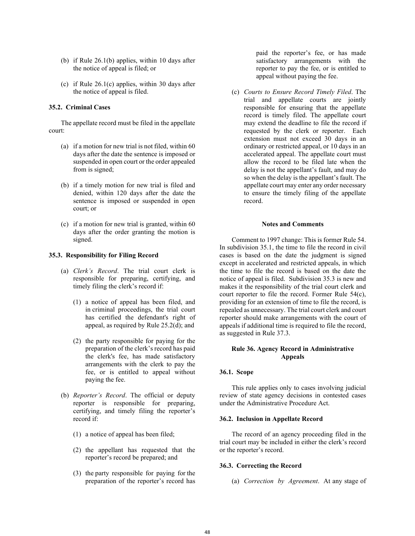- (b) if Rule 26.1(b) applies, within 10 days after the notice of appeal is filed; or
- (c) if Rule 26.1(c) applies, within 30 days after the notice of appeal is filed.

# **35.2. Criminal Cases**

The appellate record must be filed in the appellate court:

- (a) if a motion for new trial is not filed, within 60 days after the date the sentence is imposed or suspended in open court or the order appealed from is signed;
- (b) if a timely motion for new trial is filed and denied, within 120 days after the date the sentence is imposed or suspended in open court; or
- (c) if a motion for new trial is granted, within 60 days after the order granting the motion is signed.

### **35.3. Responsibility for Filing Record**

- (a) *Clerk's Record*. The trial court clerk is responsible for preparing, certifying, and timely filing the clerk's record if:
	- (1) a notice of appeal has been filed, and in criminal proceedings, the trial court has certified the defendant's right of appeal, as required by Rule 25.2(d); and
	- (2) the party responsible for paying for the preparation of the clerk's record has paid the clerk's fee, has made satisfactory arrangements with the clerk to pay the fee, or is entitled to appeal without paying the fee.
- (b) *Reporter's Record*. The official or deputy reporter is responsible for preparing, certifying, and timely filing the reporter's record if:
	- (1) a notice of appeal has been filed;
	- (2) the appellant has requested that the reporter's record be prepared; and
	- (3) the party responsible for paying for the preparation of the reporter's record has

paid the reporter's fee, or has made satisfactory arrangements with the reporter to pay the fee, or is entitled to appeal without paying the fee.

(c) *Courts to Ensure Record Timely Filed*. The trial and appellate courts are jointly responsible for ensuring that the appellate record is timely filed. The appellate court may extend the deadline to file the record if requested by the clerk or reporter. Each extension must not exceed 30 days in an ordinary or restricted appeal, or 10 days in an accelerated appeal. The appellate court must allow the record to be filed late when the delay is not the appellant's fault, and may do so when the delay is the appellant's fault. The appellate court may enter any order necessary to ensure the timely filing of the appellate record.

### **Notes and Comments**

Comment to 1997 change: This is former Rule 54. In subdivision 35.1, the time to file the record in civil cases is based on the date the judgment is signed except in accelerated and restricted appeals, in which the time to file the record is based on the date the notice of appeal is filed. Subdivision 35.3 is new and makes it the responsibility of the trial court clerk and court reporter to file the record. Former Rule 54(c), providing for an extension of time to file the record, is repealed as unnecessary. The trial court clerk and court reporter should make arrangements with the court of appeals if additional time is required to file the record, as suggested in Rule 37.3.

# **Rule 36. Agency Record in Administrative Appeals**

# **36.1. Scope**

This rule applies only to cases involving judicial review of state agency decisions in contested cases under the Administrative Procedure Act.

#### **36.2. Inclusion in Appellate Record**

The record of an agency proceeding filed in the trial court may be included in either the clerk's record or the reporter's record.

### **36.3. Correcting the Record**

(a) *Correction by Agreement*. At any stage of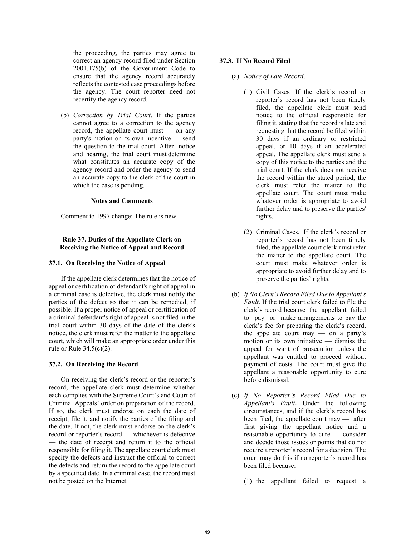the proceeding, the parties may agree to correct an agency record filed under Section 2001.175(b) of the Government Code to ensure that the agency record accurately reflects the contested case proceedings before the agency. The court reporter need not recertify the agency record.

(b) *Correction by Trial Court*. If the parties cannot agree to a correction to the agency record, the appellate court must — on any party's motion or its own incentive — send the question to the trial court. After notice and hearing, the trial court must determine what constitutes an accurate copy of the agency record and order the agency to send an accurate copy to the clerk of the court in which the case is pending.

# **Notes and Comments**

Comment to 1997 change: The rule is new.

# **Rule 37. Duties of the Appellate Clerk on Receiving the Notice of Appeal and Record**

#### **37.1. On Receiving the Notice of Appeal**

If the appellate clerk determines that the notice of appeal or certification of defendant's right of appeal in a criminal case is defective, the clerk must notify the parties of the defect so that it can be remedied, if possible. If a proper notice of appeal or certification of a criminal defendant's right of appeal is not filed in the trial court within 30 days of the date of the clerk's notice, the clerk must refer the matter to the appellate court, which will make an appropriate order under this rule or Rule 34.5(c)(2).

#### **37.2. On Receiving the Record**

On receiving the clerk's record or the reporter's record, the appellate clerk must determine whether each complies with the Supreme Court's and Court of Criminal Appeals' order on preparation of the record. If so, the clerk must endorse on each the date of receipt, file it, and notify the parties of the filing and the date. If not, the clerk must endorse on the clerk's record or reporter's record — whichever is defective — the date of receipt and return it to the official responsible for filing it. The appellate court clerk must specify the defects and instruct the official to correct the defects and return the record to the appellate court by a specified date. In a criminal case, the record must not be posted on the Internet.

### **37.3. If No Record Filed**

## (a) *Notice of Late Record*.

- (1) Civil Cases*.* If the clerk's record or reporter's record has not been timely filed, the appellate clerk must send notice to the official responsible for filing it, stating that the record is late and requesting that the record be filed within 30 days if an ordinary or restricted appeal, or 10 days if an accelerated appeal. The appellate clerk must send a copy of this notice to the parties and the trial court. If the clerk does not receive the record within the stated period, the clerk must refer the matter to the appellate court. The court must make whatever order is appropriate to avoid further delay and to preserve the parties' rights.
- (2) Criminal Cases. If the clerk's record or reporter's record has not been timely filed, the appellate court clerk must refer the matter to the appellate court. The court must make whatever order is appropriate to avoid further delay and to preserve the parties' rights.
- (b) *If No Clerk's Record Filed Due to Appellant's Fault*. If the trial court clerk failed to file the clerk's record because the appellant failed to pay or make arrangements to pay the clerk's fee for preparing the clerk's record, the appellate court may  $-$  on a party's motion or its own initiative — dismiss the appeal for want of prosecution unless the appellant was entitled to proceed without payment of costs. The court must give the appellant a reasonable opportunity to cure before dismissal.
- (c) *If No Reporter's Record Filed Due to Appellant's Fault***.** Under the following circumstances, and if the clerk's record has been filed, the appellate court may — after first giving the appellant notice and a reasonable opportunity to cure — consider and decide those issues or points that do not require a reporter's record for a decision. The court may do this if no reporter's record has been filed because:
	- (1) the appellant failed to request a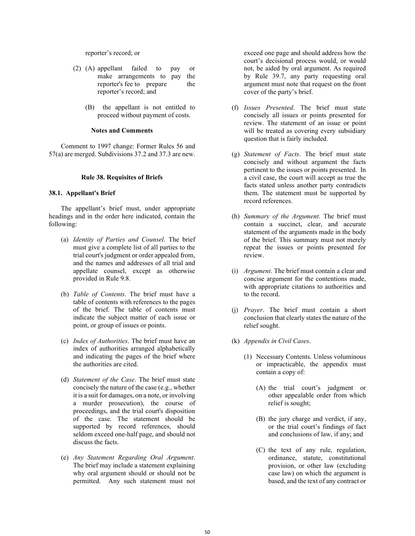reporter's record; or

- (2) (A) appellant failed to pay or make arrangements to pay the reporter's fee to prepare the reporter's record; and
	- (B) the appellant is not entitled to proceed without payment of costs.

# **Notes and Comments**

Comment to 1997 change: Former Rules 56 and 57(a) are merged. Subdivisions 37.2 and 37.3 are new.

#### **Rule 38. Requisites of Briefs**

# **38.1. Appellant's Brief**

The appellant's brief must, under appropriate headings and in the order here indicated, contain the following:

- (a) *Identity of Parties and Counsel*. The brief must give a complete list of all parties to the trial court's judgment or order appealed from, and the names and addresses of all trial and appellate counsel, except as otherwise provided in Rule 9.8.
- (b) *Table of Contents*. The brief must have a table of contents with references to the pages of the brief. The table of contents must indicate the subject matter of each issue or point, or group of issues or points.
- (c) *Index of Authorities*. The brief must have an index of authorities arranged alphabetically and indicating the pages of the brief where the authorities are cited.
- (d) *Statement of the Case*. The brief must state concisely the nature of the case (e.g., whether it is a suit for damages, on a note, or involving a murder prosecution), the course of proceedings, and the trial court's disposition of the case. The statement should be supported by record references, should seldom exceed one-half page, and should not discuss the facts.
- (e) *Any Statement Regarding Oral Argument*. The brief may include a statement explaining why oral argument should or should not be permitted. Any such statement must not

exceed one page and should address how the court's decisional process would, or would not, be aided by oral argument. As required by Rule 39.7, any party requesting oral argument must note that request on the front cover of the party's brief.

- (f) *Issues Presented*. The brief must state concisely all issues or points presented for review. The statement of an issue or point will be treated as covering every subsidiary question that is fairly included.
- (g) *Statement of Facts*. The brief must state concisely and without argument the facts pertinent to the issues or points presented. In a civil case, the court will accept as true the facts stated unless another party contradicts them. The statement must be supported by record references.
- (h) *Summary of the Argument*. The brief must contain a succinct, clear, and accurate statement of the arguments made in the body of the brief. This summary must not merely repeat the issues or points presented for review.
- (i) *Argument*. The brief must contain a clear and concise argument for the contentions made, with appropriate citations to authorities and to the record.
- (j) *Prayer*. The brief must contain a short conclusion that clearly states the nature of the relief sought.
- (k) *Appendix in Civil Cases*.
	- (1) Necessary Contents. Unless voluminous or impracticable, the appendix must contain a copy of:
		- (A) the trial court's judgment or other appealable order from which relief is sought;
		- (B) the jury charge and verdict, if any, or the trial court's findings of fact and conclusions of law, if any; and
		- (C) the text of any rule, regulation, ordinance, statute, constitutional provision, or other law (excluding case law) on which the argument is based, and the text of any contract or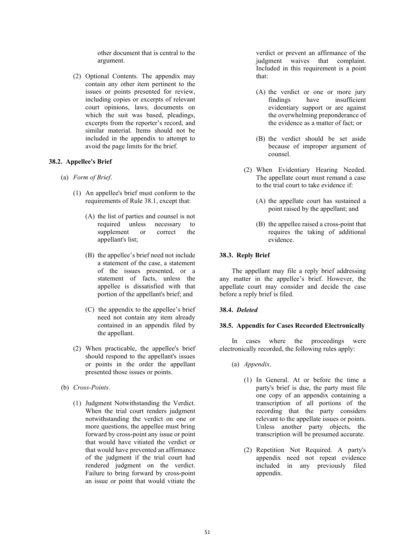other document that is central to the argument.

(2) Optional Contents. The appendix may contain any other item pertinent to the issues or points presented for review, including copies or excerpts of relevant court opinions, laws, documents on which the suit was based, pleadings, excerpts from the reporter's record, and similar material. Items should not be included in the appendix to attempt to avoid the page limits for the brief.

### **38.2. Appellee's Brief**

- (a) *Form of Brief*.
	- (1) An appellee's brief must conform to the requirements of Rule 38.1, except that:
		- (A) the list of parties and counsel is not required unless necessary to supplement or correct the appellant's list;
		- (B) the appellee's brief need not include a statement of the case, a statement of the issues presented, or a statement of facts, unless the appellee is dissatisfied with that portion of the appellant's brief; and
		- (C) the appendix to the appellee's brief need not contain any item already contained in an appendix filed by the appellant.
	- (2) When practicable, the appellee's brief should respond to the appellant's issues or points in the order the appellant presented those issues or points.
- (b) *Cross-Points*.
	- (1) Judgment Notwithstanding the Verdict. When the trial court renders judgment notwithstanding the verdict on one or more questions, the appellee must bring forward by cross-point any issue or point that would have vitiated the verdict or that would have prevented an affirmance of the judgment if the trial court had rendered judgment on the verdict. Failure to bring forward by cross-point an issue or point that would vitiate the

verdict or prevent an affirmance of the judgment waives that complaint. Included in this requirement is a point that:

- (A) the verdict or one or more jury findings have insufficient evidentiary support or are against the overwhelming preponderance of the evidence as a matter of fact; or
- (B) the verdict should be set aside because of improper argument of counsel.
- (2) When Evidentiary Hearing Needed. The appellate court must remand a case to the trial court to take evidence if:
	- (A) the appellate court has sustained a point raised by the appellant; and
	- (B) the appellee raised a cross-point that requires the taking of additional evidence.

# **38.3. Reply Brief**

The appellant may file a reply brief addressing any matter in the appellee's brief. However, the appellate court may consider and decide the case before a reply brief is filed.

### **38.4.** *Deleted*

### **38.5. Appendix for Cases Recorded Electronically**

In cases where the proceedings were electronically recorded, the following rules apply:

- (a) *Appendix*.
	- (1) In General. At or before the time a party's brief is due, the party must file one copy of an appendix containing a transcription of all portions of the recording that the party considers relevant to the appellate issues or points. Unless another party objects, the transcription will be presumed accurate.
	- (2) Repetition Not Required. A party's appendix need not repeat evidence included in any previously filed appendix.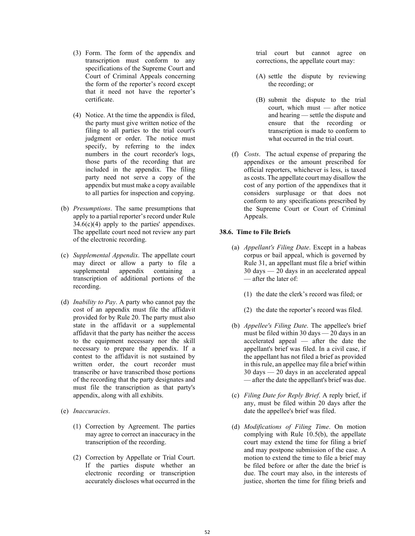- (3) Form. The form of the appendix and transcription must conform to any specifications of the Supreme Court and Court of Criminal Appeals concerning the form of the reporter's record except that it need not have the reporter's certificate.
- (4) Notice. At the time the appendix is filed, the party must give written notice of the filing to all parties to the trial court's judgment or order. The notice must specify, by referring to the index numbers in the court recorder's logs, those parts of the recording that are included in the appendix. The filing party need not serve a copy of the appendix but must make a copy available to all parties for inspection and copying.
- (b) *Presumptions*. The same presumptions that apply to a partial reporter's record under Rule  $34.6(c)(4)$  apply to the parties' appendixes. The appellate court need not review any part of the electronic recording.
- (c) *Supplemental Appendix*. The appellate court may direct or allow a party to file a supplemental appendix containing a transcription of additional portions of the recording.
- (d) *Inability to Pay*. A party who cannot pay the cost of an appendix must file the affidavit provided for by Rule 20. The party must also state in the affidavit or a supplemental affidavit that the party has neither the access to the equipment necessary nor the skill necessary to prepare the appendix. If a contest to the affidavit is not sustained by written order, the court recorder must transcribe or have transcribed those portions of the recording that the party designates and must file the transcription as that party's appendix, along with all exhibits.
- (e) *Inaccuracies*.
	- (1) Correction by Agreement. The parties may agree to correct an inaccuracy in the transcription of the recording.
	- (2) Correction by Appellate or Trial Court. If the parties dispute whether an electronic recording or transcription accurately discloses what occurred in the

trial court but cannot agree on corrections, the appellate court may:

- (A) settle the dispute by reviewing the recording; or
- (B) submit the dispute to the trial court, which must — after notice and hearing — settle the dispute and ensure that the recording or transcription is made to conform to what occurred in the trial court.
- (f) *Costs*. The actual expense of preparing the appendixes or the amount prescribed for official reporters, whichever is less, is taxed as costs. The appellate court may disallow the cost of any portion of the appendixes that it considers surplusage or that does not conform to any specifications prescribed by the Supreme Court or Court of Criminal Appeals.

# **38.6. Time to File Briefs**

- (a) *Appellant's Filing Date*. Except in a habeas corpus or bail appeal, which is governed by Rule 31, an appellant must file a brief within 30 days — 20 days in an accelerated appeal — after the later of:
	- (1) the date the clerk's record was filed; or
	- (2) the date the reporter's record was filed.
- (b) *Appellee's Filing Date*. The appellee's brief must be filed within 30 days — 20 days in an accelerated appeal — after the date the appellant's brief was filed. In a civil case, if the appellant has not filed a brief as provided in this rule, an appellee may file a brief within 30 days — 20 days in an accelerated appeal — after the date the appellant's brief was due.
- (c) *Filing Date for Reply Brief*. A reply brief, if any, must be filed within 20 days after the date the appellee's brief was filed.
- (d) *Modifications of Filing Time*. On motion complying with Rule 10.5(b), the appellate court may extend the time for filing a brief and may postpone submission of the case. A motion to extend the time to file a brief may be filed before or after the date the brief is due. The court may also, in the interests of justice, shorten the time for filing briefs and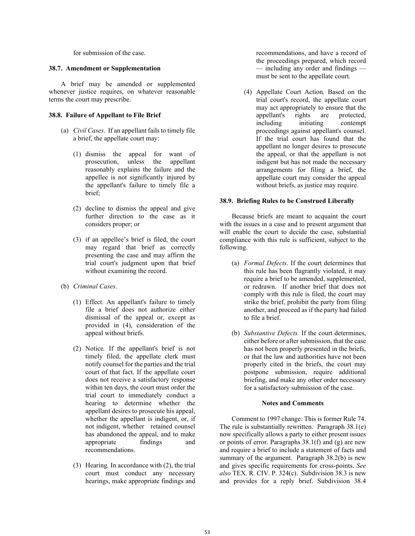for submission of the case.

### **38.7. Amendment or Supplementation**

A brief may be amended or supplemented whenever justice requires, on whatever reasonable terms the court may prescribe.

# **38.8. Failure of Appellant to File Brief**

- (a) *Civil Cases*. If an appellant fails to timely file a brief, the appellate court may:
	- (1) dismiss the appeal for want of prosecution, unless the appellant reasonably explains the failure and the appellee is not significantly injured by the appellant's failure to timely file a brief;
	- (2) decline to dismiss the appeal and give further direction to the case as it considers proper; or
	- (3) if an appellee's brief is filed, the court may regard that brief as correctly presenting the case and may affirm the trial court's judgment upon that brief without examining the record.
- (b) *Criminal Cases*.
	- (1) Effect. An appellant's failure to timely file a brief does not authorize either dismissal of the appeal or, except as provided in (4), consideration of the appeal without briefs.
	- (2) Notice*.* If the appellant's brief is not timely filed, the appellate clerk must notify counsel for the parties and the trial court of that fact. If the appellate court does not receive a satisfactory response within ten days, the court must order the trial court to immediately conduct a hearing to determine whether the appellant desires to prosecute his appeal, whether the appellant is indigent, or, if not indigent, whether retained counsel has abandoned the appeal, and to make appropriate findings and recommendations.
	- (3) Hearing*.* In accordance with (2), the trial court must conduct any necessary hearings, make appropriate findings and

recommendations, and have a record of the proceedings prepared, which record — including any order and findings must be sent to the appellate court.

(4) Appellate Court Action*.* Based on the trial court's record, the appellate court may act appropriately to ensure that the<br>appellant's rights are protected, appellant's including initiating contempt proceedings against appellant's counsel. If the trial court has found that the appellant no longer desires to prosecute the appeal, or that the appellant is not indigent but has not made the necessary arrangements for filing a brief, the appellate court may consider the appeal without briefs, as justice may require.

### **38.9. Briefing Rules to be Construed Liberally**

Because briefs are meant to acquaint the court with the issues in a case and to present argument that will enable the court to decide the case, substantial compliance with this rule is sufficient, subject to the following.

- (a) *Formal Defects*. If the court determines that this rule has been flagrantly violated, it may require a brief to be amended, supplemented, or redrawn. If another brief that does not comply with this rule is filed, the court may strike the brief, prohibit the party from filing another, and proceed as if the party had failed to file a brief.
- (b) *Substantive Defects.* If the court determines, either before or after submission, that the case has not been properly presented in the briefs, or that the law and authorities have not been properly cited in the briefs, the court may postpone submission, require additional briefing, and make any other order necessary for a satisfactory submission of the case.

#### **Notes and Comments**

Comment to 1997 change: This is former Rule 74. The rule is substantially rewritten. Paragraph 38.1(e) now specifically allows a party to either present issues or points of error. Paragraphs 38.1(f) and (g) are new and require a brief to include a statement of facts and summary of the argument. Paragraph 38.2(b) is new and gives specific requirements for cross-points. *See also* TEX. R. CIV. P. 324(c). Subdivision 38.3 is new and provides for a reply brief. Subdivision 38.4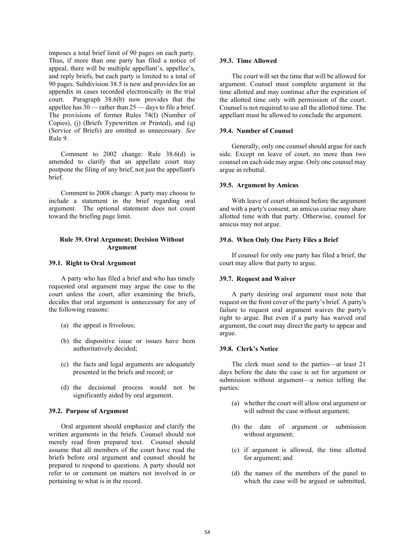imposes a total brief limit of 90 pages on each party. Thus, if more than one party has filed a notice of appeal, there will be multiple appellant's, appellee's, and reply briefs, but each party is limited to a total of 90 pages. Subdivision 38.5 is new and provides for an appendix in cases recorded electronically in the trial court. Paragraph 38.6(b) now provides that the appellee has 30 — rather than 25 — days to file a brief. The provisions of former Rules 74(I) (Number of Copies), (j) (Briefs Typewritten or Printed), and (q) (Service of Briefs) are omitted as unnecessary. *See*  Rule 9.

Comment to 2002 change: Rule 38.6(d) is amended to clarify that an appellate court may postpone the filing of any brief, not just the appellant's brief.

Comment to 2008 change: A party may choose to include a statement in the brief regarding oral argument. The optional statement does not count toward the briefing page limit.

# **Rule 39. Oral Argument; Decision Without Argument**

### **39.1. Right to Oral Argument**

A party who has filed a brief and who has timely requested oral argument may argue the case to the court unless the court, after examining the briefs, decides that oral argument is unnecessary for any of the following reasons:

- (a) the appeal is frivolous;
- (b) the dispositive issue or issues have been authoritatively decided;
- (c) the facts and legal arguments are adequately presented in the briefs and record; or
- (d) the decisional process would not be significantly aided by oral argument.

#### **39.2. Purpose of Argument**

Oral argument should emphasize and clarify the written arguments in the briefs. Counsel should not merely read from prepared text. Counsel should assume that all members of the court have read the briefs before oral argument and counsel should be prepared to respond to questions. A party should not refer to or comment on matters not involved in or pertaining to what is in the record.

#### **39.3. Time Allowed**

The court will set the time that will be allowed for argument. Counsel must complete argument in the time allotted and may continue after the expiration of the allotted time only with permission of the court. Counsel is not required to use all the allotted time. The appellant must be allowed to conclude the argument.

## **39.4. Number of Counsel**

Generally, only one counsel should argue for each side. Except on leave of court, no more than two counsel on each side may argue. Only one counsel may argue in rebuttal.

#### **39.5. Argument by Amicus**

With leave of court obtained before the argument and with a party's consent, an amicus curiae may share allotted time with that party. Otherwise, counsel for amicus may not argue.

### **39.6. When Only One Party Files a Brief**

If counsel for only one party has filed a brief, the court may allow that party to argue.

#### **39.7. Request and Waiver**

A party desiring oral argument must note that request on the front cover of the party's brief. A party's failure to request oral argument waives the party's right to argue. But even if a party has waived oral argument, the court may direct the party to appear and argue.

#### **39.8. Clerk's Notice**

The clerk must send to the parties—at least 21 days before the date the case is set for argument or submission without argument—a notice telling the parties:

- (a) whether the court will allow oral argument or will submit the case without argument;
- (b) the date of argument or submission without argument;
- (c) if argument is allowed, the time allotted for argument; and
- (d) the names of the members of the panel to which the case will be argued or submitted,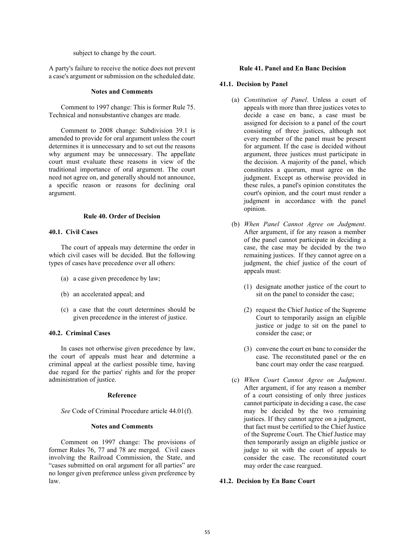subject to change by the court.

A party's failure to receive the notice does not prevent a case's argument or submission on the scheduled date.

#### **Notes and Comments**

Comment to 1997 change: This is former Rule 75. Technical and nonsubstantive changes are made.

Comment to 2008 change: Subdivision 39.1 is amended to provide for oral argument unless the court determines it is unnecessary and to set out the reasons why argument may be unnecessary. The appellate court must evaluate these reasons in view of the traditional importance of oral argument. The court need not agree on, and generally should not announce, a specific reason or reasons for declining oral argument.

# **Rule 40. Order of Decision**

#### **40.1. Civil Cases**

The court of appeals may determine the order in which civil cases will be decided. But the following types of cases have precedence over all others:

- (a) a case given precedence by law;
- (b) an accelerated appeal; and
- (c) a case that the court determines should be given precedence in the interest of justice.

## **40.2. Criminal Cases**

In cases not otherwise given precedence by law, the court of appeals must hear and determine a criminal appeal at the earliest possible time, having due regard for the parties' rights and for the proper administration of justice.

#### **Reference**

*See* Code of Criminal Procedure article 44.01(f).

#### **Notes and Comments**

Comment on 1997 change: The provisions of former Rules 76, 77 and 78 are merged. Civil cases involving the Railroad Commission, the State, and "cases submitted on oral argument for all parties" are no longer given preference unless given preference by law.

#### **Rule 41. Panel and En Banc Decision**

### **41.1. Decision by Panel**

- (a) *Constitution of Panel*. Unless a court of appeals with more than three justices votes to decide a case en banc, a case must be assigned for decision to a panel of the court consisting of three justices, although not every member of the panel must be present for argument. If the case is decided without argument, three justices must participate in the decision. A majority of the panel, which constitutes a quorum, must agree on the judgment. Except as otherwise provided in these rules, a panel's opinion constitutes the court's opinion, and the court must render a judgment in accordance with the panel opinion.
- (b) *When Panel Cannot Agree on Judgment*. After argument, if for any reason a member of the panel cannot participate in deciding a case, the case may be decided by the two remaining justices. If they cannot agree on a judgment, the chief justice of the court of appeals must:
	- (1) designate another justice of the court to sit on the panel to consider the case;
	- (2) request the Chief Justice of the Supreme Court to temporarily assign an eligible justice or judge to sit on the panel to consider the case; or
	- (3) convene the court en banc to consider the case. The reconstituted panel or the en banc court may order the case reargued.
- (c) *When Court Cannot Agree on Judgment*. After argument, if for any reason a member of a court consisting of only three justices cannot participate in deciding a case, the case may be decided by the two remaining justices. If they cannot agree on a judgment, that fact must be certified to the Chief Justice of the Supreme Court. The Chief Justice may then temporarily assign an eligible justice or judge to sit with the court of appeals to consider the case. The reconstituted court may order the case reargued.

# **41.2. Decision by En Banc Court**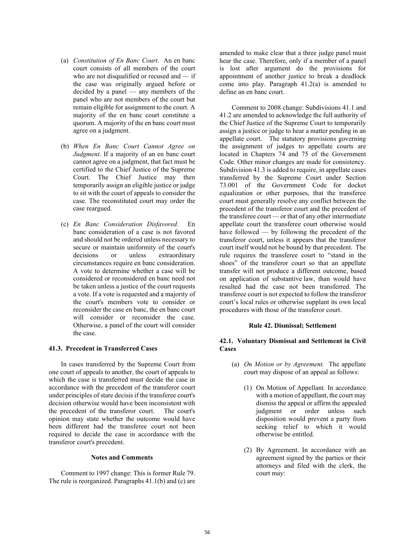- (a) *Constitution of En Banc Court.* An en banc court consists of all members of the court who are not disqualified or recused and — if the case was originally argued before or decided by a panel — any members of the panel who are not members of the court but remain eligible for assignment to the court. A majority of the en banc court constitute a quorum. A majority of the en banc court must agree on a judgment.
- (b) *When En Banc Court Cannot Agree on Judgment*. If a majority of an en banc court cannot agree on a judgment, that fact must be certified to the Chief Justice of the Supreme Court. The Chief Justice may then temporarily assign an eligible justice or judge to sit with the court of appeals to consider the case. The reconstituted court may order the case reargued.
- (c) *En Banc Consideration Disfavored*. En banc consideration of a case is not favored and should not be ordered unless necessary to secure or maintain uniformity of the court's decisions or unless extraordinary circumstances require en banc consideration. A vote to determine whether a case will be considered or reconsidered en banc need not be taken unless a justice of the court requests a vote. If a vote is requested and a majority of the court's members vote to consider or reconsider the case en banc, the en banc court will consider or reconsider the case. Otherwise, a panel of the court will consider the case.

#### **41.3. Precedent in Transferred Cases**

In cases transferred by the Supreme Court from one court of appeals to another, the court of appeals to which the case is transferred must decide the case in accordance with the precedent of the transferor court under principles of stare decisis if the transferee court's decision otherwise would have been inconsistent with the precedent of the transferor court. The court's opinion may state whether the outcome would have been different had the transferee court not been required to decide the case in accordance with the transferor court's precedent.

## **Notes and Comments**

Comment to 1997 change: This is former Rule 79. The rule is reorganized. Paragraphs 41.1(b) and (c) are amended to make clear that a three judge panel must hear the case. Therefore, only if a member of a panel is lost after argument do the provisions for appointment of another justice to break a deadlock come into play. Paragraph 41.2(a) is amended to define an en banc court.

Comment to 2008 change: Subdivisions 41.1 and 41.2 are amended to acknowledge the full authority of the Chief Justice of the Supreme Court to temporarily assign a justice or judge to hear a matter pending in an appellate court. The statutory provisions governing the assignment of judges to appellate courts are located in Chapters 74 and 75 of the Government Code. Other minor changes are made for consistency. Subdivision 41.3 is added to require, in appellate cases transferred by the Supreme Court under Section 73.001 of the Government Code for docket equalization or other purposes, that the transferee court must generally resolve any conflict between the precedent of the transferor court and the precedent of the transferee court — or that of any other intermediate appellate court the transferee court otherwise would have followed — by following the precedent of the transferor court, unless it appears that the transferor court itself would not be bound by that precedent. The rule requires the transferee court to "stand in the shoes" of the transferor court so that an appellate transfer will not produce a different outcome, based on application of substantive law, than would have resulted had the case not been transferred. The transferee court is not expected to follow the transferor court's local rules or otherwise supplant its own local procedures with those of the transferor court.

#### **Rule 42. Dismissal; Settlement**

**42.1. Voluntary Dismissal and Settlement in Civil Cases**

- (a) *On Motion or by Agreement.* The appellate court may dispose of an appeal as follows:
	- (1) On Motion of Appellant*.* In accordance with a motion of appellant, the court may dismiss the appeal or affirm the appealed judgment or order unless such disposition would prevent a party from seeking relief to which it would otherwise be entitled.
	- (2) By Agreement. In accordance with an agreement signed by the parties or their attorneys and filed with the clerk, the court may: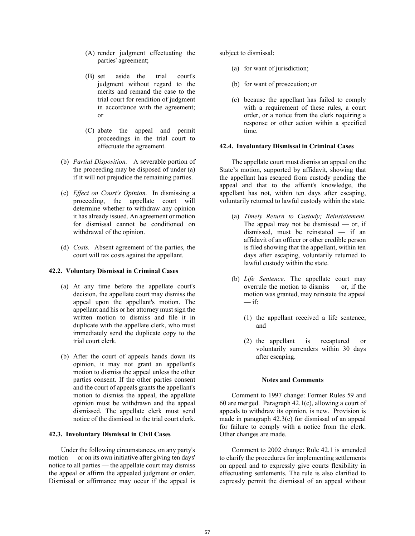- (A) render judgment effectuating the parties' agreement;
- (B) set aside the trial court's judgment without regard to the merits and remand the case to the trial court for rendition of judgment in accordance with the agreement; or
- (C) abate the appeal and permit proceedings in the trial court to effectuate the agreement.
- (b) *Partial Disposition.* A severable portion of the proceeding may be disposed of under (a) if it will not prejudice the remaining parties.
- (c) *Effect on Court's Opinion.* In dismissing a proceeding, the appellate court will determine whether to withdraw any opinion it has already issued. An agreement or motion for dismissal cannot be conditioned on withdrawal of the opinion.
- (d) *Costs.* Absent agreement of the parties, the court will tax costs against the appellant.

### **42.2. Voluntary Dismissal in Criminal Cases**

- (a) At any time before the appellate court's decision, the appellate court may dismiss the appeal upon the appellant's motion. The appellant and his or her attorney must sign the written motion to dismiss and file it in duplicate with the appellate clerk, who must immediately send the duplicate copy to the trial court clerk.
- (b) After the court of appeals hands down its opinion, it may not grant an appellant's motion to dismiss the appeal unless the other parties consent. If the other parties consent and the court of appeals grants the appellant's motion to dismiss the appeal, the appellate opinion must be withdrawn and the appeal dismissed. The appellate clerk must send notice of the dismissal to the trial court clerk.

#### **42.3. Involuntary Dismissal in Civil Cases**

Under the following circumstances, on any party's motion — or on its own initiative after giving ten days' notice to all parties — the appellate court may dismiss the appeal or affirm the appealed judgment or order. Dismissal or affirmance may occur if the appeal is subject to dismissal:

- (a) for want of jurisdiction;
- (b) for want of prosecution; or
- (c) because the appellant has failed to comply with a requirement of these rules, a court order, or a notice from the clerk requiring a response or other action within a specified time.

### **42.4. Involuntary Dismissal in Criminal Cases**

The appellate court must dismiss an appeal on the State's motion, supported by affidavit, showing that the appellant has escaped from custody pending the appeal and that to the affiant's knowledge, the appellant has not, within ten days after escaping, voluntarily returned to lawful custody within the state.

- (a) *Timely Return to Custody; Reinstatement*. The appeal may not be dismissed — or, if dismissed, must be reinstated — if an affidavit of an officer or other credible person is filed showing that the appellant, within ten days after escaping, voluntarily returned to lawful custody within the state.
- (b) *Life Sentence*. The appellate court may overrule the motion to dismiss — or, if the motion was granted, may reinstate the appeal  $-$  if:
	- (1) the appellant received a life sentence; and
	- (2) the appellant is recaptured or voluntarily surrenders within 30 days after escaping.

# **Notes and Comments**

Comment to 1997 change: Former Rules 59 and 60 are merged. Paragraph 42.1(c), allowing a court of appeals to withdraw its opinion, is new. Provision is made in paragraph  $42.3(c)$  for dismissal of an appeal for failure to comply with a notice from the clerk. Other changes are made.

Comment to 2002 change: Rule 42.1 is amended to clarify the procedures for implementing settlements on appeal and to expressly give courts flexibility in effectuating settlements. The rule is also clarified to expressly permit the dismissal of an appeal without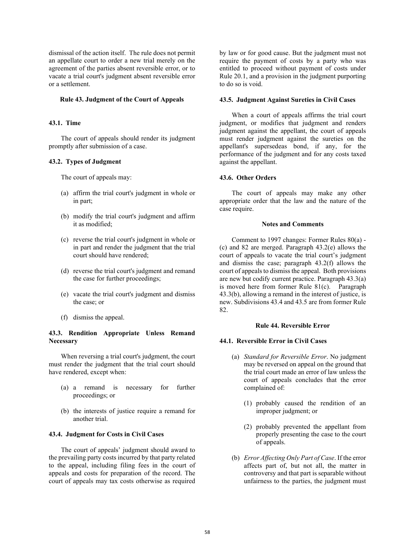dismissal of the action itself. The rule does not permit an appellate court to order a new trial merely on the agreement of the parties absent reversible error, or to vacate a trial court's judgment absent reversible error or a settlement.

#### **Rule 43. Judgment of the Court of Appeals**

## **43.1. Time**

The court of appeals should render its judgment promptly after submission of a case.

#### **43.2. Types of Judgment**

The court of appeals may:

- (a) affirm the trial court's judgment in whole or in part;
- (b) modify the trial court's judgment and affirm it as modified;
- (c) reverse the trial court's judgment in whole or in part and render the judgment that the trial court should have rendered;
- (d) reverse the trial court's judgment and remand the case for further proceedings;
- (e) vacate the trial court's judgment and dismiss the case; or
- (f) dismiss the appeal.

## **43.3. Rendition Appropriate Unless Remand Necessary**

When reversing a trial court's judgment, the court must render the judgment that the trial court should have rendered, except when:

- (a) a remand is necessary for further proceedings; or
- (b) the interests of justice require a remand for another trial.

### **43.4. Judgment for Costs in Civil Cases**

The court of appeals' judgment should award to the prevailing party costs incurred by that party related to the appeal, including filing fees in the court of appeals and costs for preparation of the record. The court of appeals may tax costs otherwise as required

by law or for good cause. But the judgment must not require the payment of costs by a party who was entitled to proceed without payment of costs under Rule 20.1, and a provision in the judgment purporting to do so is void.

## **43.5. Judgment Against Sureties in Civil Cases**

When a court of appeals affirms the trial court judgment, or modifies that judgment and renders judgment against the appellant, the court of appeals must render judgment against the sureties on the appellant's supersedeas bond, if any, for the performance of the judgment and for any costs taxed against the appellant.

#### **43.6. Other Orders**

The court of appeals may make any other appropriate order that the law and the nature of the case require.

### **Notes and Comments**

Comment to 1997 changes: Former Rules 80(a) - (c) and 82 are merged. Paragraph 43.2(e) allows the court of appeals to vacate the trial court's judgment and dismiss the case; paragraph 43.2(f) allows the court of appeals to dismiss the appeal. Both provisions are new but codify current practice. Paragraph 43.3(a) is moved here from former Rule 81(c). Paragraph 43.3(b), allowing a remand in the interest of justice, is new. Subdivisions 43.4 and 43.5 are from former Rule 82.

#### **Rule 44. Reversible Error**

#### **44.1. Reversible Error in Civil Cases**

- (a) *Standard for Reversible Error*. No judgment may be reversed on appeal on the ground that the trial court made an error of law unless the court of appeals concludes that the error complained of:
	- (1) probably caused the rendition of an improper judgment; or
	- (2) probably prevented the appellant from properly presenting the case to the court of appeals.
- (b) *Error Affecting Only Part of Case*. If the error affects part of, but not all, the matter in controversy and that part is separable without unfairness to the parties, the judgment must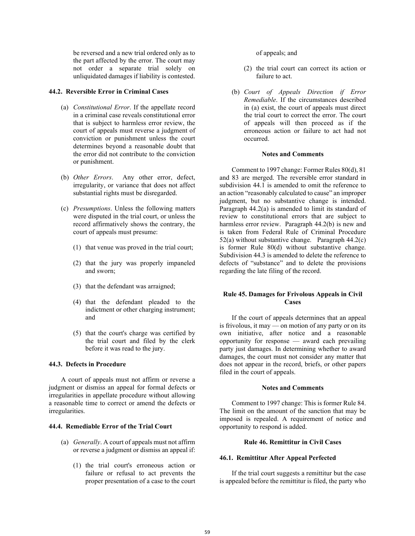be reversed and a new trial ordered only as to the part affected by the error. The court may not order a separate trial solely on unliquidated damages if liability is contested.

### **44.2. Reversible Error in Criminal Cases**

- (a) *Constitutional Error*. If the appellate record in a criminal case reveals constitutional error that is subject to harmless error review, the court of appeals must reverse a judgment of conviction or punishment unless the court determines beyond a reasonable doubt that the error did not contribute to the conviction or punishment.
- (b) *Other Errors*. Any other error, defect, irregularity, or variance that does not affect substantial rights must be disregarded.
- (c) *Presumptions*. Unless the following matters were disputed in the trial court, or unless the record affirmatively shows the contrary, the court of appeals must presume:
	- (1) that venue was proved in the trial court;
	- (2) that the jury was properly impaneled and sworn;
	- (3) that the defendant was arraigned;
	- (4) that the defendant pleaded to the indictment or other charging instrument; and
	- (5) that the court's charge was certified by the trial court and filed by the clerk before it was read to the jury.

## **44.3. Defects in Procedure**

A court of appeals must not affirm or reverse a judgment or dismiss an appeal for formal defects or irregularities in appellate procedure without allowing a reasonable time to correct or amend the defects or irregularities.

### **44.4. Remediable Error of the Trial Court**

- (a) *Generally*. A court of appeals must not affirm or reverse a judgment or dismiss an appeal if:
	- (1) the trial court's erroneous action or failure or refusal to act prevents the proper presentation of a case to the court

#### of appeals; and

- (2) the trial court can correct its action or failure to act.
- (b) *Court of Appeals Direction if Error Remediable*. If the circumstances described in (a) exist, the court of appeals must direct the trial court to correct the error. The court of appeals will then proceed as if the erroneous action or failure to act had not occurred.

# **Notes and Comments**

Comment to 1997 change: Former Rules 80(d), 81 and 83 are merged. The reversible error standard in subdivision 44.1 is amended to omit the reference to an action "reasonably calculated to cause" an improper judgment, but no substantive change is intended. Paragraph 44.2(a) is amended to limit its standard of review to constitutional errors that are subject to harmless error review. Paragraph 44.2(b) is new and is taken from Federal Rule of Criminal Procedure 52(a) without substantive change. Paragraph 44.2(c) is former Rule 80(d) without substantive change. Subdivision 44.3 is amended to delete the reference to defects of "substance" and to delete the provisions regarding the late filing of the record.

# **Rule 45. Damages for Frivolous Appeals in Civil Cases**

If the court of appeals determines that an appeal is frivolous, it may — on motion of any party or on its own initiative, after notice and a reasonable opportunity for response — award each prevailing party just damages. In determining whether to award damages, the court must not consider any matter that does not appear in the record, briefs, or other papers filed in the court of appeals.

#### **Notes and Comments**

Comment to 1997 change: This is former Rule 84. The limit on the amount of the sanction that may be imposed is repealed. A requirement of notice and opportunity to respond is added.

# **Rule 46. Remittitur in Civil Cases**

# **46.1. Remittitur After Appeal Perfected**

If the trial court suggests a remittitur but the case is appealed before the remittitur is filed, the party who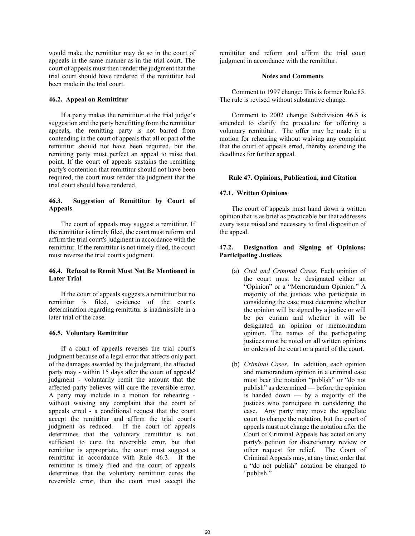would make the remittitur may do so in the court of appeals in the same manner as in the trial court. The court of appeals must then render the judgment that the trial court should have rendered if the remittitur had been made in the trial court.

### **46.2. Appeal on Remittitur**

If a party makes the remittitur at the trial judge's suggestion and the party benefitting from the remittitur appeals, the remitting party is not barred from contending in the court of appeals that all or part of the remittitur should not have been required, but the remitting party must perfect an appeal to raise that point. If the court of appeals sustains the remitting party's contention that remittitur should not have been required, the court must render the judgment that the trial court should have rendered.

# **46.3. Suggestion of Remittitur by Court of Appeals**

The court of appeals may suggest a remittitur. If the remittitur is timely filed, the court must reform and affirm the trial court's judgment in accordance with the remittitur. If the remittitur is not timely filed, the court must reverse the trial court's judgment.

## **46.4. Refusal to Remit Must Not Be Mentioned in Later Trial**

If the court of appeals suggests a remittitur but no remittitur is filed, evidence of the court's determination regarding remittitur is inadmissible in a later trial of the case.

## **46.5. Voluntary Remittitur**

If a court of appeals reverses the trial court's judgment because of a legal error that affects only part of the damages awarded by the judgment, the affected party may - within 15 days after the court of appeals' judgment - voluntarily remit the amount that the affected party believes will cure the reversible error. A party may include in a motion for rehearing without waiving any complaint that the court of appeals erred - a conditional request that the court accept the remittitur and affirm the trial court's judgment as reduced. If the court of appeals determines that the voluntary remittitur is not sufficient to cure the reversible error, but that remittitur is appropriate, the court must suggest a remittitur in accordance with Rule 46.3. If the remittitur is timely filed and the court of appeals determines that the voluntary remittitur cures the reversible error, then the court must accept the

remittitur and reform and affirm the trial court judgment in accordance with the remittitur.

#### **Notes and Comments**

Comment to 1997 change: This is former Rule 85. The rule is revised without substantive change.

Comment to 2002 change: Subdivision 46.5 is amended to clarify the procedure for offering a voluntary remittitur. The offer may be made in a motion for rehearing without waiving any complaint that the court of appeals erred, thereby extending the deadlines for further appeal.

#### **Rule 47. Opinions, Publication, and Citation**

## **47.1. Written Opinions**

The court of appeals must hand down a written opinion that is as brief as practicable but that addresses every issue raised and necessary to final disposition of the appeal.

# **47.2. Designation and Signing of Opinions; Participating Justices**

- (a) *Civil and Criminal Cases.* Each opinion of the court must be designated either an "Opinion" or a "Memorandum Opinion." A majority of the justices who participate in considering the case must determine whether the opinion will be signed by a justice or will be per curiam and whether it will be designated an opinion or memorandum opinion. The names of the participating justices must be noted on all written opinions or orders of the court or a panel of the court.
- (b) *Criminal Cases.* In addition, each opinion and memorandum opinion in a criminal case must bear the notation "publish" or "do not publish" as determined — before the opinion is handed down — by a majority of the justices who participate in considering the case. Any party may move the appellate court to change the notation, but the court of appeals must not change the notation after the Court of Criminal Appeals has acted on any party's petition for discretionary review or other request for relief. The Court of Criminal Appeals may, at any time, order that a "do not publish" notation be changed to "publish."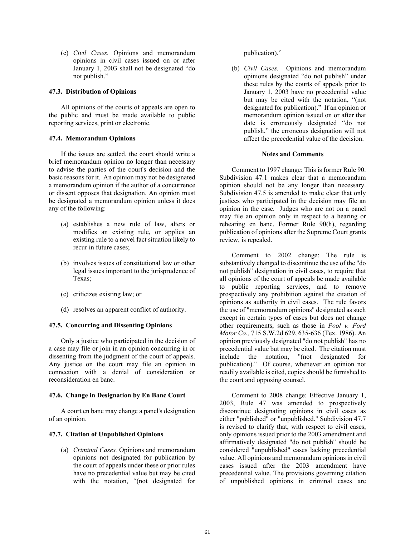(c) *Civil Cases.* Opinions and memorandum opinions in civil cases issued on or after January 1, 2003 shall not be designated "do not publish."

## **47.3. Distribution of Opinions**

All opinions of the courts of appeals are open to the public and must be made available to public reporting services, print or electronic.

### **47.4. Memorandum Opinions**

If the issues are settled, the court should write a brief memorandum opinion no longer than necessary to advise the parties of the court's decision and the basic reasons for it. An opinion may not be designated a memorandum opinion if the author of a concurrence or dissent opposes that designation. An opinion must be designated a memorandum opinion unless it does any of the following:

- (a) establishes a new rule of law, alters or modifies an existing rule, or applies an existing rule to a novel fact situation likely to recur in future cases;
- (b) involves issues of constitutional law or other legal issues important to the jurisprudence of Texas;
- (c) criticizes existing law; or
- (d) resolves an apparent conflict of authority.

## **47.5. Concurring and Dissenting Opinions**

Only a justice who participated in the decision of a case may file or join in an opinion concurring in or dissenting from the judgment of the court of appeals. Any justice on the court may file an opinion in connection with a denial of consideration or reconsideration en banc.

# **47.6. Change in Designation by En Banc Court**

A court en banc may change a panel's designation of an opinion.

## **47.7. Citation of Unpublished Opinions**

(a) *Criminal Cases.* Opinions and memorandum opinions not designated for publication by the court of appeals under these or prior rules have no precedential value but may be cited with the notation, "(not designated for publication)."

(b) *Civil Cases.* Opinions and memorandum opinions designated "do not publish" under these rules by the courts of appeals prior to January 1, 2003 have no precedential value but may be cited with the notation, "(not designated for publication)." If an opinion or memorandum opinion issued on or after that date is erroneously designated "do not publish," the erroneous designation will not affect the precedential value of the decision.

# **Notes and Comments**

Comment to 1997 change: This is former Rule 90. Subdivision 47.1 makes clear that a memorandum opinion should not be any longer than necessary. Subdivision 47.5 is amended to make clear that only justices who participated in the decision may file an opinion in the case. Judges who are not on a panel may file an opinion only in respect to a hearing or rehearing en banc. Former Rule 90(h), regarding publication of opinions after the Supreme Court grants review, is repealed.

Comment to 2002 change: The rule is substantively changed to discontinue the use of the "do not publish" designation in civil cases, to require that all opinions of the court of appeals be made available to public reporting services, and to remove prospectively any prohibition against the citation of opinions as authority in civil cases. The rule favors the use of "memorandum opinions" designated as such except in certain types of cases but does not change other requirements, such as those in *Pool v. Ford Motor Co.,* 715 S.W.2d 629, 635-636 (Tex. 1986). An opinion previously designated "do not publish" has no precedential value but may be cited. The citation must include the notation, "(not designated for publication)." Of course, whenever an opinion not readily available is cited, copies should be furnished to the court and opposing counsel.

Comment to 2008 change: Effective January 1, 2003, Rule 47 was amended to prospectively discontinue designating opinions in civil cases as either "published" or "unpublished." Subdivision 47.7 is revised to clarify that, with respect to civil cases, only opinions issued prior to the 2003 amendment and affirmatively designated "do not publish" should be considered "unpublished" cases lacking precedential value. All opinions and memorandum opinions in civil cases issued after the 2003 amendment have precedential value. The provisions governing citation of unpublished opinions in criminal cases are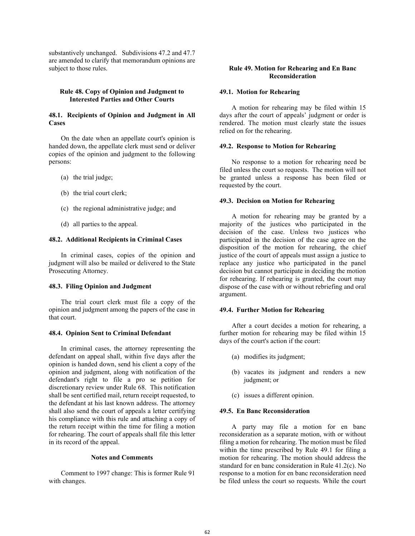substantively unchanged. Subdivisions 47.2 and 47.7 are amended to clarify that memorandum opinions are subject to those rules.

## **Rule 48. Copy of Opinion and Judgment to Interested Parties and Other Courts**

# **48.1. Recipients of Opinion and Judgment in All Cases**

On the date when an appellate court's opinion is handed down, the appellate clerk must send or deliver copies of the opinion and judgment to the following persons:

- (a) the trial judge;
- (b) the trial court clerk;
- (c) the regional administrative judge; and
- (d) all parties to the appeal.

# **48.2. Additional Recipients in Criminal Cases**

In criminal cases, copies of the opinion and judgment will also be mailed or delivered to the State Prosecuting Attorney.

# **48.3. Filing Opinion and Judgment**

The trial court clerk must file a copy of the opinion and judgment among the papers of the case in that court.

### **48.4. Opinion Sent to Criminal Defendant**

In criminal cases, the attorney representing the defendant on appeal shall, within five days after the opinion is handed down, send his client a copy of the opinion and judgment, along with notification of the defendant's right to file a pro se petition for discretionary review under Rule 68. This notification shall be sent certified mail, return receipt requested, to the defendant at his last known address. The attorney shall also send the court of appeals a letter certifying his compliance with this rule and attaching a copy of the return receipt within the time for filing a motion for rehearing. The court of appeals shall file this letter in its record of the appeal.

### **Notes and Comments**

Comment to 1997 change: This is former Rule 91 with changes.

## **Rule 49. Motion for Rehearing and En Banc Reconsideration**

### **49.1. Motion for Rehearing**

A motion for rehearing may be filed within 15 days after the court of appeals' judgment or order is rendered. The motion must clearly state the issues relied on for the rehearing.

#### **49.2. Response to Motion for Rehearing**

No response to a motion for rehearing need be filed unless the court so requests. The motion will not be granted unless a response has been filed or requested by the court.

# **49.3. Decision on Motion for Rehearing**

A motion for rehearing may be granted by a majority of the justices who participated in the decision of the case. Unless two justices who participated in the decision of the case agree on the disposition of the motion for rehearing, the chief justice of the court of appeals must assign a justice to replace any justice who participated in the panel decision but cannot participate in deciding the motion for rehearing. If rehearing is granted, the court may dispose of the case with or without rebriefing and oral argument.

#### **49.4. Further Motion for Rehearing**

After a court decides a motion for rehearing, a further motion for rehearing may be filed within 15 days of the court's action if the court:

- (a) modifies its judgment;
- (b) vacates its judgment and renders a new judgment; or
- (c) issues a different opinion.

#### **49.5. En Banc Reconsideration**

A party may file a motion for en banc reconsideration as a separate motion, with or without filing a motion for rehearing. The motion must be filed within the time prescribed by Rule 49.1 for filing a motion for rehearing. The motion should address the standard for en banc consideration in Rule 41.2(c). No response to a motion for en banc reconsideration need be filed unless the court so requests. While the court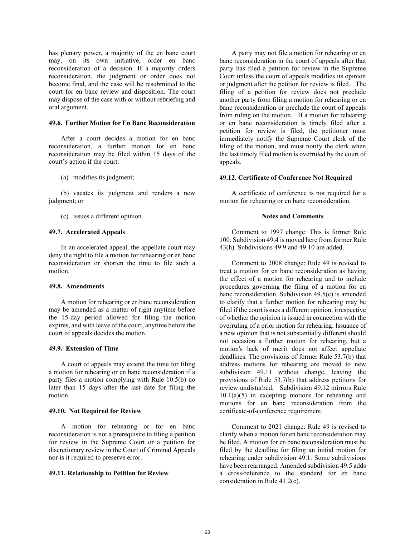has plenary power, a majority of the en banc court may, on its own initiative, order en banc reconsideration of a decision. If a majority orders reconsideration, the judgment or order does not become final, and the case will be resubmitted to the court for en banc review and disposition. The court may dispose of the case with or without rebriefing and oral argument.

### **49.6. Further Motion for En Banc Reconsideration**

After a court decides a motion for en banc reconsideration, a further motion for en banc reconsideration may be filed within 15 days of the court's action if the court:

(a) modifies its judgment;

(b) vacates its judgment and renders a new judgment; or

(c) issues a different opinion.

#### **49.7. Accelerated Appeals**

In an accelerated appeal, the appellate court may deny the right to file a motion for rehearing or en banc reconsideration or shorten the time to file such a motion.

## **49.8. Amendments**

A motion for rehearing or en banc reconsideration may be amended as a matter of right anytime before the 15-day period allowed for filing the motion expires, and with leave of the court, anytime before the court of appeals decides the motion.

#### **49.9. Extension of Time**

A court of appeals may extend the time for filing a motion for rehearing or en banc reconsideration if a party files a motion complying with Rule 10.5(b) no later than 15 days after the last date for filing the motion.

#### **49.10. Not Required for Review**

A motion for rehearing or for en banc reconsideration is not a prerequisite to filing a petition for review in the Supreme Court or a petition for discretionary review in the Court of Criminal Appeals nor is it required to preserve error.

#### **49.11. Relationship to Petition for Review**

A party may not file a motion for rehearing or en banc reconsideration in the court of appeals after that party has filed a petition for review in the Supreme Court unless the court of appeals modifies its opinion or judgment after the petition for review is filed. The filing of a petition for review does not preclude another party from filing a motion for rehearing or en banc reconsideration or preclude the court of appeals from ruling on the motion. If a motion for rehearing or en banc reconsideration is timely filed after a petition for review is filed, the petitioner must immediately notify the Supreme Court clerk of the filing of the motion, and must notify the clerk when the last timely filed motion is overruled by the court of appeals.

#### **49.12. Certificate of Conference Not Required**

A certificate of conference is not required for a motion for rehearing or en banc reconsideration.

## **Notes and Comments**

Comment to 1997 change: This is former Rule 100. Subdivision 49.4 is moved here from former Rule 43(h). Subdivisions 49.9 and 49.10 are added.

Comment to 2008 change: Rule 49 is revised to treat a motion for en banc reconsideration as having the effect of a motion for rehearing and to include procedures governing the filing of a motion for en banc reconsideration. Subdivision 49.5(c) is amended to clarify that a further motion for rehearing may be filed if the court issues a different opinion, irrespective of whether the opinion is issued in connection with the overruling of a prior motion for rehearing. Issuance of a new opinion that is not substantially different should not occasion a further motion for rehearing, but a motion's lack of merit does not affect appellate deadlines. The provisions of former Rule 53.7(b) that address motions for rehearing are moved to new subdivision 49.11 without change, leaving the provisions of Rule 53.7(b) that address petitions for review undisturbed. Subdivision 49.12 mirrors Rule  $10.1(a)(5)$  in excepting motions for rehearing and motions for en banc reconsideration from the certificate-of-conference requirement.

Comment to 2021 change: Rule 49 is revised to clarify when a motion for en banc reconsideration may be filed. A motion for en banc reconsideration must be filed by the deadline for filing an initial motion for rehearing under subdivision 49.1. Some subdivisions have been rearranged. Amended subdivision 49.5 adds a cross-reference to the standard for en banc consideration in Rule 41.2(c).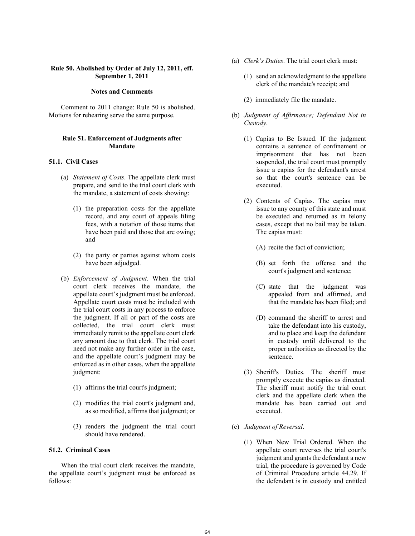# **Rule 50. Abolished by Order of July 12, 2011, eff. September 1, 2011**

#### **Notes and Comments**

Comment to 2011 change: Rule 50 is abolished. Motions for rehearing serve the same purpose.

# **Rule 51. Enforcement of Judgments after Mandate**

# **51.1. Civil Cases**

- (a) *Statement of Costs*. The appellate clerk must prepare, and send to the trial court clerk with the mandate, a statement of costs showing:
	- (1) the preparation costs for the appellate record, and any court of appeals filing fees, with a notation of those items that have been paid and those that are owing; and
	- (2) the party or parties against whom costs have been adjudged.
- (b) *Enforcement of Judgment*. When the trial court clerk receives the mandate, the appellate court's judgment must be enforced. Appellate court costs must be included with the trial court costs in any process to enforce the judgment. If all or part of the costs are collected, the trial court clerk must immediately remit to the appellate court clerk any amount due to that clerk. The trial court need not make any further order in the case, and the appellate court's judgment may be enforced as in other cases, when the appellate judgment:
	- (1) affirms the trial court's judgment;
	- (2) modifies the trial court's judgment and, as so modified, affirms that judgment; or
	- (3) renders the judgment the trial court should have rendered.

## **51.2. Criminal Cases**

When the trial court clerk receives the mandate, the appellate court's judgment must be enforced as follows:

- (a) *Clerk's Duties*. The trial court clerk must:
	- (1) send an acknowledgment to the appellate clerk of the mandate's receipt; and
	- (2) immediately file the mandate.
- (b) *Judgment of Affirmance; Defendant Not in Custody*.
	- (1) Capias to Be Issued. If the judgment contains a sentence of confinement or imprisonment that has not been suspended, the trial court must promptly issue a capias for the defendant's arrest so that the court's sentence can be executed.
	- (2) Contents of Capias. The capias may issue to any county of this state and must be executed and returned as in felony cases, except that no bail may be taken. The capias must:
		- (A) recite the fact of conviction;
		- (B) set forth the offense and the court's judgment and sentence;
		- (C) state that the judgment was appealed from and affirmed, and that the mandate has been filed; and
		- (D) command the sheriff to arrest and take the defendant into his custody, and to place and keep the defendant in custody until delivered to the proper authorities as directed by the sentence.
	- (3) Sheriff's Duties. The sheriff must promptly execute the capias as directed. The sheriff must notify the trial court clerk and the appellate clerk when the mandate has been carried out and executed.
- (c) *Judgment of Reversal*.
	- (1) When New Trial Ordered. When the appellate court reverses the trial court's judgment and grants the defendant a new trial, the procedure is governed by Code of Criminal Procedure article 44.29. If the defendant is in custody and entitled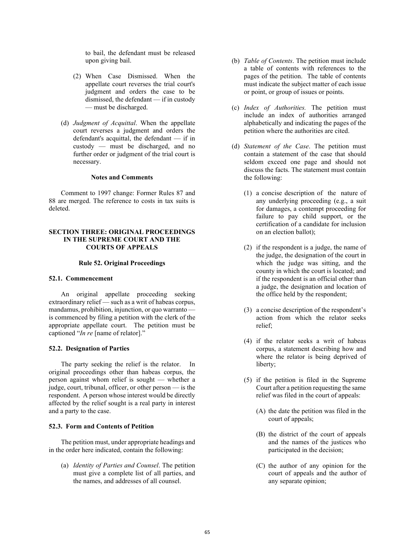to bail, the defendant must be released upon giving bail.

- (2) When Case Dismissed. When the appellate court reverses the trial court's judgment and orders the case to be dismissed, the defendant — if in custody — must be discharged.
- (d) *Judgment of Acquittal*. When the appellate court reverses a judgment and orders the defendant's acquittal, the defendant — if in custody — must be discharged, and no further order or judgment of the trial court is necessary.

## **Notes and Comments**

Comment to 1997 change: Former Rules 87 and 88 are merged. The reference to costs in tax suits is deleted.

# **SECTION THREE: ORIGINAL PROCEEDINGS IN THE SUPREME COURT AND THE COURTS OF APPEALS**

#### **Rule 52. Original Proceedings**

#### **52.1. Commencement**

An original appellate proceeding seeking extraordinary relief — such as a writ of habeas corpus, mandamus, prohibition, injunction, or quo warranto is commenced by filing a petition with the clerk of the appropriate appellate court. The petition must be captioned "*In re* [name of relator]."

### **52.2. Designation of Parties**

The party seeking the relief is the relator. In original proceedings other than habeas corpus, the person against whom relief is sought — whether a judge, court, tribunal, officer, or other person — is the respondent. A person whose interest would be directly affected by the relief sought is a real party in interest and a party to the case.

#### **52.3. Form and Contents of Petition**

The petition must, under appropriate headings and in the order here indicated, contain the following:

(a) *Identity of Parties and Counsel*. The petition must give a complete list of all parties, and the names, and addresses of all counsel.

- (b) *Table of Contents*. The petition must include a table of contents with references to the pages of the petition. The table of contents must indicate the subject matter of each issue or point, or group of issues or points.
- (c) *Index of Authorities.* The petition must include an index of authorities arranged alphabetically and indicating the pages of the petition where the authorities are cited.
- (d) *Statement of the Case*. The petition must contain a statement of the case that should seldom exceed one page and should not discuss the facts. The statement must contain the following:
	- (1) a concise description of the nature of any underlying proceeding (e.g., a suit for damages, a contempt proceeding for failure to pay child support, or the certification of a candidate for inclusion on an election ballot);
	- (2) if the respondent is a judge, the name of the judge, the designation of the court in which the judge was sitting, and the county in which the court is located; and if the respondent is an official other than a judge, the designation and location of the office held by the respondent;
	- (3) a concise description of the respondent's action from which the relator seeks relief;
	- (4) if the relator seeks a writ of habeas corpus, a statement describing how and where the relator is being deprived of liberty;
	- (5) if the petition is filed in the Supreme Court after a petition requesting the same relief was filed in the court of appeals:
		- (A) the date the petition was filed in the court of appeals;
		- (B) the district of the court of appeals and the names of the justices who participated in the decision;
		- (C) the author of any opinion for the court of appeals and the author of any separate opinion;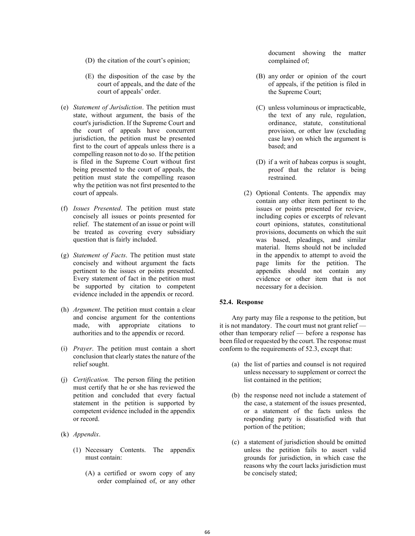- (D) the citation of the court's opinion;
- (E) the disposition of the case by the court of appeals, and the date of the court of appeals' order.
- (e) *Statement of Jurisdiction*. The petition must state, without argument, the basis of the court's jurisdiction. If the Supreme Court and the court of appeals have concurrent jurisdiction, the petition must be presented first to the court of appeals unless there is a compelling reason not to do so. If the petition is filed in the Supreme Court without first being presented to the court of appeals, the petition must state the compelling reason why the petition was not first presented to the court of appeals.
- (f) *Issues Presented*. The petition must state concisely all issues or points presented for relief. The statement of an issue or point will be treated as covering every subsidiary question that is fairly included.
- (g) *Statement of Facts*. The petition must state concisely and without argument the facts pertinent to the issues or points presented. Every statement of fact in the petition must be supported by citation to competent evidence included in the appendix or record.
- (h) *Argument*. The petition must contain a clear and concise argument for the contentions made, with appropriate citations to authorities and to the appendix or record.
- (i) *Prayer*. The petition must contain a short conclusion that clearly states the nature of the relief sought.
- (j) *Certification.* The person filing the petition must certify that he or she has reviewed the petition and concluded that every factual statement in the petition is supported by competent evidence included in the appendix or record.
- (k) *Appendix*.
	- (1) Necessary Contents. The appendix must contain:
		- (A) a certified or sworn copy of any order complained of, or any other

document showing the matter complained of;

- (B) any order or opinion of the court of appeals, if the petition is filed in the Supreme Court;
- (C) unless voluminous or impracticable, the text of any rule, regulation, ordinance, statute, constitutional provision, or other law (excluding case law) on which the argument is based; and
- (D) if a writ of habeas corpus is sought, proof that the relator is being restrained.
- (2) Optional Contents. The appendix may contain any other item pertinent to the issues or points presented for review, including copies or excerpts of relevant court opinions, statutes, constitutional provisions, documents on which the suit was based, pleadings, and similar material. Items should not be included in the appendix to attempt to avoid the page limits for the petition. The appendix should not contain any evidence or other item that is not necessary for a decision.

## **52.4. Response**

Any party may file a response to the petition, but it is not mandatory. The court must not grant relief other than temporary relief — before a response has been filed or requested by the court. The response must conform to the requirements of 52.3, except that:

- (a) the list of parties and counsel is not required unless necessary to supplement or correct the list contained in the petition;
- (b) the response need not include a statement of the case, a statement of the issues presented, or a statement of the facts unless the responding party is dissatisfied with that portion of the petition;
- (c) a statement of jurisdiction should be omitted unless the petition fails to assert valid grounds for jurisdiction, in which case the reasons why the court lacks jurisdiction must be concisely stated;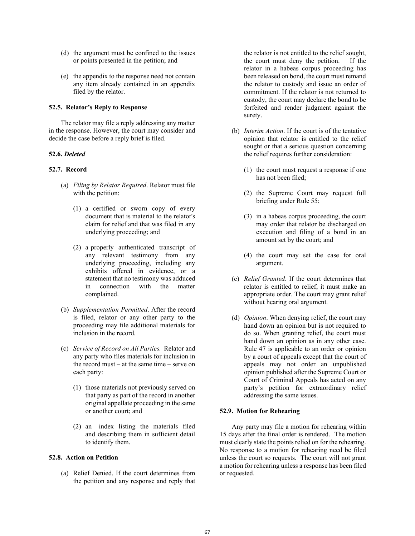- (d) the argument must be confined to the issues or points presented in the petition; and
- (e) the appendix to the response need not contain any item already contained in an appendix filed by the relator.

# **52.5. Relator's Reply to Response**

The relator may file a reply addressing any matter in the response. However, the court may consider and decide the case before a reply brief is filed.

### **52.6.** *Deleted*

## **52.7. Record**

- (a) *Filing by Relator Required*. Relator must file with the petition:
	- (1) a certified or sworn copy of every document that is material to the relator's claim for relief and that was filed in any underlying proceeding; and
	- (2) a properly authenticated transcript of any relevant testimony from any underlying proceeding, including any exhibits offered in evidence, or a statement that no testimony was adduced in connection with the matter complained.
- (b) *Supplementation Permitted*. After the record is filed, relator or any other party to the proceeding may file additional materials for inclusion in the record.
- (c) *Service of Record on All Parties.* Relator and any party who files materials for inclusion in the record must – at the same time – serve on each party:
	- (1) those materials not previously served on that party as part of the record in another original appellate proceeding in the same or another court; and
	- (2) an index listing the materials filed and describing them in sufficient detail to identify them.

# **52.8. Action on Petition**

(a) Relief Denied. If the court determines from the petition and any response and reply that the relator is not entitled to the relief sought, the court must deny the petition. If the relator in a habeas corpus proceeding has been released on bond, the court must remand the relator to custody and issue an order of commitment. If the relator is not returned to custody, the court may declare the bond to be forfeited and render judgment against the surety.

- (b) *Interim Action*. If the court is of the tentative opinion that relator is entitled to the relief sought or that a serious question concerning the relief requires further consideration:
	- (1) the court must request a response if one has not been filed;
	- (2) the Supreme Court may request full briefing under Rule 55;
	- (3) in a habeas corpus proceeding, the court may order that relator be discharged on execution and filing of a bond in an amount set by the court; and
	- (4) the court may set the case for oral argument.
- (c) *Relief Granted*. If the court determines that relator is entitled to relief, it must make an appropriate order. The court may grant relief without hearing oral argument.
- (d) *Opinion*. When denying relief, the court may hand down an opinion but is not required to do so. When granting relief, the court must hand down an opinion as in any other case. Rule 47 is applicable to an order or opinion by a court of appeals except that the court of appeals may not order an unpublished opinion published after the Supreme Court or Court of Criminal Appeals has acted on any party's petition for extraordinary relief addressing the same issues.

### **52.9. Motion for Rehearing**

Any party may file a motion for rehearing within 15 days after the final order is rendered. The motion must clearly state the points relied on for the rehearing. No response to a motion for rehearing need be filed unless the court so requests. The court will not grant a motion for rehearing unless a response has been filed or requested.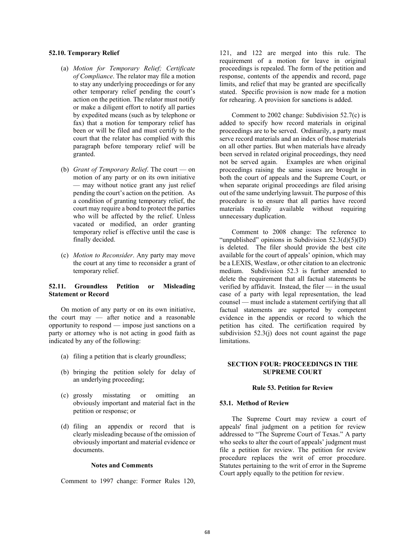### **52.10. Temporary Relief**

- (a) *Motion for Temporary Relief; Certificate of Compliance*. The relator may file a motion to stay any underlying proceedings or for any other temporary relief pending the court's action on the petition. The relator must notify or make a diligent effort to notify all parties by expedited means (such as by telephone or fax) that a motion for temporary relief has been or will be filed and must certify to the court that the relator has complied with this paragraph before temporary relief will be granted.
- (b) *Grant of Temporary Relief*. The court on motion of any party or on its own initiative — may without notice grant any just relief pending the court's action on the petition. As a condition of granting temporary relief, the court may require a bond to protect the parties who will be affected by the relief. Unless vacated or modified, an order granting temporary relief is effective until the case is finally decided.
- (c) *Motion to Reconsider*. Any party may move the court at any time to reconsider a grant of temporary relief.

# **52.11. Groundless Petition or Misleading Statement or Record**

On motion of any party or on its own initiative, the court may — after notice and a reasonable opportunity to respond — impose just sanctions on a party or attorney who is not acting in good faith as indicated by any of the following:

- (a) filing a petition that is clearly groundless;
- (b) bringing the petition solely for delay of an underlying proceeding;
- (c) grossly misstating or omitting an obviously important and material fact in the petition or response; or
- (d) filing an appendix or record that is clearly misleading because of the omission of obviously important and material evidence or documents.

# **Notes and Comments**

Comment to 1997 change: Former Rules 120,

121, and 122 are merged into this rule. The requirement of a motion for leave in original proceedings is repealed. The form of the petition and response, contents of the appendix and record, page limits, and relief that may be granted are specifically stated. Specific provision is now made for a motion for rehearing. A provision for sanctions is added.

Comment to 2002 change: Subdivision 52.7(c) is added to specify how record materials in original proceedings are to be served. Ordinarily, a party must serve record materials and an index of those materials on all other parties. But when materials have already been served in related original proceedings, they need not be served again. Examples are when original proceedings raising the same issues are brought in both the court of appeals and the Supreme Court, or when separate original proceedings are filed arising out of the same underlying lawsuit. The purpose of this procedure is to ensure that all parties have record materials readily available without requiring unnecessary duplication.

Comment to 2008 change: The reference to "unpublished" opinions in Subdivision  $52.3(d)(5)(D)$ is deleted. The filer should provide the best cite available for the court of appeals' opinion, which may be a LEXIS, Westlaw, or other citation to an electronic medium. Subdivision 52.3 is further amended to delete the requirement that all factual statements be verified by affidavit. Instead, the filer — in the usual case of a party with legal representation, the lead counsel — must include a statement certifying that all factual statements are supported by competent evidence in the appendix or record to which the petition has cited. The certification required by subdivision  $52.3(j)$  does not count against the page limitations.

# **SECTION FOUR: PROCEEDINGS IN THE SUPREME COURT**

#### **Rule 53. Petition for Review**

#### **53.1. Method of Review**

The Supreme Court may review a court of appeals' final judgment on a petition for review addressed to "The Supreme Court of Texas." A party who seeks to alter the court of appeals' judgment must file a petition for review. The petition for review procedure replaces the writ of error procedure. Statutes pertaining to the writ of error in the Supreme Court apply equally to the petition for review.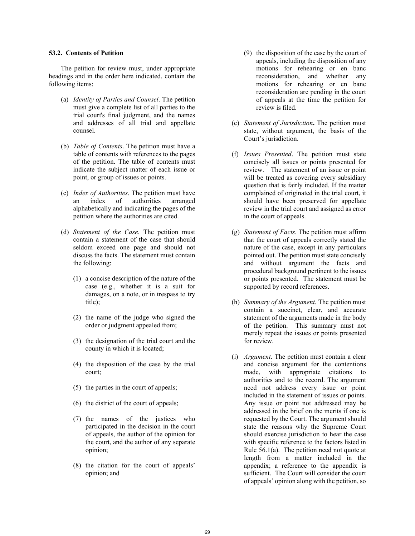# **53.2. Contents of Petition**

The petition for review must, under appropriate headings and in the order here indicated, contain the following items:

- (a) *Identity of Parties and Counsel*. The petition must give a complete list of all parties to the trial court's final judgment, and the names and addresses of all trial and appellate counsel.
- (b) *Table of Contents*. The petition must have a table of contents with references to the pages of the petition. The table of contents must indicate the subject matter of each issue or point, or group of issues or points.
- (c) *Index of Authorities*. The petition must have an index of authorities arranged alphabetically and indicating the pages of the petition where the authorities are cited.
- (d) *Statement of the Case*. The petition must contain a statement of the case that should seldom exceed one page and should not discuss the facts. The statement must contain the following:
	- (1) a concise description of the nature of the case (e.g., whether it is a suit for damages, on a note, or in trespass to try title);
	- (2) the name of the judge who signed the order or judgment appealed from;
	- (3) the designation of the trial court and the county in which it is located;
	- (4) the disposition of the case by the trial court;
	- (5) the parties in the court of appeals;
	- (6) the district of the court of appeals;
	- (7) the names of the justices who participated in the decision in the court of appeals, the author of the opinion for the court, and the author of any separate opinion;
	- (8) the citation for the court of appeals' opinion; and
- (9) the disposition of the case by the court of appeals, including the disposition of any motions for rehearing or en banc reconsideration, and whether any motions for rehearing or en banc reconsideration are pending in the court of appeals at the time the petition for review is filed.
- (e) *Statement of Jurisdiction***.** The petition must state, without argument, the basis of the Court's jurisdiction.
- (f) *Issues Presented*. The petition must state concisely all issues or points presented for review. The statement of an issue or point will be treated as covering every subsidiary question that is fairly included. If the matter complained of originated in the trial court, it should have been preserved for appellate review in the trial court and assigned as error in the court of appeals.
- (g) *Statement of Facts*. The petition must affirm that the court of appeals correctly stated the nature of the case, except in any particulars pointed out. The petition must state concisely and without argument the facts and procedural background pertinent to the issues or points presented. The statement must be supported by record references.
- (h) *Summary of the Argument*. The petition must contain a succinct, clear, and accurate statement of the arguments made in the body of the petition. This summary must not merely repeat the issues or points presented for review.
- (i) *Argument*. The petition must contain a clear and concise argument for the contentions made, with appropriate citations to authorities and to the record. The argument need not address every issue or point included in the statement of issues or points. Any issue or point not addressed may be addressed in the brief on the merits if one is requested by the Court. The argument should state the reasons why the Supreme Court should exercise jurisdiction to hear the case with specific reference to the factors listed in Rule 56.1(a). The petition need not quote at length from a matter included in the appendix; a reference to the appendix is sufficient. The Court will consider the court of appeals' opinion along with the petition, so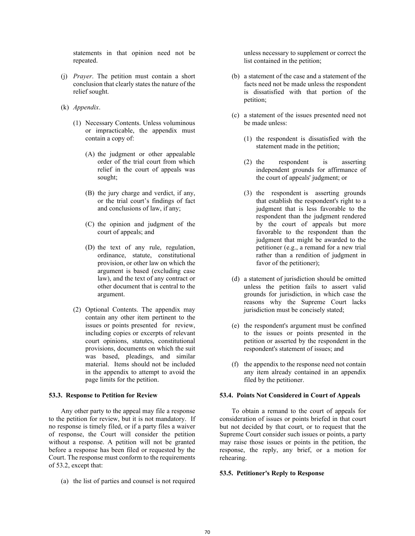statements in that opinion need not be repeated.

- (j) *Prayer*. The petition must contain a short conclusion that clearly states the nature of the relief sought.
- (k) *Appendix*.
	- (1) Necessary Contents. Unless voluminous or impracticable, the appendix must contain a copy of:
		- (A) the judgment or other appealable order of the trial court from which relief in the court of appeals was sought;
		- (B) the jury charge and verdict, if any, or the trial court's findings of fact and conclusions of law, if any;
		- (C) the opinion and judgment of the court of appeals; and
		- (D) the text of any rule, regulation, ordinance, statute, constitutional provision, or other law on which the argument is based (excluding case law), and the text of any contract or other document that is central to the argument.
	- (2) Optional Contents. The appendix may contain any other item pertinent to the issues or points presented for review, including copies or excerpts of relevant court opinions, statutes, constitutional provisions, documents on which the suit was based, pleadings, and similar material. Items should not be included in the appendix to attempt to avoid the page limits for the petition.

# **53.3. Response to Petition for Review**

Any other party to the appeal may file a response to the petition for review, but it is not mandatory. If no response is timely filed, or if a party files a waiver of response, the Court will consider the petition without a response. A petition will not be granted before a response has been filed or requested by the Court. The response must conform to the requirements of 53.2, except that:

(a) the list of parties and counsel is not required

unless necessary to supplement or correct the list contained in the petition;

- (b) a statement of the case and a statement of the facts need not be made unless the respondent is dissatisfied with that portion of the petition;
- (c) a statement of the issues presented need not be made unless:
	- (1) the respondent is dissatisfied with the statement made in the petition;
	- (2) the respondent is asserting independent grounds for affirmance of the court of appeals' judgment; or
	- (3) the respondent is asserting grounds that establish the respondent's right to a judgment that is less favorable to the respondent than the judgment rendered by the court of appeals but more favorable to the respondent than the judgment that might be awarded to the petitioner (e.g., a remand for a new trial rather than a rendition of judgment in favor of the petitioner);
- (d) a statement of jurisdiction should be omitted unless the petition fails to assert valid grounds for jurisdiction, in which case the reasons why the Supreme Court lacks jurisdiction must be concisely stated;
- (e) the respondent's argument must be confined to the issues or points presented in the petition or asserted by the respondent in the respondent's statement of issues; and
- (f) the appendix to the response need not contain any item already contained in an appendix filed by the petitioner.

## **53.4. Points Not Considered in Court of Appeals**

To obtain a remand to the court of appeals for consideration of issues or points briefed in that court but not decided by that court, or to request that the Supreme Court consider such issues or points, a party may raise those issues or points in the petition, the response, the reply, any brief, or a motion for rehearing.

### **53.5. Petitioner's Reply to Response**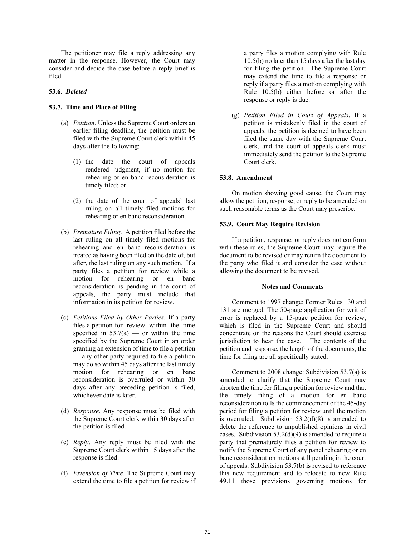The petitioner may file a reply addressing any matter in the response. However, the Court may consider and decide the case before a reply brief is filed.

## **53.6.** *Deleted*

## **53.7. Time and Place of Filing**

- (a) *Petition*. Unless the Supreme Court orders an earlier filing deadline, the petition must be filed with the Supreme Court clerk within 45 days after the following:
	- (1) the date the court of appeals rendered judgment, if no motion for rehearing or en banc reconsideration is timely filed; or
	- (2) the date of the court of appeals' last ruling on all timely filed motions for rehearing or en banc reconsideration.
- (b) *Premature Filing*. A petition filed before the last ruling on all timely filed motions for rehearing and en banc reconsideration is treated as having been filed on the date of, but after, the last ruling on any such motion. If a party files a petition for review while a motion for rehearing or en banc reconsideration is pending in the court of appeals, the party must include that information in its petition for review.
- (c) *Petitions Filed by Other Parties*. If a party files a petition for review within the time specified in  $53.7(a)$  — or within the time specified by the Supreme Court in an order granting an extension of time to file a petition — any other party required to file a petition may do so within 45 days after the last timely motion for rehearing or en banc reconsideration is overruled or within 30 days after any preceding petition is filed, whichever date is later.
- (d) *Response*. Any response must be filed with the Supreme Court clerk within 30 days after the petition is filed.
- (e) *Reply*. Any reply must be filed with the Supreme Court clerk within 15 days after the response is filed.
- (f) *Extension of Time*. The Supreme Court may extend the time to file a petition for review if

a party files a motion complying with Rule 10.5(b) no later than 15 days after the last day for filing the petition. The Supreme Court may extend the time to file a response or reply if a party files a motion complying with Rule 10.5(b) either before or after the response or reply is due.

(g) *Petition Filed in Court of Appeals*. If a petition is mistakenly filed in the court of appeals, the petition is deemed to have been filed the same day with the Supreme Court clerk, and the court of appeals clerk must immediately send the petition to the Supreme Court clerk.

## **53.8. Amendment**

On motion showing good cause, the Court may allow the petition, response, or reply to be amended on such reasonable terms as the Court may prescribe.

### **53.9. Court May Require Revision**

If a petition, response, or reply does not conform with these rules, the Supreme Court may require the document to be revised or may return the document to the party who filed it and consider the case without allowing the document to be revised.

# **Notes and Comments**

Comment to 1997 change: Former Rules 130 and 131 are merged. The 50-page application for writ of error is replaced by a 15-page petition for review, which is filed in the Supreme Court and should concentrate on the reasons the Court should exercise jurisdiction to hear the case. The contents of the petition and response, the length of the documents, the time for filing are all specifically stated.

Comment to 2008 change: Subdivision 53.7(a) is amended to clarify that the Supreme Court may shorten the time for filing a petition for review and that the timely filing of a motion for en banc reconsideration tolls the commencement of the 45-day period for filing a petition for review until the motion is overruled. Subdivision  $53.2(d)(8)$  is amended to delete the reference to unpublished opinions in civil cases. Subdivision  $53.2(d)(9)$  is amended to require a party that prematurely files a petition for review to notify the Supreme Court of any panel rehearing or en banc reconsideration motions still pending in the court of appeals. Subdivision 53.7(b) is revised to reference this new requirement and to relocate to new Rule 49.11 those provisions governing motions for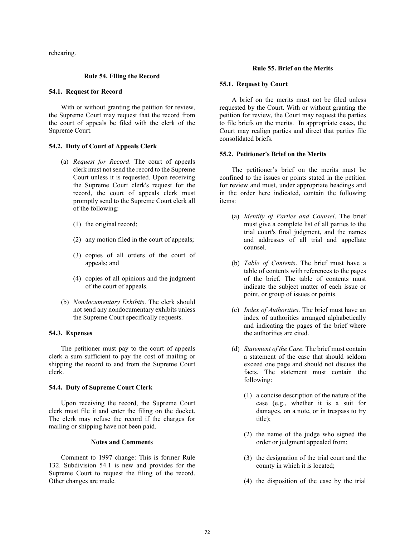rehearing.

### **Rule 54. Filing the Record**

### **54.1. Request for Record**

With or without granting the petition for review, the Supreme Court may request that the record from the court of appeals be filed with the clerk of the Supreme Court.

### **54.2. Duty of Court of Appeals Clerk**

- (a) *Request for Record*. The court of appeals clerk must not send the record to the Supreme Court unless it is requested. Upon receiving the Supreme Court clerk's request for the record, the court of appeals clerk must promptly send to the Supreme Court clerk all of the following:
	- (1) the original record;
	- (2) any motion filed in the court of appeals;
	- (3) copies of all orders of the court of appeals; and
	- (4) copies of all opinions and the judgment of the court of appeals.
- (b) *Nondocumentary Exhibits*. The clerk should not send any nondocumentary exhibits unless the Supreme Court specifically requests.

## **54.3. Expenses**

The petitioner must pay to the court of appeals clerk a sum sufficient to pay the cost of mailing or shipping the record to and from the Supreme Court clerk.

#### **54.4. Duty of Supreme Court Clerk**

Upon receiving the record, the Supreme Court clerk must file it and enter the filing on the docket. The clerk may refuse the record if the charges for mailing or shipping have not been paid.

#### **Notes and Comments**

Comment to 1997 change: This is former Rule 132. Subdivision 54.1 is new and provides for the Supreme Court to request the filing of the record. Other changes are made.

### **Rule 55. Brief on the Merits**

## **55.1. Request by Court**

A brief on the merits must not be filed unless requested by the Court. With or without granting the petition for review, the Court may request the parties to file briefs on the merits. In appropriate cases, the Court may realign parties and direct that parties file consolidated briefs.

# **55.2. Petitioner's Brief on the Merits**

The petitioner's brief on the merits must be confined to the issues or points stated in the petition for review and must, under appropriate headings and in the order here indicated, contain the following items:

- (a) *Identity of Parties and Counsel*. The brief must give a complete list of all parties to the trial court's final judgment, and the names and addresses of all trial and appellate counsel.
- (b) *Table of Contents*. The brief must have a table of contents with references to the pages of the brief. The table of contents must indicate the subject matter of each issue or point, or group of issues or points.
- (c) *Index of Authorities*. The brief must have an index of authorities arranged alphabetically and indicating the pages of the brief where the authorities are cited.
- (d) *Statement of the Case*. The brief must contain a statement of the case that should seldom exceed one page and should not discuss the facts. The statement must contain the following:
	- (1) a concise description of the nature of the case (e.g., whether it is a suit for damages, on a note, or in trespass to try title);
	- (2) the name of the judge who signed the order or judgment appealed from;
	- (3) the designation of the trial court and the county in which it is located;
	- (4) the disposition of the case by the trial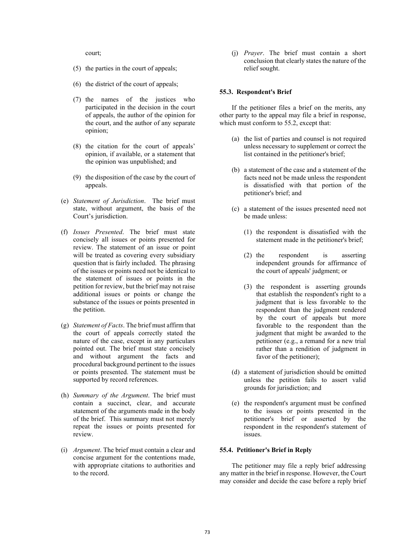court;

- (5) the parties in the court of appeals;
- (6) the district of the court of appeals;
- (7) the names of the justices who participated in the decision in the court of appeals, the author of the opinion for the court, and the author of any separate opinion;
- (8) the citation for the court of appeals' opinion, if available, or a statement that the opinion was unpublished; and
- (9) the disposition of the case by the court of appeals.
- (e) *Statement of Jurisdiction*. The brief must state, without argument, the basis of the Court's jurisdiction.
- (f) *Issues Presented*. The brief must state concisely all issues or points presented for review. The statement of an issue or point will be treated as covering every subsidiary question that is fairly included. The phrasing of the issues or points need not be identical to the statement of issues or points in the petition for review, but the brief may not raise additional issues or points or change the substance of the issues or points presented in the petition.
- (g) *Statement of Facts*. The brief must affirm that the court of appeals correctly stated the nature of the case, except in any particulars pointed out. The brief must state concisely and without argument the facts and procedural background pertinent to the issues or points presented. The statement must be supported by record references.
- (h) *Summary of the Argument*. The brief must contain a succinct, clear, and accurate statement of the arguments made in the body of the brief. This summary must not merely repeat the issues or points presented for review.
- (i) *Argument*. The brief must contain a clear and concise argument for the contentions made, with appropriate citations to authorities and to the record.

(j) *Prayer*. The brief must contain a short conclusion that clearly states the nature of the relief sought.

#### **55.3. Respondent's Brief**

If the petitioner files a brief on the merits, any other party to the appeal may file a brief in response, which must conform to 55.2, except that:

- (a) the list of parties and counsel is not required unless necessary to supplement or correct the list contained in the petitioner's brief;
- (b) a statement of the case and a statement of the facts need not be made unless the respondent is dissatisfied with that portion of the petitioner's brief; and
- (c) a statement of the issues presented need not be made unless:
	- (1) the respondent is dissatisfied with the statement made in the petitioner's brief;
	- (2) the respondent is asserting independent grounds for affirmance of the court of appeals' judgment; or
	- (3) the respondent is asserting grounds that establish the respondent's right to a judgment that is less favorable to the respondent than the judgment rendered by the court of appeals but more favorable to the respondent than the judgment that might be awarded to the petitioner (e.g., a remand for a new trial rather than a rendition of judgment in favor of the petitioner);
- (d) a statement of jurisdiction should be omitted unless the petition fails to assert valid grounds for jurisdiction; and
- (e) the respondent's argument must be confined to the issues or points presented in the petitioner's brief or asserted by the respondent in the respondent's statement of issues.

#### **55.4. Petitioner's Brief in Reply**

The petitioner may file a reply brief addressing any matter in the brief in response. However, the Court may consider and decide the case before a reply brief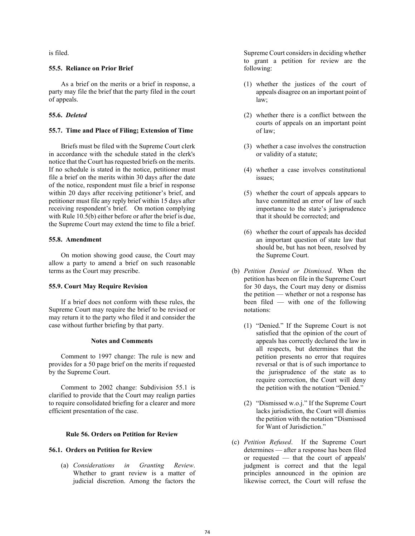is filed.

#### **55.5. Reliance on Prior Brief**

As a brief on the merits or a brief in response, a party may file the brief that the party filed in the court of appeals.

# **55.6.** *Deleted*

### **55.7. Time and Place of Filing; Extension of Time**

Briefs must be filed with the Supreme Court clerk in accordance with the schedule stated in the clerk's notice that the Court has requested briefs on the merits. If no schedule is stated in the notice, petitioner must file a brief on the merits within 30 days after the date of the notice, respondent must file a brief in response within 20 days after receiving petitioner's brief, and petitioner must file any reply brief within 15 days after receiving respondent's brief. On motion complying with Rule 10.5(b) either before or after the brief is due, the Supreme Court may extend the time to file a brief.

## **55.8. Amendment**

On motion showing good cause, the Court may allow a party to amend a brief on such reasonable terms as the Court may prescribe.

# **55.9. Court May Require Revision**

If a brief does not conform with these rules, the Supreme Court may require the brief to be revised or may return it to the party who filed it and consider the case without further briefing by that party.

#### **Notes and Comments**

Comment to 1997 change: The rule is new and provides for a 50 page brief on the merits if requested by the Supreme Court.

Comment to 2002 change: Subdivision 55.1 is clarified to provide that the Court may realign parties to require consolidated briefing for a clearer and more efficient presentation of the case.

## **Rule 56. Orders on Petition for Review**

#### **56.1. Orders on Petition for Review**

(a) *Considerations in Granting Review*. Whether to grant review is a matter of judicial discretion. Among the factors the Supreme Court considers in deciding whether to grant a petition for review are the following:

- (1) whether the justices of the court of appeals disagree on an important point of law;
- (2) whether there is a conflict between the courts of appeals on an important point of law;
- (3) whether a case involves the construction or validity of a statute;
- (4) whether a case involves constitutional issues;
- (5) whether the court of appeals appears to have committed an error of law of such importance to the state's jurisprudence that it should be corrected; and
- (6) whether the court of appeals has decided an important question of state law that should be, but has not been, resolved by the Supreme Court.
- (b) *Petition Denied or Dismissed*. When the petition has been on file in the Supreme Court for 30 days, the Court may deny or dismiss the petition — whether or not a response has been filed — with one of the following notations:
	- (1) "Denied." If the Supreme Court is not satisfied that the opinion of the court of appeals has correctly declared the law in all respects, but determines that the petition presents no error that requires reversal or that is of such importance to the jurisprudence of the state as to require correction, the Court will deny the petition with the notation "Denied."
	- (2) "Dismissed w.o.j." If the Supreme Court lacks jurisdiction, the Court will dismiss the petition with the notation "Dismissed for Want of Jurisdiction."
- (c) *Petition Refused*. If the Supreme Court determines — after a response has been filed or requested — that the court of appeals' judgment is correct and that the legal principles announced in the opinion are likewise correct, the Court will refuse the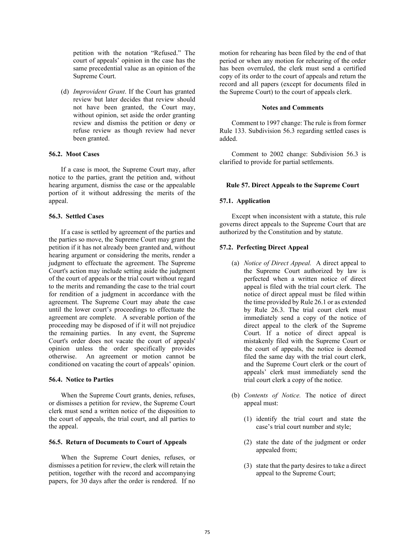petition with the notation "Refused." The court of appeals' opinion in the case has the same precedential value as an opinion of the Supreme Court.

(d) *Improvident Grant*. If the Court has granted review but later decides that review should not have been granted, the Court may, without opinion, set aside the order granting review and dismiss the petition or deny or refuse review as though review had never been granted.

## **56.2. Moot Cases**

If a case is moot, the Supreme Court may, after notice to the parties, grant the petition and, without hearing argument, dismiss the case or the appealable portion of it without addressing the merits of the appeal.

# **56.3. Settled Cases**

If a case is settled by agreement of the parties and the parties so move, the Supreme Court may grant the petition if it has not already been granted and, without hearing argument or considering the merits, render a judgment to effectuate the agreement. The Supreme Court's action may include setting aside the judgment of the court of appeals or the trial court without regard to the merits and remanding the case to the trial court for rendition of a judgment in accordance with the agreement. The Supreme Court may abate the case until the lower court's proceedings to effectuate the agreement are complete. A severable portion of the proceeding may be disposed of if it will not prejudice the remaining parties. In any event, the Supreme Court's order does not vacate the court of appeals' opinion unless the order specifically provides otherwise. An agreement or motion cannot be conditioned on vacating the court of appeals' opinion.

#### **56.4. Notice to Parties**

When the Supreme Court grants, denies, refuses, or dismisses a petition for review, the Supreme Court clerk must send a written notice of the disposition to the court of appeals, the trial court, and all parties to the appeal.

## **56.5. Return of Documents to Court of Appeals**

When the Supreme Court denies, refuses, or dismisses a petition for review, the clerk will retain the petition, together with the record and accompanying papers, for 30 days after the order is rendered. If no

motion for rehearing has been filed by the end of that period or when any motion for rehearing of the order has been overruled, the clerk must send a certified copy of its order to the court of appeals and return the record and all papers (except for documents filed in the Supreme Court) to the court of appeals clerk.

## **Notes and Comments**

Comment to 1997 change: The rule is from former Rule 133. Subdivision 56.3 regarding settled cases is added.

Comment to 2002 change: Subdivision 56.3 is clarified to provide for partial settlements.

#### **Rule 57. Direct Appeals to the Supreme Court**

### **57.1. Application**

Except when inconsistent with a statute, this rule governs direct appeals to the Supreme Court that are authorized by the Constitution and by statute.

### **57.2. Perfecting Direct Appeal**

- (a) *Notice of Direct Appeal.* A direct appeal to the Supreme Court authorized by law is perfected when a written notice of direct appeal is filed with the trial court clerk. The notice of direct appeal must be filed within the time provided by Rule 26.1 or as extended by Rule 26.3. The trial court clerk must immediately send a copy of the notice of direct appeal to the clerk of the Supreme Court. If a notice of direct appeal is mistakenly filed with the Supreme Court or the court of appeals, the notice is deemed filed the same day with the trial court clerk, and the Supreme Court clerk or the court of appeals' clerk must immediately send the trial court clerk a copy of the notice.
- (b) *Contents of Notice.* The notice of direct appeal must:
	- (1) identify the trial court and state the case's trial court number and style;
	- (2) state the date of the judgment or order appealed from;
	- (3) state that the party desires to take a direct appeal to the Supreme Court;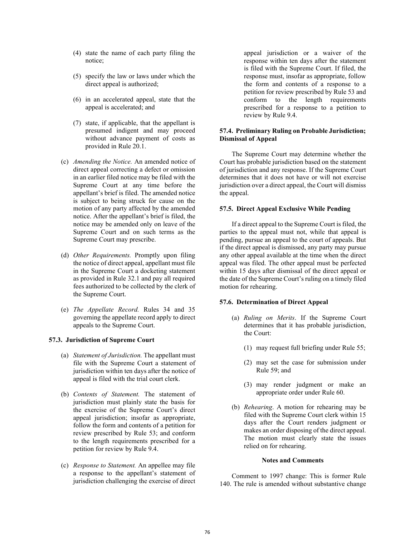- (4) state the name of each party filing the notice;
- (5) specify the law or laws under which the direct appeal is authorized;
- (6) in an accelerated appeal, state that the appeal is accelerated; and
- (7) state, if applicable, that the appellant is presumed indigent and may proceed without advance payment of costs as provided in Rule 20.1.
- (c) *Amending the Notice.* An amended notice of direct appeal correcting a defect or omission in an earlier filed notice may be filed with the Supreme Court at any time before the appellant's brief is filed. The amended notice is subject to being struck for cause on the motion of any party affected by the amended notice. After the appellant's brief is filed, the notice may be amended only on leave of the Supreme Court and on such terms as the Supreme Court may prescribe.
- (d) *Other Requirements.* Promptly upon filing the notice of direct appeal, appellant must file in the Supreme Court a docketing statement as provided in Rule 32.1 and pay all required fees authorized to be collected by the clerk of the Supreme Court.
- (e) *The Appellate Record.* Rules 34 and 35 governing the appellate record apply to direct appeals to the Supreme Court.

## **57.3. Jurisdiction of Supreme Court**

- (a) *Statement of Jurisdiction.* The appellant must file with the Supreme Court a statement of jurisdiction within ten days after the notice of appeal is filed with the trial court clerk.
- (b) *Contents of Statement.* The statement of jurisdiction must plainly state the basis for the exercise of the Supreme Court's direct appeal jurisdiction; insofar as appropriate, follow the form and contents of a petition for review prescribed by Rule 53; and conform to the length requirements prescribed for a petition for review by Rule 9.4.
- (c) *Response to Statement.* An appellee may file a response to the appellant's statement of jurisdiction challenging the exercise of direct

appeal jurisdiction or a waiver of the response within ten days after the statement is filed with the Supreme Court. If filed, the response must, insofar as appropriate, follow the form and contents of a response to a petition for review prescribed by Rule 53 and conform to the length requirements prescribed for a response to a petition to review by Rule 9.4.

# **57.4. Preliminary Ruling on Probable Jurisdiction; Dismissal of Appeal**

The Supreme Court may determine whether the Court has probable jurisdiction based on the statement of jurisdiction and any response. If the Supreme Court determines that it does not have or will not exercise jurisdiction over a direct appeal, the Court will dismiss the appeal.

# **57.5. Direct Appeal Exclusive While Pending**

If a direct appeal to the Supreme Court is filed, the parties to the appeal must not, while that appeal is pending, pursue an appeal to the court of appeals. But if the direct appeal is dismissed, any party may pursue any other appeal available at the time when the direct appeal was filed. The other appeal must be perfected within 15 days after dismissal of the direct appeal or the date of the Supreme Court's ruling on a timely filed motion for rehearing.

# **57.6. Determination of Direct Appeal**

- (a) *Ruling on Merits*. If the Supreme Court determines that it has probable jurisdiction, the Court:
	- (1) may request full briefing under Rule 55;
	- (2) may set the case for submission under Rule 59; and
	- (3) may render judgment or make an appropriate order under Rule 60.
- (b) *Rehearing*. A motion for rehearing may be filed with the Supreme Court clerk within 15 days after the Court renders judgment or makes an order disposing of the direct appeal. The motion must clearly state the issues relied on for rehearing.

## **Notes and Comments**

Comment to 1997 change: This is former Rule 140. The rule is amended without substantive change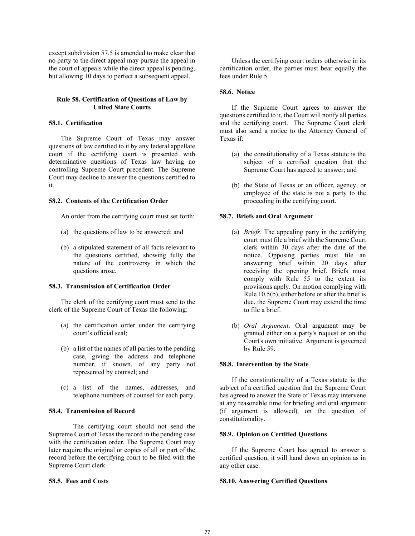except subdivision 57.5 is amended to make clear that no party to the direct appeal may pursue the appeal in the court of appeals while the direct appeal is pending, but allowing 10 days to perfect a subsequent appeal.

# **Rule 58. Certification of Questions of Law by United State Courts**

# **58.1. Certification**

The Supreme Court of Texas may answer questions of law certified to it by any federal appellate court if the certifying court is presented with determinative questions of Texas law having no controlling Supreme Court precedent. The Supreme Court may decline to answer the questions certified to it.

# **58.2. Contents of the Certification Order**

An order from the certifying court must set forth:

- (a) the questions of law to be answered; and
- (b) a stipulated statement of all facts relevant to the questions certified, showing fully the nature of the controversy in which the questions arose.

## **58.3. Transmission of Certification Order**

The clerk of the certifying court must send to the clerk of the Supreme Court of Texas the following:

- (a) the certification order under the certifying court's official seal;
- (b) a list of the names of all parties to the pending case, giving the address and telephone number, if known, of any party not represented by counsel; and
- (c) a list of the names, addresses, and telephone numbers of counsel for each party.

#### **58.4. Transmission of Record**

The certifying court should not send the Supreme Court of Texas the record in the pending case with the certification order. The Supreme Court may later require the original or copies of all or part of the record before the certifying court to be filed with the Supreme Court clerk.

## **58.5. Fees and Costs**

Unless the certifying court orders otherwise in its certification order, the parties must bear equally the fees under Rule 5.

### **58.6. Notice**

If the Supreme Court agrees to answer the questions certified to it, the Court will notify all parties and the certifying court. The Supreme Court clerk must also send a notice to the Attorney General of Texas if:

- (a) the constitutionality of a Texas statute is the subject of a certified question that the Supreme Court has agreed to answer; and
- (b) the State of Texas or an officer, agency, or employee of the state is not a party to the proceeding in the certifying court.

## **58.7. Briefs and Oral Argument**

- (a) *Briefs*. The appealing party in the certifying court must file a brief with the Supreme Court clerk within 30 days after the date of the notice. Opposing parties must file an answering brief within 20 days after receiving the opening brief. Briefs must comply with Rule 55 to the extent its provisions apply. On motion complying with Rule 10.5(b), either before or after the brief is due, the Supreme Court may extend the time to file a brief.
- (b) *Oral Argument*. Oral argument may be granted either on a party's request or on the Court's own initiative. Argument is governed by Rule 59.

#### **58.8. Intervention by the State**

If the constitutionality of a Texas statute is the subject of a certified question that the Supreme Court has agreed to answer the State of Texas may intervene at any reasonable time for briefing and oral argument (if argument is allowed), on the question of constitutionality.

### **58.9. Opinion on Certified Questions**

If the Supreme Court has agreed to answer a certified question, it will hand down an opinion as in any other case.

## **58.10. Answering Certified Questions**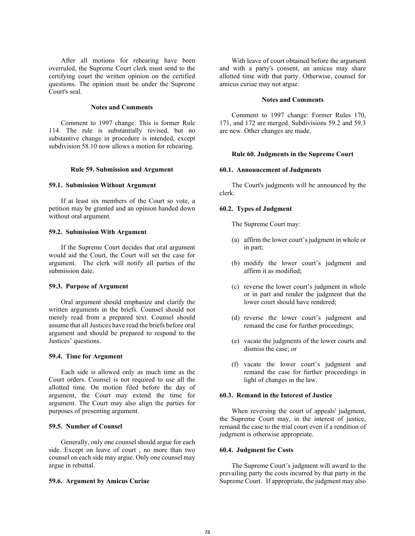After all motions for rehearing have been overruled, the Supreme Court clerk must send to the certifying court the written opinion on the certified questions. The opinion must be under the Supreme Court's seal.

## **Notes and Comments**

Comment to 1997 change: This is former Rule 114. The rule is substantially revised, but no substantive change in procedure is intended, except subdivision 58.10 now allows a motion for rehearing.

#### **Rule 59. Submission and Argument**

#### **59.1. Submission Without Argument**

If at least six members of the Court so vote, a petition may be granted and an opinion handed down without oral argument.

#### **59.2. Submission With Argument**

If the Supreme Court decides that oral argument would aid the Court, the Court will set the case for argument. The clerk will notify all parties of the submission date.

### **59.3. Purpose of Argument**

Oral argument should emphasize and clarify the written arguments in the briefs. Counsel should not merely read from a prepared text. Counsel should assume that all Justices have read the briefs before oral argument and should be prepared to respond to the Justices' questions.

### **59.4. Time for Argument**

Each side is allowed only as much time as the Court orders. Counsel is not required to use all the allotted time. On motion filed before the day of argument, the Court may extend the time for argument. The Court may also align the parties for purposes of presenting argument.

#### **59.5. Number of Counsel**

Generally, only one counsel should argue for each side. Except on leave of court , no more than two counsel on each side may argue. Only one counsel may argue in rebuttal.

### **59.6. Argument by Amicus Curiae**

With leave of court obtained before the argument and with a party's consent, an amicus may share allotted time with that party. Otherwise, counsel for amicus curiae may not argue.

## **Notes and Comments**

Comment to 1997 change: Former Rules 170, 171, and 172 are merged. Subdivisions 59.2 and 59.3 are new. Other changes are made.

#### **Rule 60. Judgments in the Supreme Court**

#### **60.1. Announcement of Judgments**

The Court's judgments will be announced by the clerk.

## **60.2. Types of Judgment**

The Supreme Court may:

- (a) affirm the lower court's judgment in whole or in part;
- (b) modify the lower court's judgment and affirm it as modified;
- (c) reverse the lower court's judgment in whole or in part and render the judgment that the lower court should have rendered;
- (d) reverse the lower court's judgment and remand the case for further proceedings;
- (e) vacate the judgments of the lower courts and dismiss the case; or
- (f) vacate the lower court's judgment and remand the case for further proceedings in light of changes in the law.

# **60.3. Remand in the Interest of Justice**

When reversing the court of appeals' judgment, the Supreme Court may, in the interest of justice, remand the case to the trial court even if a rendition of judgment is otherwise appropriate.

#### **60.4. Judgment for Costs**

The Supreme Court's judgment will award to the prevailing party the costs incurred by that party in the Supreme Court. If appropriate, the judgment may also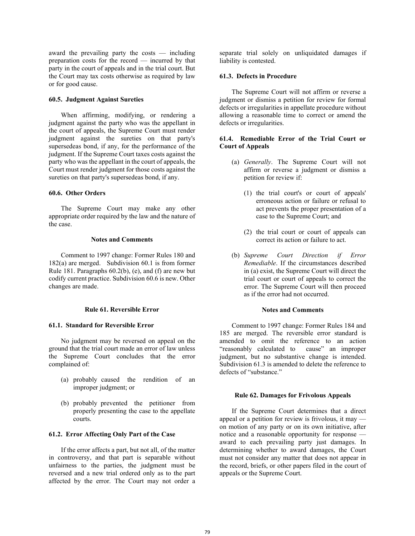award the prevailing party the costs — including preparation costs for the record — incurred by that party in the court of appeals and in the trial court. But the Court may tax costs otherwise as required by law or for good cause.

# **60.5. Judgment Against Sureties**

When affirming, modifying, or rendering a judgment against the party who was the appellant in the court of appeals, the Supreme Court must render judgment against the sureties on that party's supersedeas bond, if any, for the performance of the judgment. If the Supreme Court taxes costs against the party who was the appellant in the court of appeals, the Court must render judgment for those costs against the sureties on that party's supersedeas bond, if any.

# **60.6. Other Orders**

The Supreme Court may make any other appropriate order required by the law and the nature of the case.

#### **Notes and Comments**

Comment to 1997 change: Former Rules 180 and 182(a) are merged. Subdivision 60.1 is from former Rule 181. Paragraphs 60.2(b), (e), and (f) are new but codify current practice. Subdivision 60.6 is new. Other changes are made.

### **Rule 61. Reversible Error**

#### **61.1. Standard for Reversible Error**

No judgment may be reversed on appeal on the ground that the trial court made an error of law unless the Supreme Court concludes that the error complained of:

- (a) probably caused the rendition of an improper judgment; or
- (b) probably prevented the petitioner from properly presenting the case to the appellate courts.

### **61.2. Error Affecting Only Part of the Case**

If the error affects a part, but not all, of the matter in controversy, and that part is separable without unfairness to the parties, the judgment must be reversed and a new trial ordered only as to the part affected by the error. The Court may not order a

separate trial solely on unliquidated damages if liability is contested.

### **61.3. Defects in Procedure**

The Supreme Court will not affirm or reverse a judgment or dismiss a petition for review for formal defects or irregularities in appellate procedure without allowing a reasonable time to correct or amend the defects or irregularities.

# **61.4. Remediable Error of the Trial Court or Court of Appeals**

- (a) *Generally*. The Supreme Court will not affirm or reverse a judgment or dismiss a petition for review if:
	- (1) the trial court's or court of appeals' erroneous action or failure or refusal to act prevents the proper presentation of a case to the Supreme Court; and
	- (2) the trial court or court of appeals can correct its action or failure to act.
- (b) *Supreme Court Direction if Error Remediable*. If the circumstances described in (a) exist, the Supreme Court will direct the trial court or court of appeals to correct the error. The Supreme Court will then proceed as if the error had not occurred.

## **Notes and Comments**

Comment to 1997 change: Former Rules 184 and 185 are merged. The reversible error standard is amended to omit the reference to an action "reasonably calculated to cause" an improper judgment, but no substantive change is intended. Subdivision 61.3 is amended to delete the reference to defects of "substance."

#### **Rule 62. Damages for Frivolous Appeals**

If the Supreme Court determines that a direct appeal or a petition for review is frivolous, it may on motion of any party or on its own initiative, after notice and a reasonable opportunity for response award to each prevailing party just damages. In determining whether to award damages, the Court must not consider any matter that does not appear in the record, briefs, or other papers filed in the court of appeals or the Supreme Court.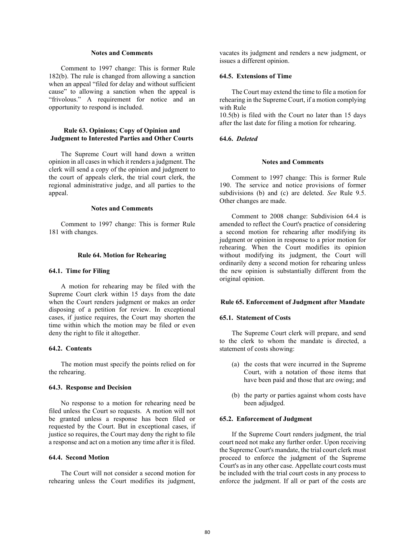# **Notes and Comments**

Comment to 1997 change: This is former Rule 182(b). The rule is changed from allowing a sanction when an appeal "filed for delay and without sufficient cause" to allowing a sanction when the appeal is "frivolous." A requirement for notice and an opportunity to respond is included.

# **Rule 63. Opinions; Copy of Opinion and Judgment to Interested Parties and Other Courts**

The Supreme Court will hand down a written opinion in all cases in which it renders a judgment. The clerk will send a copy of the opinion and judgment to the court of appeals clerk, the trial court clerk, the regional administrative judge, and all parties to the appeal.

## **Notes and Comments**

Comment to 1997 change: This is former Rule 181 with changes.

### **Rule 64. Motion for Rehearing**

### **64.1. Time for Filing**

A motion for rehearing may be filed with the Supreme Court clerk within 15 days from the date when the Court renders judgment or makes an order disposing of a petition for review. In exceptional cases, if justice requires, the Court may shorten the time within which the motion may be filed or even deny the right to file it altogether.

### **64.2. Contents**

The motion must specify the points relied on for the rehearing.

#### **64.3. Response and Decision**

No response to a motion for rehearing need be filed unless the Court so requests. A motion will not be granted unless a response has been filed or requested by the Court. But in exceptional cases, if justice so requires, the Court may deny the right to file a response and act on a motion any time after it is filed.

## **64.4. Second Motion**

The Court will not consider a second motion for rehearing unless the Court modifies its judgment, vacates its judgment and renders a new judgment, or issues a different opinion.

### **64.5. Extensions of Time**

The Court may extend the time to file a motion for rehearing in the Supreme Court, if a motion complying with Rule

10.5(b) is filed with the Court no later than 15 days after the last date for filing a motion for rehearing.

## **64.6.** *Deleted*

### **Notes and Comments**

Comment to 1997 change: This is former Rule 190. The service and notice provisions of former subdivisions (b) and (c) are deleted. *See* Rule 9.5. Other changes are made.

Comment to 2008 change: Subdivision 64.4 is amended to reflect the Court's practice of considering a second motion for rehearing after modifying its judgment or opinion in response to a prior motion for rehearing. When the Court modifies its opinion without modifying its judgment, the Court will ordinarily deny a second motion for rehearing unless the new opinion is substantially different from the original opinion.

### **Rule 65. Enforcement of Judgment after Mandate**

### **65.1. Statement of Costs**

The Supreme Court clerk will prepare, and send to the clerk to whom the mandate is directed, a statement of costs showing:

- (a) the costs that were incurred in the Supreme Court, with a notation of those items that have been paid and those that are owing; and
- (b) the party or parties against whom costs have been adjudged.

#### **65.2. Enforcement of Judgment**

If the Supreme Court renders judgment, the trial court need not make any further order. Upon receiving the Supreme Court's mandate, the trial court clerk must proceed to enforce the judgment of the Supreme Court's as in any other case. Appellate court costs must be included with the trial court costs in any process to enforce the judgment. If all or part of the costs are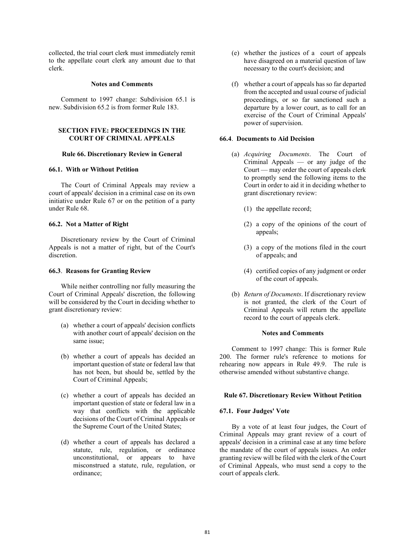collected, the trial court clerk must immediately remit to the appellate court clerk any amount due to that clerk.

#### **Notes and Comments**

Comment to 1997 change: Subdivision 65.1 is new. Subdivision 65.2 is from former Rule 183.

# **SECTION FIVE: PROCEEDINGS IN THE COURT OF CRIMINAL APPEALS**

### **Rule 66. Discretionary Review in General**

### **66.1. With or Without Petition**

The Court of Criminal Appeals may review a court of appeals' decision in a criminal case on its own initiative under Rule 67 or on the petition of a party under Rule 68.

## **66.2. Not a Matter of Right**

Discretionary review by the Court of Criminal Appeals is not a matter of right, but of the Court's discretion.

### **66.3**. **Reasons for Granting Review**

While neither controlling nor fully measuring the Court of Criminal Appeals' discretion, the following will be considered by the Court in deciding whether to grant discretionary review:

- (a) whether a court of appeals' decision conflicts with another court of appeals' decision on the same issue;
- (b) whether a court of appeals has decided an important question of state or federal law that has not been, but should be, settled by the Court of Criminal Appeals;
- (c) whether a court of appeals has decided an important question of state or federal law in a way that conflicts with the applicable decisions of the Court of Criminal Appeals or the Supreme Court of the United States;
- (d) whether a court of appeals has declared a statute, rule, regulation, or ordinance unconstitutional, or appears to have misconstrued a statute, rule, regulation, or ordinance;
- (e) whether the justices of a court of appeals have disagreed on a material question of law necessary to the court's decision; and
- (f) whether a court of appeals has so far departed from the accepted and usual course of judicial proceedings, or so far sanctioned such a departure by a lower court, as to call for an exercise of the Court of Criminal Appeals' power of supervision.

# **66.4**. **Documents to Aid Decision**

- (a) *Acquiring Documents*. The Court of Criminal Appeals — or any judge of the Court — may order the court of appeals clerk to promptly send the following items to the Court in order to aid it in deciding whether to grant discretionary review:
	- (1) the appellate record;
	- (2) a copy of the opinions of the court of appeals;
	- (3) a copy of the motions filed in the court of appeals; and
	- (4) certified copies of any judgment or order of the court of appeals.
- (b) *Return of Documents*. If discretionary review is not granted, the clerk of the Court of Criminal Appeals will return the appellate record to the court of appeals clerk.

### **Notes and Comments**

Comment to 1997 change: This is former Rule 200. The former rule's reference to motions for rehearing now appears in Rule 49.9. The rule is otherwise amended without substantive change.

#### **Rule 67. Discretionary Review Without Petition**

### **67.1. Four Judges' Vote**

By a vote of at least four judges, the Court of Criminal Appeals may grant review of a court of appeals' decision in a criminal case at any time before the mandate of the court of appeals issues. An order granting review will be filed with the clerk of the Court of Criminal Appeals, who must send a copy to the court of appeals clerk.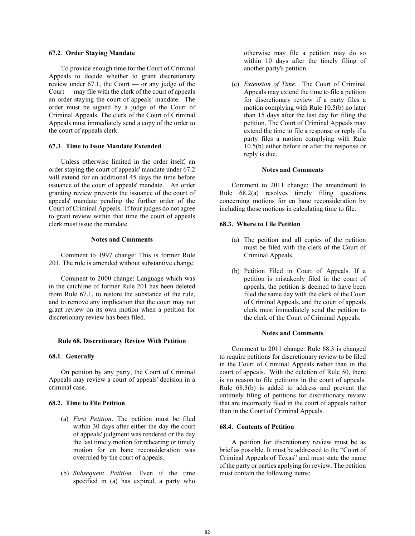### **67.2**. **Order Staying Mandate**

To provide enough time for the Court of Criminal Appeals to decide whether to grant discretionary review under  $67.1$ , the Court — or any judge of the Court — may file with the clerk of the court of appeals an order staying the court of appeals' mandate. The order must be signed by a judge of the Court of Criminal Appeals. The clerk of the Court of Criminal Appeals must immediately send a copy of the order to the court of appeals clerk.

### **67.3**. **Time to Issue Mandate Extended**

Unless otherwise limited in the order itself, an order staying the court of appeals' mandate under 67.2 will extend for an additional 45 days the time before issuance of the court of appeals' mandate. An order granting review prevents the issuance of the court of appeals' mandate pending the further order of the Court of Criminal Appeals. If four judges do not agree to grant review within that time the court of appeals clerk must issue the mandate.

# **Notes and Comments**

Comment to 1997 change: This is former Rule 201. The rule is amended without substantive change.

Comment to 2000 change: Language which was in the catchline of former Rule 201 has been deleted from Rule 67.1, to restore the substance of the rule, and to remove any implication that the court may not grant review on its own motion when a petition for discretionary review has been filed.

## **Rule 68. Discretionary Review With Petition**

#### **68.1**. **Generally**

On petition by any party, the Court of Criminal Appeals may review a court of appeals' decision in a criminal case.

# **68.2. Time to File Petition**

- (a) *First Petition*. The petition must be filed within 30 days after either the day the court of appeals' judgment was rendered or the day the last timely motion for rehearing or timely motion for en banc reconsideration was overruled by the court of appeals.
- (b) *Subsequent Petition.* Even if the time specified in (a) has expired, a party who

otherwise may file a petition may do so within 10 days after the timely filing of another party's petition.

(c) *Extension of Time*. The Court of Criminal Appeals may extend the time to file a petition for discretionary review if a party files a motion complying with Rule 10.5(b) no later than 15 days after the last day for filing the petition. The Court of Criminal Appeals may extend the time to file a response or reply if a party files a motion complying with Rule 10.5(b) either before or after the response or reply is due.

#### **Notes and Comments**

Comment to 2011 change: The amendment to Rule 68.2(a) resolves timely filing questions concerning motions for en banc reconsideration by including those motions in calculating time to file.

## **68.3. Where to File Petition**

- (a) The petition and all copies of the petition must be filed with the clerk of the Court of Criminal Appeals.
- (b) Petition Filed in Court of Appeals. If a petition is mistakenly filed in the court of appeals, the petition is deemed to have been filed the same day with the clerk of the Court of Criminal Appeals, and the court of appeals clerk must immediately send the petition to the clerk of the Court of Criminal Appeals.

#### **Notes and Comments**

Comment to 2011 change: Rule 68.3 is changed to require petitions for discretionary review to be filed in the Court of Criminal Appeals rather than in the court of appeals. With the deletion of Rule 50, there is no reason to file petitions in the court of appeals. Rule 68.3(b) is added to address and prevent the untimely filing of petitions for discretionary review that are incorrectly filed in the court of appeals rather than in the Court of Criminal Appeals.

### **68.4. Contents of Petition**

A petition for discretionary review must be as brief as possible. It must be addressed to the "Court of Criminal Appeals of Texas" and must state the name of the party or parties applying for review. The petition must contain the following items: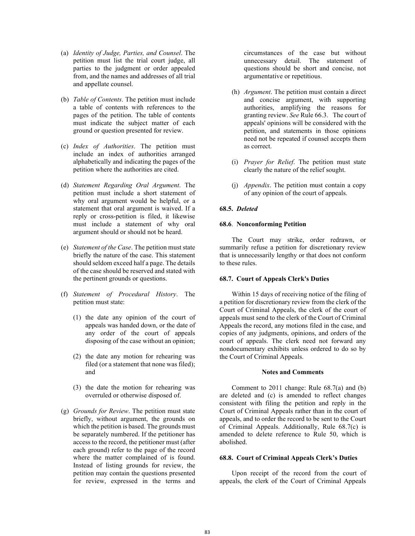- (a) *Identity of Judge, Parties, and Counsel*. The petition must list the trial court judge, all parties to the judgment or order appealed from, and the names and addresses of all trial and appellate counsel.
- (b) *Table of Contents*. The petition must include a table of contents with references to the pages of the petition. The table of contents must indicate the subject matter of each ground or question presented for review.
- (c) *Index of Authorities*. The petition must include an index of authorities arranged alphabetically and indicating the pages of the petition where the authorities are cited.
- (d) *Statement Regarding Oral Argument*. The petition must include a short statement of why oral argument would be helpful, or a statement that oral argument is waived. If a reply or cross-petition is filed, it likewise must include a statement of why oral argument should or should not be heard.
- (e) *Statement of the Case*. The petition must state briefly the nature of the case. This statement should seldom exceed half a page. The details of the case should be reserved and stated with the pertinent grounds or questions.
- (f) *Statement of Procedural History*. The petition must state:
	- (1) the date any opinion of the court of appeals was handed down, or the date of any order of the court of appeals disposing of the case without an opinion;
	- (2) the date any motion for rehearing was filed (or a statement that none was filed); and
	- (3) the date the motion for rehearing was overruled or otherwise disposed of.
- (g) *Grounds for Review*. The petition must state briefly, without argument, the grounds on which the petition is based. The grounds must be separately numbered. If the petitioner has access to the record, the petitioner must (after each ground) refer to the page of the record where the matter complained of is found. Instead of listing grounds for review, the petition may contain the questions presented for review, expressed in the terms and

circumstances of the case but without unnecessary detail. The statement of questions should be short and concise, not argumentative or repetitious.

- (h) *Argument*. The petition must contain a direct and concise argument, with supporting authorities, amplifying the reasons for granting review. *See* Rule 66.3. The court of appeals' opinions will be considered with the petition, and statements in those opinions need not be repeated if counsel accepts them as correct.
- (i) *Prayer for Relief*. The petition must state clearly the nature of the relief sought.
- (j) *Appendix*. The petition must contain a copy of any opinion of the court of appeals.

## **68.5.** *Deleted*

## **68.6**. **Nonconforming Petition**

The Court may strike, order redrawn, or summarily refuse a petition for discretionary review that is unnecessarily lengthy or that does not conform to these rules.

# **68.7. Court of Appeals Clerk's Duties**

Within 15 days of receiving notice of the filing of a petition for discretionary review from the clerk of the Court of Criminal Appeals, the clerk of the court of appeals must send to the clerk of the Court of Criminal Appeals the record, any motions filed in the case, and copies of any judgments, opinions, and orders of the court of appeals. The clerk need not forward any nondocumentary exhibits unless ordered to do so by the Court of Criminal Appeals.

## **Notes and Comments**

Comment to 2011 change: Rule 68.7(a) and (b) are deleted and (c) is amended to reflect changes consistent with filing the petition and reply in the Court of Criminal Appeals rather than in the court of appeals, and to order the record to be sent to the Court of Criminal Appeals. Additionally, Rule 68.7(c) is amended to delete reference to Rule 50, which is abolished.

## **68.8. Court of Criminal Appeals Clerk's Duties**

Upon receipt of the record from the court of appeals, the clerk of the Court of Criminal Appeals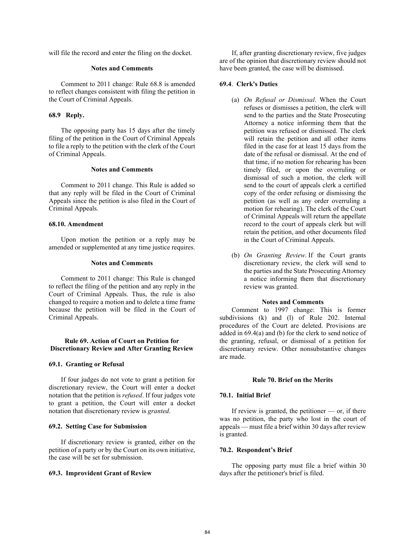will file the record and enter the filing on the docket.

## **Notes and Comments**

Comment to 2011 change: Rule 68.8 is amended to reflect changes consistent with filing the petition in the Court of Criminal Appeals.

# **68.9 Reply.**

The opposing party has 15 days after the timely filing of the petition in the Court of Criminal Appeals to file a reply to the petition with the clerk of the Court of Criminal Appeals.

#### **Notes and Comments**

Comment to 2011 change. This Rule is added so that any reply will be filed in the Court of Criminal Appeals since the petition is also filed in the Court of Criminal Appeals.

## **68.10. Amendment**

Upon motion the petition or a reply may be amended or supplemented at any time justice requires.

#### **Notes and Comments**

Comment to 2011 change: This Rule is changed to reflect the filing of the petition and any reply in the Court of Criminal Appeals. Thus, the rule is also changed to require a motion and to delete a time frame because the petition will be filed in the Court of Criminal Appeals.

## **Rule 69. Action of Court on Petition for Discretionary Review and After Granting Review**

#### **69.1. Granting or Refusal**

If four judges do not vote to grant a petition for discretionary review, the Court will enter a docket notation that the petition is *refused*. If four judges vote to grant a petition, the Court will enter a docket notation that discretionary review is *granted*.

## **69.2. Setting Case for Submission**

If discretionary review is granted, either on the petition of a party or by the Court on its own initiative, the case will be set for submission.

#### **69.3. Improvident Grant of Review**

If, after granting discretionary review, five judges are of the opinion that discretionary review should not have been granted, the case will be dismissed.

### **69.4**. **Clerk's Duties**

- (a) *On Refusal or Dismissal*. When the Court refuses or dismisses a petition, the clerk will send to the parties and the State Prosecuting Attorney a notice informing them that the petition was refused or dismissed. The clerk will retain the petition and all other items filed in the case for at least 15 days from the date of the refusal or dismissal. At the end of that time, if no motion for rehearing has been timely filed, or upon the overruling or dismissal of such a motion, the clerk will send to the court of appeals clerk a certified copy of the order refusing or dismissing the petition (as well as any order overruling a motion for rehearing). The clerk of the Court of Criminal Appeals will return the appellate record to the court of appeals clerk but will retain the petition, and other documents filed in the Court of Criminal Appeals.
- (b) *On Granting Review*. If the Court grants discretionary review, the clerk will send to the parties and the State Prosecuting Attorney a notice informing them that discretionary review was granted.

### **Notes and Comments**

Comment to 1997 change: This is former subdivisions (k) and (l) of Rule 202. Internal procedures of the Court are deleted. Provisions are added in 69.4(a) and (b) for the clerk to send notice of the granting, refusal, or dismissal of a petition for discretionary review. Other nonsubstantive changes are made.

## **Rule 70. Brief on the Merits**

# **70.1. Initial Brief**

If review is granted, the petitioner  $-$  or, if there was no petition, the party who lost in the court of appeals — must file a brief within 30 days after review is granted.

#### **70.2. Respondent's Brief**

The opposing party must file a brief within 30 days after the petitioner's brief is filed.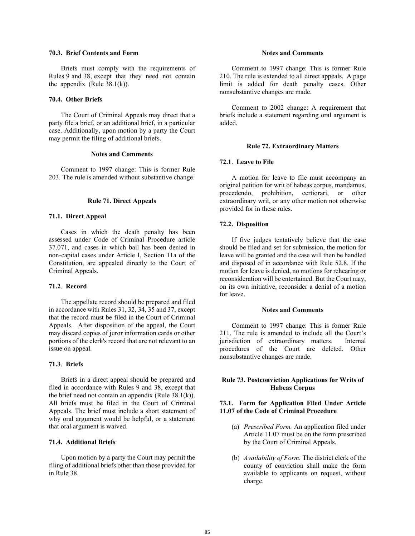# **70.3. Brief Contents and Form**

Briefs must comply with the requirements of Rules 9 and 38, except that they need not contain the appendix (Rule  $38.1(k)$ ).

## **70.4. Other Briefs**

The Court of Criminal Appeals may direct that a party file a brief, or an additional brief, in a particular case. Additionally, upon motion by a party the Court may permit the filing of additional briefs.

## **Notes and Comments**

Comment to 1997 change: This is former Rule 203. The rule is amended without substantive change.

# **Rule 71. Direct Appeals**

### **71.1. Direct Appeal**

Cases in which the death penalty has been assessed under Code of Criminal Procedure article 37.071, and cases in which bail has been denied in non-capital cases under Article I, Section 11a of the Constitution, are appealed directly to the Court of Criminal Appeals.

## **71.2**. **Record**

The appellate record should be prepared and filed in accordance with Rules 31, 32, 34, 35 and 37, except that the record must be filed in the Court of Criminal Appeals. After disposition of the appeal, the Court may discard copies of juror information cards or other portions of the clerk's record that are not relevant to an issue on appeal.

## **71.3**. **Briefs**

Briefs in a direct appeal should be prepared and filed in accordance with Rules 9 and 38, except that the brief need not contain an appendix (Rule 38.1(k)). All briefs must be filed in the Court of Criminal Appeals. The brief must include a short statement of why oral argument would be helpful, or a statement that oral argument is waived.

#### **71.4. Additional Briefs**

Upon motion by a party the Court may permit the filing of additional briefs other than those provided for in Rule 38.

### **Notes and Comments**

Comment to 1997 change: This is former Rule 210. The rule is extended to all direct appeals. A page limit is added for death penalty cases. Other nonsubstantive changes are made.

Comment to 2002 change: A requirement that briefs include a statement regarding oral argument is added.

#### **Rule 72. Extraordinary Matters**

## **72.1**. **Leave to File**

A motion for leave to file must accompany an original petition for writ of habeas corpus, mandamus, procedendo, prohibition, certiorari, or other extraordinary writ, or any other motion not otherwise provided for in these rules.

# **72.2. Disposition**

If five judges tentatively believe that the case should be filed and set for submission, the motion for leave will be granted and the case will then be handled and disposed of in accordance with Rule 52.8. If the motion for leave is denied, no motions for rehearing or reconsideration will be entertained. But the Court may, on its own initiative, reconsider a denial of a motion for leave.

## **Notes and Comments**

Comment to 1997 change: This is former Rule 211. The rule is amended to include all the Court's jurisdiction of extraordinary matters. Internal procedures of the Court are deleted. Other nonsubstantive changes are made.

## **Rule 73. Postconviction Applications for Writs of Habeas Corpus**

## **73.1. Form for Application Filed Under Article 11.07 of the Code of Criminal Procedure**

- (a) *Prescribed Form.* An application filed under Article 11.07 must be on the form prescribed by the Court of Criminal Appeals.
- (b) *Availability of Form.* The district clerk of the county of conviction shall make the form available to applicants on request, without charge.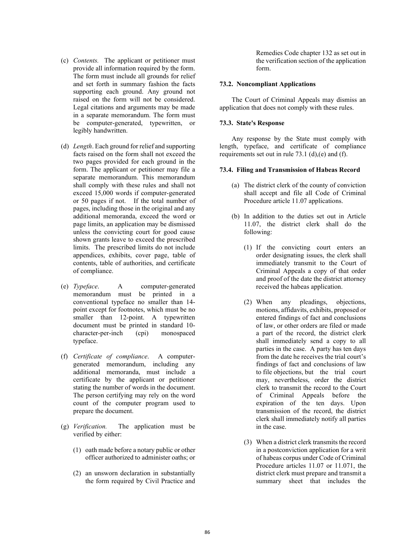- (c) *Contents.* The applicant or petitioner must provide all information required by the form. The form must include all grounds for relief and set forth in summary fashion the facts supporting each ground. Any ground not raised on the form will not be considered. Legal citations and arguments may be made in a separate memorandum. The form must be computer-generated, typewritten, or legibly handwritten.
- (d) *Length*. Each ground for relief and supporting facts raised on the form shall not exceed the two pages provided for each ground in the form. The applicant or petitioner may file a separate memorandum. This memorandum shall comply with these rules and shall not exceed 15,000 words if computer-generated or 50 pages if not. If the total number of pages, including those in the original and any additional memoranda, exceed the word or page limits, an application may be dismissed unless the convicting court for good cause shown grants leave to exceed the prescribed limits. The prescribed limits do not include appendices, exhibits, cover page, table of contents, table of authorities, and certificate of compliance.
- (e) *Typeface*. A computer-generated memorandum must be printed in a conventional typeface no smaller than 14 point except for footnotes, which must be no smaller than 12-point. A typewritten document must be printed in standard 10 character-per-inch (cpi) monospaced typeface.
- (f) *Certificate of compliance*. A computergenerated memorandum, including any additional memoranda, must include a certificate by the applicant or petitioner stating the number of words in the document. The person certifying may rely on the word count of the computer program used to prepare the document.
- (g) *Verification.* The application must be verified by either:
	- (1) oath made before a notary public or other officer authorized to administer oaths; or
	- (2) an unsworn declaration in substantially the form required by Civil Practice and

Remedies Code chapter 132 as set out in the verification section of the application form.

## **73.2. Noncompliant Applications**

The Court of Criminal Appeals may dismiss an application that does not comply with these rules.

### **73.3. State's Response**

Any response by the State must comply with length, typeface, and certificate of compliance requirements set out in rule  $73.1$  (d), (e) and (f).

### **73.4. Filing and Transmission of Habeas Record**

- (a) The district clerk of the county of conviction shall accept and file all Code of Criminal Procedure article 11.07 applications.
- (b) In addition to the duties set out in Article 11.07, the district clerk shall do the following:
	- (1) If the convicting court enters an order designating issues, the clerk shall immediately transmit to the Court of Criminal Appeals a copy of that order and proof of the date the district attorney received the habeas application.
	- (2) When any pleadings, objections, motions, affidavits, exhibits, proposed or entered findings of fact and conclusions of law, or other orders are filed or made a part of the record, the district clerk shall immediately send a copy to all parties in the case. A party has ten days from the date he receives the trial court's findings of fact and conclusions of law to file objections, but the trial court may, nevertheless, order the district clerk to transmit the record to the Court of Criminal Appeals before the expiration of the ten days. Upon transmission of the record, the district clerk shall immediately notify all parties in the case.
	- (3) When a district clerk transmits the record in a postconviction application for a writ of habeas corpus under Code of Criminal Procedure articles 11.07 or 11.071, the district clerk must prepare and transmit a summary sheet that includes the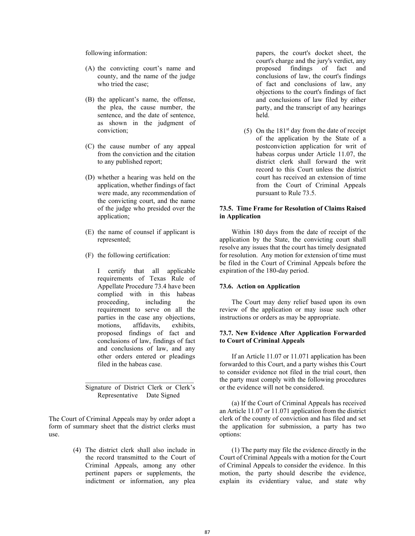following information:

- (A) the convicting court's name and county, and the name of the judge who tried the case;
- (B) the applicant's name, the offense, the plea, the cause number, the sentence, and the date of sentence, as shown in the judgment of conviction;
- (C) the cause number of any appeal from the conviction and the citation to any published report;
- (D) whether a hearing was held on the application, whether findings of fact were made, any recommendation of the convicting court, and the name of the judge who presided over the application;
- (E) the name of counsel if applicant is represented;
- (F) the following certification:

I certify that all applicable requirements of Texas Rule of Appellate Procedure 73.4 have been complied with in this habeas proceeding, including the requirement to serve on all the parties in the case any objections, motions, affidavits, exhibits, proposed findings of fact and conclusions of law, findings of fact and conclusions of law, and any other orders entered or pleadings filed in the habeas case.

 $\mathcal{L}_\mathcal{L}$  , where  $\mathcal{L}_\mathcal{L}$  is the set of the set of the set of the set of the set of the set of the set of the set of the set of the set of the set of the set of the set of the set of the set of the set of the Signature of District Clerk or Clerk's Representative Date Signed

The Court of Criminal Appeals may by order adopt a form of summary sheet that the district clerks must use.

> (4) The district clerk shall also include in the record transmitted to the Court of Criminal Appeals, among any other pertinent papers or supplements, the indictment or information, any plea

papers, the court's docket sheet, the court's charge and the jury's verdict, any proposed findings of fact and conclusions of law, the court's findings of fact and conclusions of law, any objections to the court's findings of fact and conclusions of law filed by either party, and the transcript of any hearings held.

(5) On the  $181<sup>st</sup>$  day from the date of receipt of the application by the State of a postconviction application for writ of habeas corpus under Article 11.07, the district clerk shall forward the writ record to this Court unless the district court has received an extension of time from the Court of Criminal Appeals pursuant to Rule 73.5.

# **73.5. Time Frame for Resolution of Claims Raised in Application**

Within 180 days from the date of receipt of the application by the State, the convicting court shall resolve any issues that the court has timely designated for resolution. Any motion for extension of time must be filed in the Court of Criminal Appeals before the expiration of the 180-day period.

## **73.6. Action on Application**

The Court may deny relief based upon its own review of the application or may issue such other instructions or orders as may be appropriate.

## **73.7. New Evidence After Application Forwarded to Court of Criminal Appeals**

If an Article 11.07 or 11.071 application has been forwarded to this Court, and a party wishes this Court to consider evidence not filed in the trial court, then the party must comply with the following procedures or the evidence will not be considered.

(a) If the Court of Criminal Appeals has received an Article 11.07 or 11.071 application from the district clerk of the county of conviction and has filed and set the application for submission, a party has two options:

(1) The party may file the evidence directly in the Court of Criminal Appeals with a motion for the Court of Criminal Appeals to consider the evidence. In this motion, the party should describe the evidence, explain its evidentiary value, and state why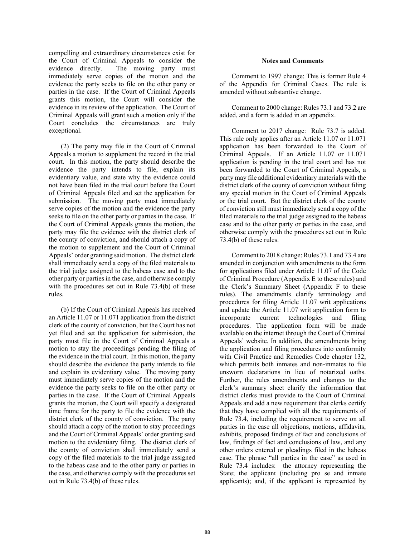compelling and extraordinary circumstances exist for the Court of Criminal Appeals to consider the evidence directly. The moving party must immediately serve copies of the motion and the evidence the party seeks to file on the other party or parties in the case. If the Court of Criminal Appeals grants this motion, the Court will consider the evidence in its review of the application. The Court of Criminal Appeals will grant such a motion only if the Court concludes the circumstances are truly exceptional.

(2) The party may file in the Court of Criminal Appeals a motion to supplement the record in the trial court. In this motion, the party should describe the evidence the party intends to file, explain its evidentiary value, and state why the evidence could not have been filed in the trial court before the Court of Criminal Appeals filed and set the application for submission. The moving party must immediately serve copies of the motion and the evidence the party seeks to file on the other party or parties in the case. If the Court of Criminal Appeals grants the motion, the party may file the evidence with the district clerk of the county of conviction, and should attach a copy of the motion to supplement and the Court of Criminal Appeals' order granting said motion. The district clerk shall immediately send a copy of the filed materials to the trial judge assigned to the habeas case and to the other party or parties in the case, and otherwise comply with the procedures set out in Rule 73.4(b) of these rules.

(b) If the Court of Criminal Appeals has received an Article 11.07 or 11.071 application from the district clerk of the county of conviction, but the Court has not yet filed and set the application for submission, the party must file in the Court of Criminal Appeals a motion to stay the proceedings pending the filing of the evidence in the trial court. In this motion, the party should describe the evidence the party intends to file and explain its evidentiary value. The moving party must immediately serve copies of the motion and the evidence the party seeks to file on the other party or parties in the case. If the Court of Criminal Appeals grants the motion, the Court will specify a designated time frame for the party to file the evidence with the district clerk of the county of conviction. The party should attach a copy of the motion to stay proceedings and the Court of Criminal Appeals' order granting said motion to the evidentiary filing. The district clerk of the county of conviction shall immediately send a copy of the filed materials to the trial judge assigned to the habeas case and to the other party or parties in the case, and otherwise comply with the procedures set out in Rule 73.4(b) of these rules.

### **Notes and Comments**

Comment to 1997 change: This is former Rule 4 of the Appendix for Criminal Cases. The rule is amended without substantive change.

Comment to 2000 change: Rules 73.1 and 73.2 are added, and a form is added in an appendix.

Comment to 2017 change: Rule 73.7 is added. This rule only applies after an Article 11.07 or 11.071 application has been forwarded to the Court of Criminal Appeals. If an Article 11.07 or 11.071 application is pending in the trial court and has not been forwarded to the Court of Criminal Appeals, a party may file additional evidentiary materials with the district clerk of the county of conviction without filing any special motion in the Court of Criminal Appeals or the trial court. But the district clerk of the county of conviction still must immediately send a copy of the filed materials to the trial judge assigned to the habeas case and to the other party or parties in the case, and otherwise comply with the procedures set out in Rule 73.4(b) of these rules.

Comment to 2018 change: Rules 73.1 and 73.4 are amended in conjunction with amendments to the form for applications filed under Article 11.07 of the Code of Criminal Procedure (Appendix E to these rules) and the Clerk's Summary Sheet (Appendix F to these rules). The amendments clarify terminology and procedures for filing Article 11.07 writ applications and update the Article 11.07 writ application form to incorporate current technologies and filing procedures. The application form will be made available on the internet through the Court of Criminal Appeals' website. In addition, the amendments bring the application and filing procedures into conformity with Civil Practice and Remedies Code chapter 132, which permits both inmates and non-inmates to file unsworn declarations in lieu of notarized oaths. Further, the rules amendments and changes to the clerk's summary sheet clarify the information that district clerks must provide to the Court of Criminal Appeals and add a new requirement that clerks certify that they have complied with all the requirements of Rule 73.4, including the requirement to serve on all parties in the case all objections, motions, affidavits, exhibits, proposed findings of fact and conclusions of law, findings of fact and conclusions of law, and any other orders entered or pleadings filed in the habeas case. The phrase "all parties in the case" as used in Rule 73.4 includes: the attorney representing the State; the applicant (including pro se and inmate applicants); and, if the applicant is represented by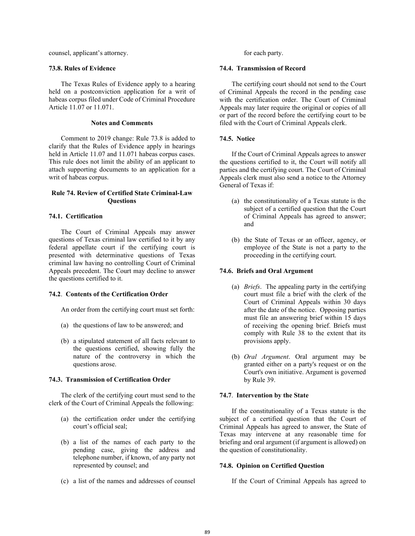counsel, applicant's attorney.

## **73.8. Rules of Evidence**

The Texas Rules of Evidence apply to a hearing held on a postconviction application for a writ of habeas corpus filed under Code of Criminal Procedure Article 11.07 or 11.071.

# **Notes and Comments**

Comment to 2019 change: Rule 73.8 is added to clarify that the Rules of Evidence apply in hearings held in Article 11.07 and 11.071 habeas corpus cases. This rule does not limit the ability of an applicant to attach supporting documents to an application for a writ of habeas corpus.

# **Rule 74. Review of Certified State Criminal-Law Questions**

# **74.1. Certification**

The Court of Criminal Appeals may answer questions of Texas criminal law certified to it by any federal appellate court if the certifying court is presented with determinative questions of Texas criminal law having no controlling Court of Criminal Appeals precedent. The Court may decline to answer the questions certified to it.

## **74.2**. **Contents of the Certification Order**

An order from the certifying court must set forth:

- (a) the questions of law to be answered; and
- (b) a stipulated statement of all facts relevant to the questions certified, showing fully the nature of the controversy in which the questions arose.

## **74.3. Transmission of Certification Order**

The clerk of the certifying court must send to the clerk of the Court of Criminal Appeals the following:

- (a) the certification order under the certifying court's official seal;
- (b) a list of the names of each party to the pending case, giving the address and telephone number, if known, of any party not represented by counsel; and
- (c) a list of the names and addresses of counsel

for each party.

## **74.4. Transmission of Record**

The certifying court should not send to the Court of Criminal Appeals the record in the pending case with the certification order. The Court of Criminal Appeals may later require the original or copies of all or part of the record before the certifying court to be filed with the Court of Criminal Appeals clerk.

# **74.5. Notice**

If the Court of Criminal Appeals agrees to answer the questions certified to it, the Court will notify all parties and the certifying court. The Court of Criminal Appeals clerk must also send a notice to the Attorney General of Texas if:

- (a) the constitutionality of a Texas statute is the subject of a certified question that the Court of Criminal Appeals has agreed to answer; and
- (b) the State of Texas or an officer, agency, or employee of the State is not a party to the proceeding in the certifying court.

## **74.6. Briefs and Oral Argument**

- (a) *Briefs*. The appealing party in the certifying court must file a brief with the clerk of the Court of Criminal Appeals within 30 days after the date of the notice. Opposing parties must file an answering brief within 15 days of receiving the opening brief. Briefs must comply with Rule 38 to the extent that its provisions apply.
- (b) *Oral Argument*. Oral argument may be granted either on a party's request or on the Court's own initiative. Argument is governed by Rule 39.

#### **74.7**. **Intervention by the State**

If the constitutionality of a Texas statute is the subject of a certified question that the Court of Criminal Appeals has agreed to answer, the State of Texas may intervene at any reasonable time for briefing and oral argument (if argument is allowed) on the question of constitutionality.

## **74.8. Opinion on Certified Question**

If the Court of Criminal Appeals has agreed to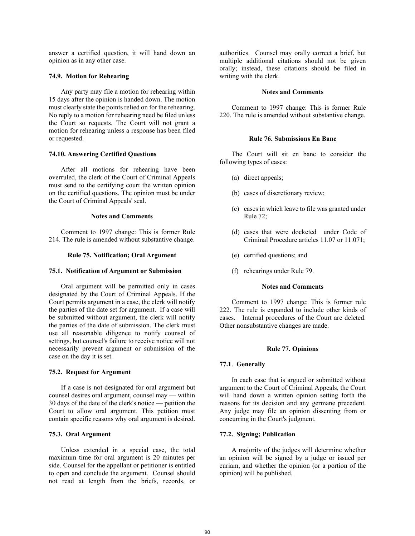answer a certified question, it will hand down an opinion as in any other case.

### **74.9. Motion for Rehearing**

Any party may file a motion for rehearing within 15 days after the opinion is handed down. The motion must clearly state the points relied on for the rehearing. No reply to a motion for rehearing need be filed unless the Court so requests. The Court will not grant a motion for rehearing unless a response has been filed or requested.

# **74.10. Answering Certified Questions**

After all motions for rehearing have been overruled, the clerk of the Court of Criminal Appeals must send to the certifying court the written opinion on the certified questions. The opinion must be under the Court of Criminal Appeals' seal.

## **Notes and Comments**

Comment to 1997 change: This is former Rule 214. The rule is amended without substantive change.

#### **Rule 75. Notification; Oral Argument**

#### **75.1. Notification of Argument or Submission**

Oral argument will be permitted only in cases designated by the Court of Criminal Appeals. If the Court permits argument in a case, the clerk will notify the parties of the date set for argument. If a case will be submitted without argument, the clerk will notify the parties of the date of submission. The clerk must use all reasonable diligence to notify counsel of settings, but counsel's failure to receive notice will not necessarily prevent argument or submission of the case on the day it is set.

# **75.2. Request for Argument**

If a case is not designated for oral argument but counsel desires oral argument, counsel may — within 30 days of the date of the clerk's notice — petition the Court to allow oral argument. This petition must contain specific reasons why oral argument is desired.

# **75.3. Oral Argument**

Unless extended in a special case, the total maximum time for oral argument is 20 minutes per side. Counsel for the appellant or petitioner is entitled to open and conclude the argument. Counsel should not read at length from the briefs, records, or

authorities. Counsel may orally correct a brief, but multiple additional citations should not be given orally; instead, these citations should be filed in writing with the clerk.

#### **Notes and Comments**

Comment to 1997 change: This is former Rule 220. The rule is amended without substantive change.

### **Rule 76. Submissions En Banc**

The Court will sit en banc to consider the following types of cases:

- (a) direct appeals;
- (b) cases of discretionary review;
- (c) cases in which leave to file was granted under Rule 72;
- (d) cases that were docketed under Code of Criminal Procedure articles 11.07 or 11.071;
- (e) certified questions; and
- (f) rehearings under Rule 79.

# **Notes and Comments**

Comment to 1997 change: This is former rule 222. The rule is expanded to include other kinds of cases. Internal procedures of the Court are deleted. Other nonsubstantive changes are made.

#### **Rule 77. Opinions**

#### **77.1**. **Generally**

In each case that is argued or submitted without argument to the Court of Criminal Appeals, the Court will hand down a written opinion setting forth the reasons for its decision and any germane precedent. Any judge may file an opinion dissenting from or concurring in the Court's judgment.

### **77.2. Signing; Publication**

A majority of the judges will determine whether an opinion will be signed by a judge or issued per curiam, and whether the opinion (or a portion of the opinion) will be published.